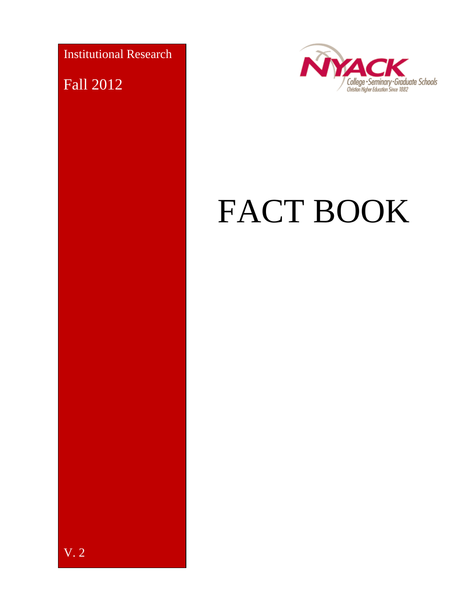Institutional Research

Fall 2012

V. 2



# FACT BOOK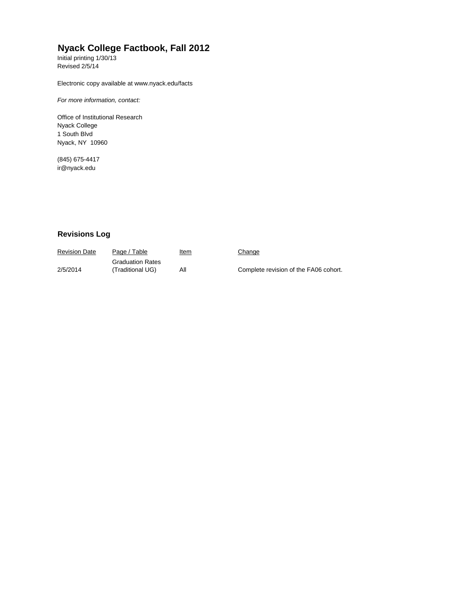#### **Nyack College Factbook, Fall 2012**

Initial printing 1/30/13 Revised 2/5/14

Electronic copy available at www.nyack.edu/facts

*For more information, contact:*

Office of Institutional Research Nyack College 1 South Blvd Nyack, NY 10960

(845) 675-4417 [ir@nyack.edu](mailto:ir@nyack.edu)

#### **Revisions Log**

| <b>Revision Date</b> | Page / Table                                | <u>Item</u> | Change                                |
|----------------------|---------------------------------------------|-------------|---------------------------------------|
| 2/5/2014             | <b>Graduation Rates</b><br>(Traditional UG) | Αll         | Complete revision of the FA06 cohort. |
|                      |                                             |             |                                       |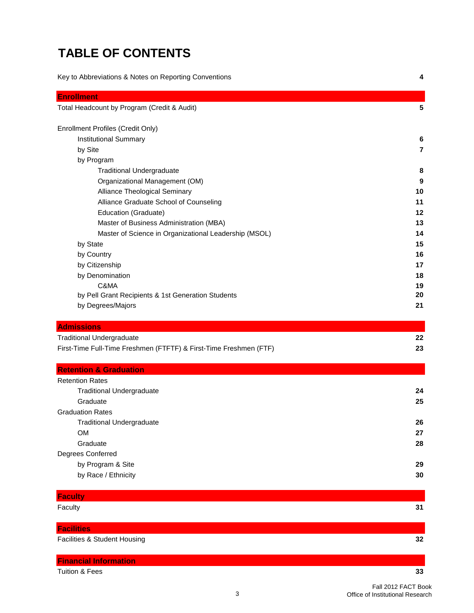# **TABLE OF CONTENTS**

| Key to Abbreviations & Notes on Reporting Conventions |  |
|-------------------------------------------------------|--|
|-------------------------------------------------------|--|

| Total Headcount by Program (Credit & Audit)<br>5<br>Enrollment Profiles (Credit Only)<br><b>Institutional Summary</b><br>6<br>by Site<br>$\overline{7}$<br>by Program<br><b>Traditional Undergraduate</b><br>8<br>Organizational Management (OM)<br>9<br>Alliance Theological Seminary<br>10<br>Alliance Graduate School of Counseling<br>11<br>Education (Graduate)<br>12<br>Master of Business Administration (MBA)<br>13<br>Master of Science in Organizational Leadership (MSOL)<br>14<br>by State<br>15<br>by Country<br>16<br>by Citizenship<br>17<br>by Denomination<br>18<br>C&MA<br>19<br>by Pell Grant Recipients & 1st Generation Students<br>20<br>by Degrees/Majors<br>21<br><b>Admissions</b><br><b>Traditional Undergraduate</b><br>22<br>23<br>First-Time Full-Time Freshmen (FTFTF) & First-Time Freshmen (FTF)<br><b>Retention &amp; Graduation</b><br><b>Retention Rates</b><br><b>Traditional Undergraduate</b><br>24<br>Graduate<br>25<br><b>Graduation Rates</b><br><b>Traditional Undergraduate</b><br>26<br><b>OM</b><br>27<br>28<br>Graduate<br>Degrees Conferred<br>by Program & Site<br>29<br>by Race / Ethnicity<br>30 |                   |  |
|----------------------------------------------------------------------------------------------------------------------------------------------------------------------------------------------------------------------------------------------------------------------------------------------------------------------------------------------------------------------------------------------------------------------------------------------------------------------------------------------------------------------------------------------------------------------------------------------------------------------------------------------------------------------------------------------------------------------------------------------------------------------------------------------------------------------------------------------------------------------------------------------------------------------------------------------------------------------------------------------------------------------------------------------------------------------------------------------------------------------------------------------------|-------------------|--|
|                                                                                                                                                                                                                                                                                                                                                                                                                                                                                                                                                                                                                                                                                                                                                                                                                                                                                                                                                                                                                                                                                                                                                    | <b>Enrollment</b> |  |
|                                                                                                                                                                                                                                                                                                                                                                                                                                                                                                                                                                                                                                                                                                                                                                                                                                                                                                                                                                                                                                                                                                                                                    |                   |  |
|                                                                                                                                                                                                                                                                                                                                                                                                                                                                                                                                                                                                                                                                                                                                                                                                                                                                                                                                                                                                                                                                                                                                                    |                   |  |
|                                                                                                                                                                                                                                                                                                                                                                                                                                                                                                                                                                                                                                                                                                                                                                                                                                                                                                                                                                                                                                                                                                                                                    |                   |  |
|                                                                                                                                                                                                                                                                                                                                                                                                                                                                                                                                                                                                                                                                                                                                                                                                                                                                                                                                                                                                                                                                                                                                                    |                   |  |
|                                                                                                                                                                                                                                                                                                                                                                                                                                                                                                                                                                                                                                                                                                                                                                                                                                                                                                                                                                                                                                                                                                                                                    |                   |  |
|                                                                                                                                                                                                                                                                                                                                                                                                                                                                                                                                                                                                                                                                                                                                                                                                                                                                                                                                                                                                                                                                                                                                                    |                   |  |
|                                                                                                                                                                                                                                                                                                                                                                                                                                                                                                                                                                                                                                                                                                                                                                                                                                                                                                                                                                                                                                                                                                                                                    |                   |  |
|                                                                                                                                                                                                                                                                                                                                                                                                                                                                                                                                                                                                                                                                                                                                                                                                                                                                                                                                                                                                                                                                                                                                                    |                   |  |
|                                                                                                                                                                                                                                                                                                                                                                                                                                                                                                                                                                                                                                                                                                                                                                                                                                                                                                                                                                                                                                                                                                                                                    |                   |  |
|                                                                                                                                                                                                                                                                                                                                                                                                                                                                                                                                                                                                                                                                                                                                                                                                                                                                                                                                                                                                                                                                                                                                                    |                   |  |
|                                                                                                                                                                                                                                                                                                                                                                                                                                                                                                                                                                                                                                                                                                                                                                                                                                                                                                                                                                                                                                                                                                                                                    |                   |  |
|                                                                                                                                                                                                                                                                                                                                                                                                                                                                                                                                                                                                                                                                                                                                                                                                                                                                                                                                                                                                                                                                                                                                                    |                   |  |
|                                                                                                                                                                                                                                                                                                                                                                                                                                                                                                                                                                                                                                                                                                                                                                                                                                                                                                                                                                                                                                                                                                                                                    |                   |  |
|                                                                                                                                                                                                                                                                                                                                                                                                                                                                                                                                                                                                                                                                                                                                                                                                                                                                                                                                                                                                                                                                                                                                                    |                   |  |
|                                                                                                                                                                                                                                                                                                                                                                                                                                                                                                                                                                                                                                                                                                                                                                                                                                                                                                                                                                                                                                                                                                                                                    |                   |  |
|                                                                                                                                                                                                                                                                                                                                                                                                                                                                                                                                                                                                                                                                                                                                                                                                                                                                                                                                                                                                                                                                                                                                                    |                   |  |
|                                                                                                                                                                                                                                                                                                                                                                                                                                                                                                                                                                                                                                                                                                                                                                                                                                                                                                                                                                                                                                                                                                                                                    |                   |  |
|                                                                                                                                                                                                                                                                                                                                                                                                                                                                                                                                                                                                                                                                                                                                                                                                                                                                                                                                                                                                                                                                                                                                                    |                   |  |
|                                                                                                                                                                                                                                                                                                                                                                                                                                                                                                                                                                                                                                                                                                                                                                                                                                                                                                                                                                                                                                                                                                                                                    |                   |  |
|                                                                                                                                                                                                                                                                                                                                                                                                                                                                                                                                                                                                                                                                                                                                                                                                                                                                                                                                                                                                                                                                                                                                                    |                   |  |
|                                                                                                                                                                                                                                                                                                                                                                                                                                                                                                                                                                                                                                                                                                                                                                                                                                                                                                                                                                                                                                                                                                                                                    |                   |  |
|                                                                                                                                                                                                                                                                                                                                                                                                                                                                                                                                                                                                                                                                                                                                                                                                                                                                                                                                                                                                                                                                                                                                                    |                   |  |
|                                                                                                                                                                                                                                                                                                                                                                                                                                                                                                                                                                                                                                                                                                                                                                                                                                                                                                                                                                                                                                                                                                                                                    |                   |  |
|                                                                                                                                                                                                                                                                                                                                                                                                                                                                                                                                                                                                                                                                                                                                                                                                                                                                                                                                                                                                                                                                                                                                                    |                   |  |
|                                                                                                                                                                                                                                                                                                                                                                                                                                                                                                                                                                                                                                                                                                                                                                                                                                                                                                                                                                                                                                                                                                                                                    |                   |  |
|                                                                                                                                                                                                                                                                                                                                                                                                                                                                                                                                                                                                                                                                                                                                                                                                                                                                                                                                                                                                                                                                                                                                                    |                   |  |
|                                                                                                                                                                                                                                                                                                                                                                                                                                                                                                                                                                                                                                                                                                                                                                                                                                                                                                                                                                                                                                                                                                                                                    |                   |  |
|                                                                                                                                                                                                                                                                                                                                                                                                                                                                                                                                                                                                                                                                                                                                                                                                                                                                                                                                                                                                                                                                                                                                                    |                   |  |
|                                                                                                                                                                                                                                                                                                                                                                                                                                                                                                                                                                                                                                                                                                                                                                                                                                                                                                                                                                                                                                                                                                                                                    |                   |  |
|                                                                                                                                                                                                                                                                                                                                                                                                                                                                                                                                                                                                                                                                                                                                                                                                                                                                                                                                                                                                                                                                                                                                                    |                   |  |
|                                                                                                                                                                                                                                                                                                                                                                                                                                                                                                                                                                                                                                                                                                                                                                                                                                                                                                                                                                                                                                                                                                                                                    |                   |  |
|                                                                                                                                                                                                                                                                                                                                                                                                                                                                                                                                                                                                                                                                                                                                                                                                                                                                                                                                                                                                                                                                                                                                                    |                   |  |
|                                                                                                                                                                                                                                                                                                                                                                                                                                                                                                                                                                                                                                                                                                                                                                                                                                                                                                                                                                                                                                                                                                                                                    |                   |  |
|                                                                                                                                                                                                                                                                                                                                                                                                                                                                                                                                                                                                                                                                                                                                                                                                                                                                                                                                                                                                                                                                                                                                                    |                   |  |
|                                                                                                                                                                                                                                                                                                                                                                                                                                                                                                                                                                                                                                                                                                                                                                                                                                                                                                                                                                                                                                                                                                                                                    |                   |  |
|                                                                                                                                                                                                                                                                                                                                                                                                                                                                                                                                                                                                                                                                                                                                                                                                                                                                                                                                                                                                                                                                                                                                                    | <b>Faculty</b>    |  |
| Faculty<br>31                                                                                                                                                                                                                                                                                                                                                                                                                                                                                                                                                                                                                                                                                                                                                                                                                                                                                                                                                                                                                                                                                                                                      |                   |  |

| <b>Facilities</b>            |    |
|------------------------------|----|
| Facilities & Student Housing | 32 |
| <b>Financial Information</b> |    |

Tuition & Fees **33**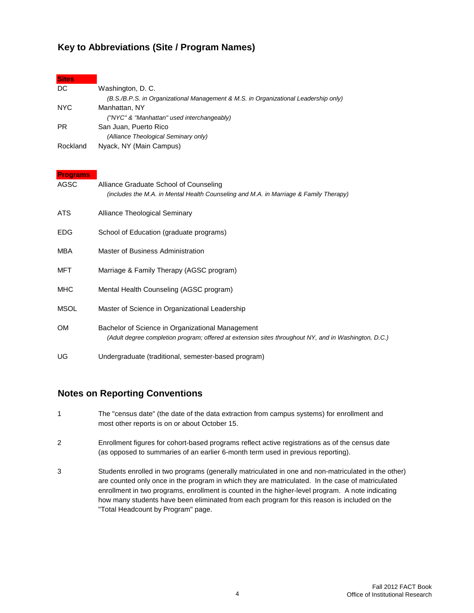#### **Key to Abbreviations (Site / Program Names)**

#### **Sites**

| DC        | Washington, D. C.                                                                   |
|-----------|-------------------------------------------------------------------------------------|
|           | (B.S./B.P.S. in Organizational Management & M.S. in Organizational Leadership only) |
| NYC.      | Manhattan, NY                                                                       |
|           | ("NYC" & "Manhattan" used interchangeably)                                          |
| <b>PR</b> | San Juan, Puerto Rico                                                               |
|           | (Alliance Theological Seminary only)                                                |
| Rockland  | Nyack, NY (Main Campus)                                                             |

#### **Programs**

| AGSC        | Alliance Graduate School of Counseling<br>(includes the M.A. in Mental Health Counseling and M.A. in Marriage & Family Therapy)                          |
|-------------|----------------------------------------------------------------------------------------------------------------------------------------------------------|
| ATS         | Alliance Theological Seminary                                                                                                                            |
| <b>EDG</b>  | School of Education (graduate programs)                                                                                                                  |
| MBA         | Master of Business Administration                                                                                                                        |
| MFT         | Marriage & Family Therapy (AGSC program)                                                                                                                 |
| <b>MHC</b>  | Mental Health Counseling (AGSC program)                                                                                                                  |
| <b>MSOL</b> | Master of Science in Organizational Leadership                                                                                                           |
| <b>OM</b>   | Bachelor of Science in Organizational Management<br>(Adult degree completion program; offered at extension sites throughout NY, and in Washington, D.C.) |
| UG          | Undergraduate (traditional, semester-based program)                                                                                                      |

#### **Notes on Reporting Conventions**

- 1 The "census date" (the date of the data extraction from campus systems) for enrollment and most other reports is on or about October 15.
- 2 Enrollment figures for cohort-based programs reflect active registrations as of the census date (as opposed to summaries of an earlier 6-month term used in previous reporting).
- 3 Students enrolled in two programs (generally matriculated in one and non-matriculated in the other) are counted only once in the program in which they are matriculated. In the case of matriculated enrollment in two programs, enrollment is counted in the higher-level program. A note indicating how many students have been eliminated from each program for this reason is included on the "Total Headcount by Program" page.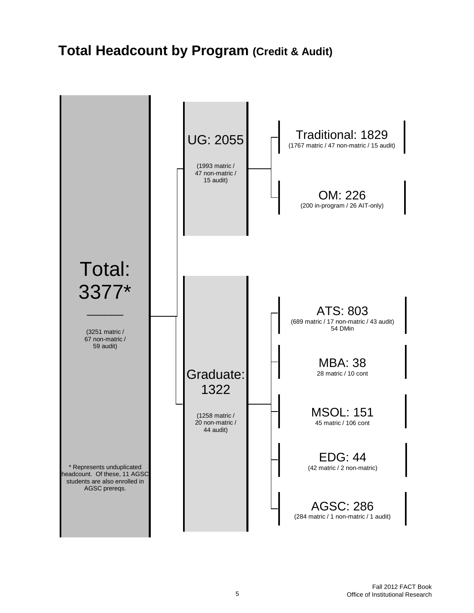# **Total Headcount by Program (Credit & Audit)**

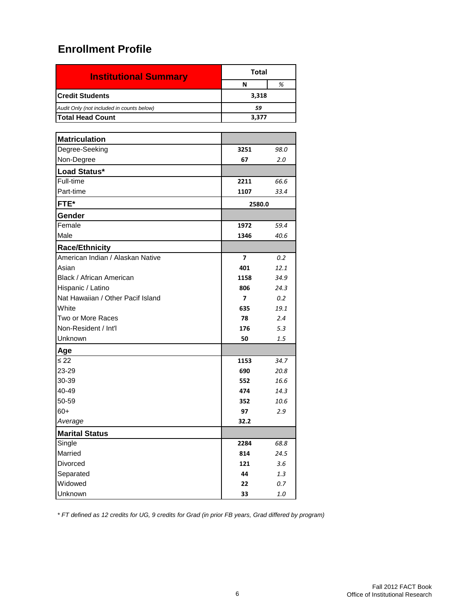| <b>Institutional Summary</b>              | Total |   |  |  |
|-------------------------------------------|-------|---|--|--|
|                                           | N     | % |  |  |
| <b>Credit Students</b><br>3,318           |       |   |  |  |
| Audit Only (not included in counts below) | 59    |   |  |  |
| <b>Total Head Count</b>                   | 3,377 |   |  |  |

| <b>Matriculation</b>              |                         |      |
|-----------------------------------|-------------------------|------|
| Degree-Seeking                    | 3251                    | 98.0 |
| Non-Degree                        | 67                      | 2.0  |
| Load Status*                      |                         |      |
| Full-time                         | 2211                    | 66.6 |
| Part-time                         | 1107                    | 33.4 |
| FTE*                              | 2580.0                  |      |
| Gender                            |                         |      |
| Female                            | 1972                    | 59.4 |
| Male                              | 1346                    | 40.6 |
| <b>Race/Ethnicity</b>             |                         |      |
| American Indian / Alaskan Native  | $\overline{\mathbf{z}}$ | 0.2  |
| Asian                             | 401                     | 12.1 |
| Black / African American          | 1158                    | 34.9 |
| Hispanic / Latino                 | 806                     | 24.3 |
| Nat Hawaiian / Other Pacif Island | 7                       | 0.2  |
| White                             | 635                     | 19.1 |
| Two or More Races                 | 78                      | 2.4  |
| Non-Resident / Int'l              | 176                     | 5.3  |
| Unknown                           | 50                      | 1.5  |
| Age                               |                         |      |
| ≤ 22                              | 1153                    | 34.7 |
| 23-29                             | 690                     | 20.8 |
| 30-39                             | 552                     | 16.6 |
| 40-49                             | 474                     | 14.3 |
| 50-59                             | 352                     | 10.6 |
| $60+$                             | 97                      | 2.9  |
| Average                           | 32.2                    |      |
| <b>Marital Status</b>             |                         |      |
| Single                            | 2284                    | 68.8 |
| Married                           | 814                     | 24.5 |
| Divorced                          | 121                     | 3.6  |
| Separated                         | 44                      | 1.3  |
| Widowed                           | 22                      | 0.7  |
| Unknown                           | 33                      | 1.0  |

*\* FT defined as 12 credits for UG, 9 credits for Grad (in prior FB years, Grad differed by program)*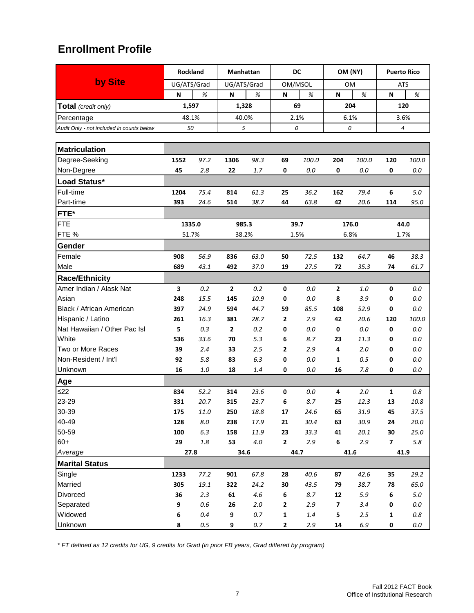|                                           | Rockland    |         | Manhattan      |         | DC             |         | OM (NY)                 |         | <b>Puerto Rico</b>      |          |  |  |
|-------------------------------------------|-------------|---------|----------------|---------|----------------|---------|-------------------------|---------|-------------------------|----------|--|--|
| by Site                                   | UG/ATS/Grad |         | UG/ATS/Grad    |         | OM/MSOL        |         | OМ                      |         | <b>ATS</b>              |          |  |  |
|                                           | N           | %       | N              | %       | N              | %       | N                       | %       | N                       | %        |  |  |
| Total (credit only)                       |             | 1,597   |                | 1,328   |                | 69      |                         | 204     |                         | 120      |  |  |
| Percentage                                |             | 48.1%   |                | 40.0%   |                | 2.1%    |                         | 6.1%    |                         | 3.6%     |  |  |
| Audit Only - not included in counts below | 50          |         | 5              |         |                | 0       |                         | 0       |                         | 4        |  |  |
|                                           |             |         |                |         |                |         |                         |         |                         |          |  |  |
| <b>Matriculation</b>                      |             |         |                |         |                |         |                         |         |                         |          |  |  |
| Degree-Seeking                            | 1552        | 97.2    | 1306           | 98.3    | 69             | 100.0   | 204                     | 100.0   | 120                     | 100.0    |  |  |
| Non-Degree                                | 45          | 2.8     | 22             | 1.7     | 0              | 0.0     | 0                       | 0.0     | 0                       | $0.0\,$  |  |  |
| Load Status*                              |             |         |                |         |                |         |                         |         |                         |          |  |  |
| Full-time                                 | 1204        | 75.4    | 814            | 61.3    | 25             | 36.2    | 162                     | 79.4    | 6                       | 5.0      |  |  |
| Part-time                                 | 393         | 24.6    | 514            | 38.7    | 44             | 63.8    | 42                      | 20.6    | 114                     | 95.0     |  |  |
| FTE*                                      |             |         |                |         |                |         |                         |         |                         |          |  |  |
| <b>FTE</b>                                | 1335.0      |         |                | 985.3   |                | 39.7    |                         | 176.0   |                         | 44.0     |  |  |
| FTE %                                     | 51.7%       |         |                | 38.2%   |                | 1.5%    |                         | 6.8%    |                         | 1.7%     |  |  |
| Gender                                    |             |         |                |         |                |         |                         |         |                         |          |  |  |
| Female                                    | 908         | 56.9    | 836            | 63.0    | 50             | 72.5    | 132                     | 64.7    | 46                      | 38.3     |  |  |
| Male                                      | 689         | 43.1    | 492            | 37.0    | 19             | 27.5    | 72                      | 35.3    | 74                      | 61.7     |  |  |
| <b>Race/Ethnicity</b>                     |             |         |                |         |                |         |                         |         |                         |          |  |  |
| Amer Indian / Alask Nat                   | 3           | 0.2     | $\mathbf{2}$   | 0.2     | $\pmb{0}$      | 0.0     | $\mathbf{2}$            | 1.0     | 0                       | 0.0      |  |  |
| Asian                                     | 248         | 15.5    | 145            | 10.9    | 0              | 0.0     | 8                       | 3.9     | 0                       | $0.0\,$  |  |  |
| Black / African American                  | 397         | 24.9    | 594            | 44.7    | 59             | 85.5    | 108                     | 52.9    | 0                       | 0.0      |  |  |
| Hispanic / Latino                         | 261         | 16.3    | 381            | 28.7    | $\overline{2}$ | 2.9     | 42                      | 20.6    | 120                     | 100.0    |  |  |
| Nat Hawaiian / Other Pac Isl              | 5           | 0.3     | $\overline{2}$ | 0.2     | 0              | 0.0     | 0                       | $0.0\,$ | 0                       | $0.0\,$  |  |  |
| White                                     | 536         | 33.6    | 70             | 5.3     | 6              | 8.7     | 23                      | 11.3    | 0                       | 0.0      |  |  |
| Two or More Races                         | 39          | 2.4     | 33             | 2.5     | 2              | 2.9     | 4                       | 2.0     | 0                       | 0.0      |  |  |
| Non-Resident / Int'l                      | 92          | 5.8     | 83             | 6.3     | 0              | 0.0     | 1                       | 0.5     | 0                       | 0.0      |  |  |
| Unknown                                   | 16          | $1.0\,$ | 18             | 1.4     | $\mathbf 0$    | 0.0     | 16                      | 7.8     | 0                       | 0.0      |  |  |
| Age                                       |             |         |                |         |                |         |                         |         |                         |          |  |  |
| $\leq$ 22                                 | 834         | 52.2    | 314            | 23.6    | 0              | $0.0\,$ | 4                       | 2.0     | $\mathbf{1}$            | 0.8      |  |  |
| 23-29                                     | 331         | 20.7    | 315            | 23.7    | 6              | 8.7     | 25                      | 12.3    | 13                      | 10.8     |  |  |
| 30-39                                     | 175         | 11.0    | 250            | 18.8    | 17             | 24.6    | 65                      | 31.9    | 45                      | 37.5     |  |  |
| 40-49                                     | 128         | $8.0\,$ | 238            | 17.9    | 21             | 30.4    | 63                      | 30.9    | 24                      | $20.0\,$ |  |  |
| 50-59                                     | 100         | 6.3     | 158            | 11.9    | 23             | 33.3    | 41                      | 20.1    | 30                      | 25.0     |  |  |
| $60+$                                     | 29          | $1.8\,$ | 53             | $4.0\,$ | $\mathbf{2}$   | 2.9     | $\bf 6$                 | 2.9     | $\overline{\mathbf{z}}$ | $5.8\,$  |  |  |
| Average                                   |             | 27.8    |                | 34.6    |                | 44.7    |                         | 41.6    |                         | 41.9     |  |  |
| <b>Marital Status</b>                     |             |         |                |         |                |         |                         |         |                         |          |  |  |
| Single                                    | 1233        | 77.2    | 901            | 67.8    | 28             | 40.6    | 87                      | 42.6    | 35                      | 29.2     |  |  |
| Married                                   | 305         | 19.1    | 322            | 24.2    | 30             | 43.5    | 79                      | 38.7    | 78                      | 65.0     |  |  |
| Divorced                                  | 36          | 2.3     | 61             | $4.6\,$ | 6              | 8.7     | ${\bf 12}$              | $5.9$   | 6                       | $5.0\,$  |  |  |
| Separated                                 | 9           | $0.6\,$ | 26             | $2.0\,$ | $\mathbf 2$    | 2.9     | $\overline{\mathbf{z}}$ | 3.4     | 0                       | $0.0\,$  |  |  |
| Widowed                                   | 6           | $0.4\,$ | 9              | $0.7\,$ | $\mathbf 1$    | $1.4\,$ | 5                       | 2.5     | 1                       | $0.8\,$  |  |  |
| Unknown                                   | 8           | $0.5\,$ | 9              | 0.7     | $\mathbf{2}$   | 2.9     | 14                      | $6.9\,$ | 0                       | $0.0\,$  |  |  |

*\* FT defined as 12 credits for UG, 9 credits for Grad (in prior FB years, Grad differed by program)*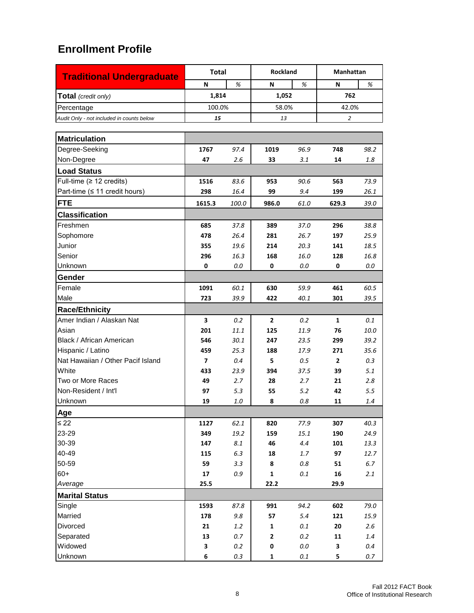|                                           | <b>Total</b> |         | <b>Rockland</b> |         | <b>Manhattan</b> |         |
|-------------------------------------------|--------------|---------|-----------------|---------|------------------|---------|
| <b>Traditional Undergraduate</b>          | N            | %       | N               | %       | N                | %       |
| <b>Total</b> (credit only)                | 1,814        |         | 1,052           |         | 762              |         |
| Percentage                                | 100.0%       |         | 58.0%           |         | 42.0%            |         |
| Audit Only - not included in counts below | 15           |         | 13              |         | 2                |         |
|                                           |              |         |                 |         |                  |         |
| <b>Matriculation</b>                      |              |         |                 |         |                  |         |
| Degree-Seeking                            | 1767         | 97.4    | 1019            | 96.9    | 748              | 98.2    |
| Non-Degree                                | 47           | 2.6     | 33              | 3.1     | 14               | 1.8     |
| <b>Load Status</b>                        |              |         |                 |         |                  |         |
| Full-time (≥ 12 credits)                  | 1516         | 83.6    | 953             | 90.6    | 563              | 73.9    |
| Part-time (≤ 11 credit hours)             | 298          | 16.4    | 99              | 9.4     | 199              | 26.1    |
| <b>FTE</b>                                | 1615.3       | 100.0   | 986.0           | 61.0    | 629.3            | 39.0    |
| <b>Classification</b>                     |              |         |                 |         |                  |         |
| Freshmen                                  | 685          | 37.8    | 389             | 37.0    | 296              | 38.8    |
| Sophomore                                 | 478          | 26.4    | 281             | 26.7    | 197              | 25.9    |
| Junior                                    | 355          | 19.6    | 214             | 20.3    | 141              | 18.5    |
| Senior                                    | 296          | 16.3    | 168             | 16.0    | 128              | 16.8    |
| Unknown                                   | 0            | 0.0     | 0               | 0.0     | 0                | 0.0     |
| Gender                                    |              |         |                 |         |                  |         |
| Female                                    | 1091         | 60.1    | 630             | 59.9    | 461              | 60.5    |
| Male                                      | 723          | 39.9    | 422             | 40.1    | 301              | 39.5    |
| <b>Race/Ethnicity</b>                     |              |         |                 |         |                  |         |
| Amer Indian / Alaskan Nat                 | 3            | 0.2     | $\overline{2}$  | 0.2     | $\mathbf{1}$     | 0.1     |
| Asian                                     | 201          | 11.1    | 125             | 11.9    | 76               | 10.0    |
| Black / African American                  | 546          | 30.1    | 247             | 23.5    | 299              | 39.2    |
| Hispanic / Latino                         | 459          | 25.3    | 188             | 17.9    | 271              | 35.6    |
| Nat Hawaiian / Other Pacif Island         | 7            | 0.4     | 5               | 0.5     | $\overline{2}$   | 0.3     |
| White                                     | 433          | 23.9    | 394             | 37.5    | 39               | 5.1     |
| Two or More Races                         | 49           | 2.7     | 28              | 2.7     | 21               | 2.8     |
| Non-Resident / Int'l                      | 97           | 5.3     | 55              | 5.2     | 42               | 5.5     |
| Unknown                                   | 19           | 1.0     | 8               | 0.8     | 11               | 1.4     |
| Age                                       |              |         |                 |         |                  |         |
| $\leq 22$                                 | 1127         | 62.1    | 820             | 77.9    | 307              | 40.3    |
| 23-29                                     | 349          | 19.2    | 159             | 15.1    | 190              | 24.9    |
| 30-39                                     | 147          | $8.1\,$ | 46              | 4.4     | 101              | 13.3    |
| 40-49                                     | 115          | 6.3     | 18              | 1.7     | 97               | 12.7    |
| 50-59                                     | 59           | 3.3     | 8               | $0.8\,$ | 51               | $6.7\,$ |
| $60+$                                     | 17           | 0.9     | $\mathbf 1$     | $0.1\,$ | 16               | 2.1     |
| Average                                   | 25.5         |         | 22.2            |         | 29.9             |         |
| <b>Marital Status</b>                     |              |         |                 |         |                  |         |
| Single                                    | 1593         | 87.8    | 991             | 94.2    | 602              | 79.0    |
| Married                                   | 178          | 9.8     | 57              | 5.4     | 121              | 15.9    |
| Divorced                                  | 21           | 1.2     | $\mathbf 1$     | 0.1     | 20               | 2.6     |
| Separated                                 | 13           | 0.7     | 2               | 0.2     | 11               | $1.4\,$ |
| Widowed                                   | 3            | 0.2     | 0               | $0.0\,$ | 3                | 0.4     |
| Unknown                                   | 6            | $0.3\,$ | 1               | $0.1\,$ | 5                | $0.7\,$ |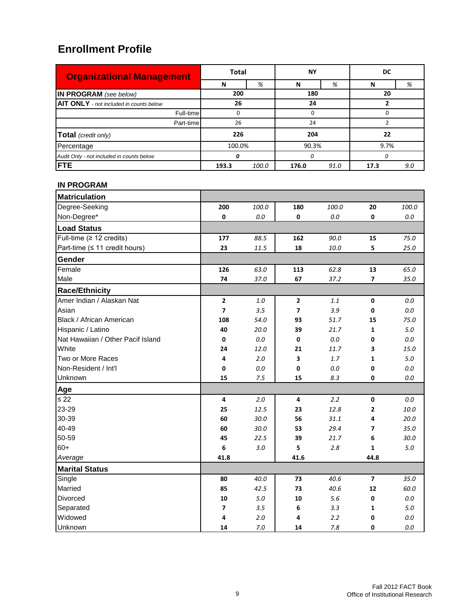| <b>Organizational Management</b>               | <b>Total</b>   |   | NΥ       |      | DC   |     |
|------------------------------------------------|----------------|---|----------|------|------|-----|
|                                                | N              | % | N        | %    | N    | %   |
| IN PROGRAM (see below)                         | 200            |   | 180      |      | 20   |     |
| <b>AIT ONLY</b> - not included in counts below | 26             |   | 24       |      |      |     |
| Full-time                                      |                |   | $\Omega$ |      |      |     |
| Part-time                                      | 26             |   | 24       |      |      |     |
| Total (credit only)                            | 226            |   | 204      |      | 22   |     |
| Percentage                                     | 100.0%         |   | 90.3%    |      | 9.7% |     |
| Audit Only - not included in counts below      | n              |   | $\Omega$ |      |      |     |
| <b>FTE</b>                                     | 193.3<br>100.0 |   | 176.0    | 91.0 | 17.3 | 9.0 |

#### **IN PROGRAM**

| <b>Matriculation</b>              |                |         |                |         |                |         |
|-----------------------------------|----------------|---------|----------------|---------|----------------|---------|
| Degree-Seeking                    | 200            | 100.0   | 180            | 100.0   | 20             | 100.0   |
| Non-Degree*                       | 0              | $0.0\,$ | $\mathbf 0$    | $0.0\,$ | 0              | $0.0\,$ |
| <b>Load Status</b>                |                |         |                |         |                |         |
| Full-time (≥ 12 credits)          | 177            | 88.5    | 162            | 90.0    | 15             | 75.0    |
| Part-time (≤ 11 credit hours)     | 23             | 11.5    | 18             | 10.0    | 5              | 25.0    |
| Gender                            |                |         |                |         |                |         |
| Female                            | 126            | 63.0    | 113            | 62.8    | 13             | 65.0    |
| Male                              | 74             | 37.0    | 67             | 37.2    | 7              | 35.0    |
| <b>Race/Ethnicity</b>             |                |         |                |         |                |         |
| Amer Indian / Alaskan Nat         | $\mathbf{2}$   | 1.0     | $\mathbf{2}$   | 1.1     | $\pmb{0}$      | 0.0     |
| Asian                             | $\overline{7}$ | 3.5     | $\overline{7}$ | 3.9     | 0              | $0.0\,$ |
| Black / African American          | 108            | 54.0    | 93             | 51.7    | 15             | 75.0    |
| Hispanic / Latino                 | 40             | 20.0    | 39             | 21.7    | $\mathbf{1}$   | $5.0\,$ |
| Nat Hawaiian / Other Pacif Island | 0              | $0.0\,$ | $\pmb{0}$      | $0.0\,$ | 0              | $0.0\,$ |
| White                             | 24             | 12.0    | 21             | 11.7    | 3              | 15.0    |
| Two or More Races                 | 4              | 2.0     | 3              | 1.7     | $\mathbf{1}$   | $5.0\,$ |
| Non-Resident / Int'l              | 0              | $0.0\,$ | $\pmb{0}$      | $0.0\,$ | 0              | $0.0\,$ |
| Unknown                           | 15             | 7.5     | 15             | 8.3     | 0              | 0.0     |
| Age                               |                |         |                |         |                |         |
| $\leq 22$                         | 4              | 2.0     | 4              | 2.2     | $\mathbf 0$    | 0.0     |
| 23-29                             | 25             | 12.5    | 23             | 12.8    | $\mathbf{2}$   | 10.0    |
| 30-39                             | 60             | 30.0    | 56             | 31.1    | 4              | 20.0    |
| 40-49                             | 60             | 30.0    | 53             | 29.4    | 7              | 35.0    |
| 50-59                             | 45             | 22.5    | 39             | 21.7    | 6              | 30.0    |
| $60+$                             | 6              | 3.0     | 5              | 2.8     | 1              | $5.0\,$ |
| Average                           | 41.8           |         | 41.6           |         | 44.8           |         |
| <b>Marital Status</b>             |                |         |                |         |                |         |
| Single                            | 80             | 40.0    | 73             | 40.6    | $\overline{7}$ | 35.0    |
| Married                           | 85             | 42.5    | 73             | 40.6    | 12             | 60.0    |
| Divorced                          | 10             | $5.0$   | 10             | 5.6     | 0              | $0.0\,$ |
| Separated                         | 7              | 3.5     | 6              | 3.3     | 1              | 5.0     |
| Widowed                           | 4              | 2.0     | 4              | 2.2     | 0              | $0.0\,$ |
| Unknown                           | 14             | 7.0     | 14             | $7.8$   | 0              | $0.0\,$ |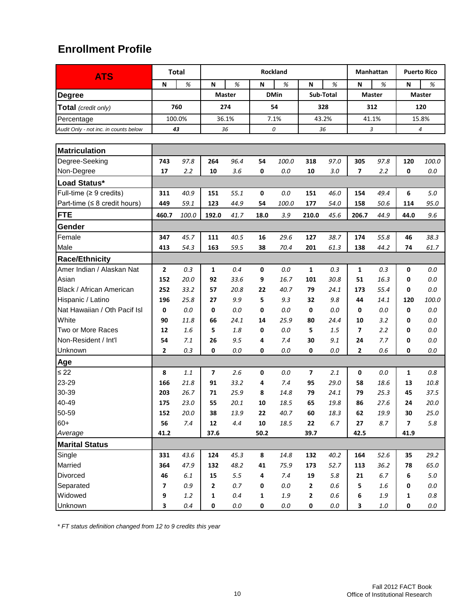| <b>ATS</b>                                 |                           | <b>Total</b> |            |               |              | <b>Rockland</b> |                |           |       | Manhattan     |                | <b>Puerto Rico</b> |
|--------------------------------------------|---------------------------|--------------|------------|---------------|--------------|-----------------|----------------|-----------|-------|---------------|----------------|--------------------|
|                                            | $\boldsymbol{\mathsf{N}}$ | $\%$         | N          | %             | N            | %               | N              | %         | N     | %             | N              | %                  |
| <b>Degree</b>                              |                           |              |            | <b>Master</b> |              | <b>DMin</b>     |                | Sub-Total |       | <b>Master</b> |                | <b>Master</b>      |
| Total (credit only)                        |                           | 760          |            | 274           |              | 54              |                | 328       |       | 312           |                | 120                |
| Percentage                                 |                           | 100.0%       |            | 36.1%         |              | 7.1%            |                | 43.2%     | 41.1% |               |                | 15.8%              |
| Audit Only - not inc. in counts below      | 43                        |              | 36         |               |              | 0               |                | 36        |       | 3             |                | 4                  |
|                                            |                           |              |            |               |              |                 |                |           |       |               |                |                    |
| <b>Matriculation</b>                       |                           |              |            |               |              |                 |                |           |       |               |                |                    |
| Degree-Seeking                             | 743                       | 97.8         | 264        | 96.4          | 54           | 100.0           | 318            | 97.0      | 305   | 97.8          | 120            | 100.0              |
| Non-Degree                                 | 17                        | 2.2          | 10         | 3.6           | 0            | 0.0             | 10             | 3.0       | 7     | 2.2           | 0              | $0.0\,$            |
| Load Status*                               |                           |              |            |               |              |                 |                |           |       |               |                |                    |
| Full-time ( $\geq 9$ credits)              | 311                       | 40.9         | 151        | 55.1          | 0            | 0.0             | 151            | 46.0      | 154   | 49.4          | 6              | 5.0                |
| Part-time $( \leq 8 \text{ credit hours})$ | 449                       | 59.1         | 123        | 44.9          | 54           | 100.0           | 177            | 54.0      | 158   | 50.6          | 114            | 95.0               |
| <b>FTE</b>                                 | 460.7                     | 100.0        | 192.0      | 41.7          | 18.0         | 3.9             | 210.0          | 45.6      | 206.7 | 44.9          | 44.0           | 9.6                |
| <b>Gender</b>                              |                           |              |            |               |              |                 |                |           |       |               |                |                    |
| Female                                     | 347                       | 45.7         | 111        | 40.5          | 16           | 29.6            | 127            | 38.7      | 174   | 55.8          | 46             | 38.3               |
| Male                                       | 413                       | 54.3         | 163        | 59.5          | 38           | 70.4            | 201            | 61.3      | 138   | 44.2          | 74             | 61.7               |
| <b>Race/Ethnicity</b>                      |                           |              |            |               |              |                 |                |           |       |               |                |                    |
| Amer Indian / Alaskan Nat                  | $\overline{2}$            | 0.3          | 1          | 0.4           | 0            | 0.0             | $\mathbf{1}$   | 0.3       | 1     | 0.3           | 0              | 0.0                |
| Asian                                      | 152                       | 20.0         | 92         | 33.6          | 9            | 16.7            | 101            | 30.8      | 51    | 16.3          | 0              | 0.0                |
| Black / African American                   | 252                       | 33.2         | 57         | 20.8          | 22           | 40.7            | 79             | 24.1      | 173   | 55.4          | 0              | 0.0                |
| Hispanic / Latino                          | 196                       | 25.8         | 27         | 9.9           | 5            | 9.3             | 32             | 9.8       | 44    | 14.1          | 120            | 100.0              |
| Nat Hawaiian / Oth Pacif Isl               | 0                         | 0.0          | 0          | 0.0           | 0            | 0.0             | 0              | 0.0       | 0     | 0.0           | 0              | $0.0\,$            |
| White                                      | 90                        | 11.8         | 66         | 24.1          | 14           | 25.9            | 80             | 24.4      | 10    | 3.2           | 0              | 0.0                |
| Two or More Races                          | 12                        | 1.6          | 5          | 1.8           | 0            | 0.0             | 5              | 1.5       | 7     | 2.2           | 0              | $0.0\,$            |
| Non-Resident / Int'l                       | 54                        | 7.1          | 26         | 9.5           | 4            | 7.4             | 30             | 9.1       | 24    | 7.7           | 0              | 0.0                |
| Unknown                                    | 2                         | 0.3          | 0          | 0.0           | 0            | 0.0             | 0              | 0.0       | 2     | 0.6           | 0              | 0.0                |
| Age                                        |                           |              |            |               |              |                 |                |           |       |               |                |                    |
| $\leq 22$                                  | 8                         | 1.1          | 7          | 2.6           | 0            | 0.0             | $\overline{7}$ | 2.1       | 0     | 0.0           | $\mathbf{1}$   | 0.8                |
| 23-29                                      | 166                       | 21.8         | 91         | 33.2          | 4            | 7.4             | 95             | 29.0      | 58    | 18.6          | 13             | 10.8               |
| 30-39                                      | 203                       | 26.7         | 71         | 25.9          | 8            | 14.8            | 79             | 24.1      | 79    | 25.3          | 45             | 37.5               |
| 40-49                                      | 175                       | 23.0         | 55         | 20.1          | 10           | 18.5            | 65             | 19.8      | 86    | 27.6          | 24             | 20.0               |
| 50-59                                      | 152                       | 20.0         | 38         | 13.9          | 22           | 40.7            | 60             | 18.3      | 62    | 19.9          | 30             | 25.0               |
| $60+$                                      | 56                        | 7.4          | ${\bf 12}$ | 4.4           | ${\bf 10}$   | 18.5            | 22             | 6.7       | 27    | 8.7           | $\overline{7}$ | 5.8                |
| Average                                    | 41.2                      |              | 37.6       |               | 50.2         |                 | 39.7           |           | 42.5  |               | 41.9           |                    |
| <b>Marital Status</b>                      |                           |              |            |               |              |                 |                |           |       |               |                |                    |
| Single                                     | 331                       | 43.6         | 124        | 45.3          | 8            | 14.8            | 132            | 40.2      | 164   | 52.6          | 35             | 29.2               |
| Married                                    | 364                       | 47.9         | 132        | 48.2          | 41           | 75.9            | 173            | 52.7      | 113   | 36.2          | 78             | 65.0               |
| Divorced                                   | 46                        | 6.1          | 15         | $5.5\,$       | 4            | 7.4             | 19             | 5.8       | 21    | 6.7           | 6              | $5.0\,$            |
| Separated                                  | $\overline{\mathbf{z}}$   | 0.9          | 2          | $0.7\,$       | 0            | $0.0\,$         | $\mathbf{2}$   | $0.6\,$   | 5     | 1.6           | 0              | $0.0\,$            |
| Widowed                                    | 9                         | $1.2\,$      | 1          | 0.4           | $\mathbf{1}$ | 1.9             | $\mathbf{2}$   | $0.6\,$   | 6     | 1.9           | 1              | $0.8\,$            |
| Unknown                                    | 3                         | 0.4          | 0          | $0.0\,$       | 0            | $0.0\,$         | 0              | $0.0\,$   | 3     | $1.0\,$       | $\pmb{0}$      | $0.0\,$            |

*\* FT status definition changed from 12 to 9 credits this year*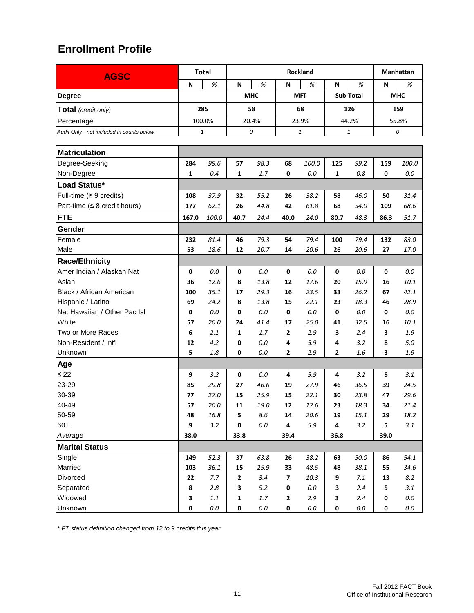| <b>AGSC</b>                               |       | <b>Total</b> |              |            |              | Rockland     |              |           | Manhattan  |         |  |
|-------------------------------------------|-------|--------------|--------------|------------|--------------|--------------|--------------|-----------|------------|---------|--|
|                                           | N     | %            | N            | %          | N            | %            | N            | %         | N          | %       |  |
| <b>Degree</b>                             |       |              |              | <b>MHC</b> |              | <b>MFT</b>   |              | Sub-Total | <b>MHC</b> |         |  |
| Total (credit only)                       |       | 285          |              | 58         |              | 68           |              | 126       |            | 159     |  |
| Percentage                                |       | 100.0%       |              | 20.4%      |              | 23.9%        |              | 44.2%     |            | 55.8%   |  |
| Audit Only - not included in counts below |       | 1            | 0            |            |              | $\mathbf{1}$ | 1            |           | 0          |         |  |
|                                           |       |              |              |            |              |              |              |           |            |         |  |
| <b>Matriculation</b>                      |       |              |              |            |              |              |              |           |            |         |  |
| Degree-Seeking                            | 284   | 99.6         | 57           | 98.3       | 68           | 100.0        | 125          | 99.2      | 159        | 100.0   |  |
| Non-Degree                                | 1     | 0.4          | 1            | 1.7        | 0            | 0.0          | 1            | 0.8       | 0          | $0.0\,$ |  |
| Load Status*                              |       |              |              |            |              |              |              |           |            |         |  |
| Full-time $(≥ 9$ credits)                 | 108   | 37.9         | 32           | 55.2       | 26           | 38.2         | 58           | 46.0      | 50         | 31.4    |  |
| Part-time ( $\leq 8$ credit hours)        | 177   | 62.1         | 26           | 44.8       | 42           | 61.8         | 68           | 54.0      | 109        | 68.6    |  |
| <b>FTE</b>                                | 167.0 | 100.0        | 40.7         | 24.4       | 40.0         | 24.0         | 80.7         | 48.3      | 86.3       | 51.7    |  |
| Gender                                    |       |              |              |            |              |              |              |           |            |         |  |
| Female                                    | 232   | 81.4         | 46           | 79.3       | 54           | 79.4         | 100          | 79.4      | 132        | 83.0    |  |
| Male                                      | 53    | 18.6         | 12           | 20.7       | 14           | 20.6         | 26           | 20.6      | 27         | 17.0    |  |
| <b>Race/Ethnicity</b>                     |       |              |              |            |              |              |              |           |            |         |  |
| Amer Indian / Alaskan Nat                 | 0     | 0.0          | 0            | 0.0        | 0            | 0.0          | 0            | 0.0       | 0          | 0.0     |  |
| Asian                                     | 36    | 12.6         | 8            | 13.8       | 12           | 17.6         | 20           | 15.9      | 16         | 10.1    |  |
| Black / African American                  | 100   | 35.1         | 17           | 29.3       | 16           | 23.5         | 33           | 26.2      | 67         | 42.1    |  |
| Hispanic / Latino                         | 69    | 24.2         | 8            | 13.8       | 15           | 22.1         | 23           | 18.3      | 46         | 28.9    |  |
| Nat Hawaiian / Other Pac Isl              | 0     | 0.0          | 0            | 0.0        | 0            | 0.0          | 0            | 0.0       | 0          | 0.0     |  |
| White                                     | 57    | 20.0         | 24           | 41.4       | 17           | 25.0         | 41           | 32.5      | 16         | 10.1    |  |
| Two or More Races                         | 6     | 2.1          | 1            | 1.7        | $\mathbf{2}$ | 2.9          | 3            | 2.4       | 3          | 1.9     |  |
| Non-Resident / Int'l                      | 12    | 4.2          | 0            | 0.0        | 4            | 5.9          | 4            | 3.2       | 8          | 5.0     |  |
| Unknown                                   | 5     | 1.8          | 0            | 0.0        | $\mathbf{2}$ | 2.9          | $\mathbf{2}$ | 1.6       | 3          | 1.9     |  |
| Age                                       |       |              |              |            |              |              |              |           |            |         |  |
| $\leq 22$                                 | 9     | 3.2          | 0            | 0.0        | 4            | 5.9          | 4            | 3.2       | 5          | 3.1     |  |
| 23-29                                     | 85    | 29.8         | 27           | 46.6       | 19           | 27.9         | 46           | 36.5      | 39         | 24.5    |  |
| 30-39                                     | 77    | 27.0         | 15           | 25.9       | 15           | 22.1         | 30           | 23.8      | 47         | 29.6    |  |
| 40-49                                     | 57    | 20.0         | 11           | 19.0       | 12           | 17.6         | 23           | 18.3      | 34         | 21.4    |  |
| 50-59                                     | 48    | 16.8         | 5            | $8.6\,$    | 14           | $20.6\,$     | 19           | 15.1      | 29         | 18.2    |  |
| $60+$                                     | 9     | 3.2          | $\pmb{0}$    | $0.0\,$    | 4            | $5.9$        | 4            | 3.2       | 5          | 3.1     |  |
| Average                                   | 38.0  |              | 33.8         |            | 39.4         |              | 36.8         |           | 39.0       |         |  |
| <b>Marital Status</b>                     |       |              |              |            |              |              |              |           |            |         |  |
| Single                                    | 149   | 52.3         | 37           | 63.8       | 26           | 38.2         | 63           | 50.0      | 86         | 54.1    |  |
| Married                                   | 103   | 36.1         | 15           | 25.9       | 33           | 48.5         | 48           | 38.1      | 55         | 34.6    |  |
| Divorced                                  | 22    | 7.7          | $\mathbf{2}$ | 3.4        | 7            | 10.3         | 9            | 7.1       | 13         | 8.2     |  |
| Separated                                 | 8     | 2.8          | 3            | $5.2$      | $\pmb{0}$    | $0.0\,$      | 3            | 2.4       | 5          | 3.1     |  |
| Widowed                                   | 3     | $1.1\,$      | $\mathbf 1$  | $1.7\,$    | $\mathbf 2$  | 2.9          | 3            | 2.4       | 0          | $0.0\,$ |  |
| Unknown                                   | 0     | $0.0\,$      | $\pmb{0}$    | $0.0\,$    | $\pmb{0}$    | $0.0\,$      | 0            | $0.0\,$   | 0          | $0.0\,$ |  |

*\* FT status definition changed from 12 to 9 credits this year*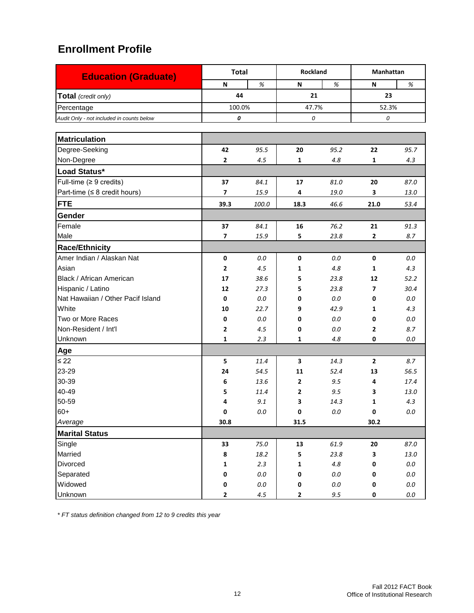| <b>Education (Graduate)</b>               | <b>Total</b> |         | Rockland       |         | <b>Manhattan</b>         |          |
|-------------------------------------------|--------------|---------|----------------|---------|--------------------------|----------|
|                                           | N            | %       | N              | %       | N                        | %        |
| Total (credit only)                       | 44           |         | 21             |         | 23                       |          |
| Percentage                                | 100.0%       |         | 47.7%          |         | 52.3%                    |          |
| Audit Only - not included in counts below | 0            |         | 0              |         | 0                        |          |
|                                           |              |         |                |         |                          |          |
| <b>Matriculation</b>                      |              |         |                |         |                          |          |
| Degree-Seeking                            | 42           | 95.5    | 20             | 95.2    | 22                       | 95.7     |
| Non-Degree                                | 2            | 4.5     | 1              | 4.8     | $\mathbf{1}$             | 4.3      |
| Load Status*                              |              |         |                |         |                          |          |
| Full-time ( $\geq 9$ credits)             | 37           | 84.1    | 17             | 81.0    | 20                       | 87.0     |
| Part-time ( $\leq 8$ credit hours)        | 7            | 15.9    | 4              | 19.0    | 3                        | 13.0     |
| <b>FTE</b>                                | 39.3         | 100.0   | 18.3           | 46.6    | 21.0                     | 53.4     |
| Gender                                    |              |         |                |         |                          |          |
| Female                                    | 37           | 84.1    | 16             | 76.2    | 21                       | 91.3     |
| Male                                      | 7            | 15.9    | 5              | 23.8    | $\mathbf{2}$             | 8.7      |
| <b>Race/Ethnicity</b>                     |              |         |                |         |                          |          |
| Amer Indian / Alaskan Nat                 | 0            | 0.0     | $\mathbf 0$    | 0.0     | $\mathbf 0$              | 0.0      |
| Asian                                     | 2            | 4.5     | 1              | 4.8     | 1                        | 4.3      |
| Black / African American                  | 17           | 38.6    | 5              | 23.8    | 12                       | 52.2     |
| Hispanic / Latino                         | 12           | 27.3    | 5              | 23.8    | $\overline{\phantom{a}}$ | 30.4     |
| Nat Hawaiian / Other Pacif Island         | 0            | 0.0     | 0              | 0.0     | 0                        | 0.0      |
| White                                     | 10           | 22.7    | 9              | 42.9    | 1                        | 4.3      |
| Two or More Races                         | 0            | 0.0     | 0              | 0.0     | 0                        | 0.0      |
| Non-Resident / Int'l                      | 2            | 4.5     | 0              | 0.0     | 2                        | 8.7      |
| Unknown                                   | 1            | 2.3     | 1              | 4.8     | 0                        | 0.0      |
| Age                                       |              |         |                |         |                          |          |
| $\leq 22$                                 | 5            | 11.4    | 3              | 14.3    | $\overline{2}$           | 8.7      |
| 23-29                                     | 24           | 54.5    | 11             | 52.4    | 13                       | 56.5     |
| 30-39                                     | 6            | 13.6    | $\overline{2}$ | 9.5     | 4                        | 17.4     |
| 40-49                                     | 5            | 11.4    | $\mathbf{z}$   | 9.5     | 3                        | 13.0     |
| 50-59                                     | 4            | 9.1     | 3              | 14.3    | 1                        | 4.3      |
| $60+$                                     | 0            | $0.0\,$ | 0              | $0.0\,$ | $\pmb{0}$                | $0.0\,$  |
| Average                                   | 30.8         |         | 31.5           |         | 30.2                     |          |
| <b>Marital Status</b>                     |              |         |                |         |                          |          |
| Single                                    | 33           | 75.0    | 13             | 61.9    | 20                       | 87.0     |
| Married                                   | 8            | 18.2    | 5              | 23.8    | 3                        | $13.0\,$ |
| Divorced                                  | 1            | 2.3     | 1              | $4.8\,$ | 0                        | $0.0\,$  |
| Separated                                 | 0            | $0.0\,$ | 0              | $0.0\,$ | 0                        | $0.0\,$  |
| Widowed                                   | $\pmb{0}$    | $0.0\,$ | $\pmb{0}$      | $0.0\,$ | 0                        | $0.0\,$  |
| Unknown                                   | $\mathbf{2}$ | 4.5     | $\mathbf{2}$   | 9.5     | 0                        | $0.0\,$  |

*\* FT status definition changed from 12 to 9 credits this year*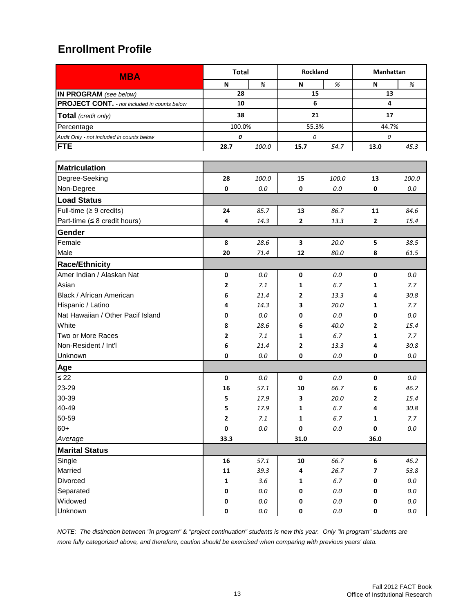| <b>MBA</b>                                          | <b>Total</b> |         | <b>Rockland</b> |         | Manhattan               |         |  |
|-----------------------------------------------------|--------------|---------|-----------------|---------|-------------------------|---------|--|
|                                                     | N            | $\%$    | N               | $\%$    | N                       | $\%$    |  |
| IN PROGRAM (see below)                              | 28           |         | 15              |         | 13                      |         |  |
| <b>PROJECT CONT.</b> - not included in counts below | 10           |         | 6               |         | $\overline{\mathbf{4}}$ |         |  |
| Total (credit only)                                 | 38           |         | 21              |         | 17                      |         |  |
| Percentage                                          | 100.0%       |         | 55.3%           |         | 44.7%                   |         |  |
| Audit Only - not included in counts below           | 0            |         | 0               |         | 0                       |         |  |
| <b>FTE</b>                                          | 28.7         | 100.0   | 15.7            | 54.7    | 13.0                    | 45.3    |  |
|                                                     |              |         |                 |         |                         |         |  |
| <b>Matriculation</b>                                |              |         |                 |         |                         |         |  |
| Degree-Seeking                                      | 28           | 100.0   | 15              | 100.0   | 13                      | 100.0   |  |
| Non-Degree                                          | $\pmb{0}$    | 0.0     | 0               | 0.0     | 0                       | $0.0\,$ |  |
| <b>Load Status</b>                                  |              |         |                 |         |                         |         |  |
| Full-time $(≥ 9 \text{ credits})$                   | 24           | 85.7    | 13              | 86.7    | 11                      | 84.6    |  |
| Part-time (≤ 8 credit hours)                        | 4            | 14.3    | $\mathbf{2}$    | 13.3    | 2                       | 15.4    |  |
| Gender                                              |              |         |                 |         |                         |         |  |
| Female                                              | 8            | 28.6    | 3               | 20.0    | 5                       | 38.5    |  |
| Male                                                | 20           | 71.4    | 12              | 80.0    | 8                       | 61.5    |  |
| <b>Race/Ethnicity</b>                               |              |         |                 |         |                         |         |  |
| Amer Indian / Alaskan Nat                           | $\pmb{0}$    | 0.0     | 0               | $0.0\,$ | 0                       | 0.0     |  |
| Asian                                               | 2            | 7.1     | $\mathbf{1}$    | 6.7     | 1                       | 7.7     |  |
| Black / African American                            | 6            | 21.4    | $\mathbf{2}$    | 13.3    | 4                       | 30.8    |  |
| Hispanic / Latino                                   | 4            | 14.3    | 3               | 20.0    | 1                       | 7.7     |  |
| Nat Hawaiian / Other Pacif Island                   | 0            | 0.0     | 0               | 0.0     | 0                       | 0.0     |  |
| White                                               | 8            | 28.6    | 6               | 40.0    | 2                       | 15.4    |  |
| Two or More Races                                   | 2            | 7.1     | 1               | 6.7     | 1                       | 7.7     |  |
| Non-Resident / Int'l                                | 6            | 21.4    | $\mathbf{2}$    | 13.3    | 4                       | 30.8    |  |
| Unknown                                             | 0            | 0.0     | 0               | $0.0\,$ | 0                       | $0.0\,$ |  |
| Age                                                 |              |         |                 |         |                         |         |  |
| $\leq 22$                                           | $\pmb{0}$    | 0.0     | $\mathbf 0$     | 0.0     | 0                       | 0.0     |  |
| 23-29                                               | 16           | 57.1    | 10              | 66.7    | 6                       | 46.2    |  |
| 30-39                                               | 5            | 17.9    | 3               | 20.0    | 2                       | 15.4    |  |
| 40-49                                               | 5            | 17.9    | 1               | 6.7     | 4                       | 30.8    |  |
| 50-59                                               | 2            | $7.1\,$ | 1               | $6.7$   | 1                       | 7.7     |  |
| $60+$                                               | $\pmb{0}$    | $0.0\,$ | 0               | $0.0\,$ | 0                       | $0.0\,$ |  |
| Average                                             | 33.3         |         | 31.0            |         | 36.0                    |         |  |
| <b>Marital Status</b>                               |              |         |                 |         |                         |         |  |
| Single                                              | 16           | 57.1    | 10              | 66.7    | 6                       | 46.2    |  |
| Married                                             | 11           | 39.3    | 4               | 26.7    | 7                       | 53.8    |  |
| Divorced                                            | 1            | $3.6\,$ | $\mathbf 1$     | $6.7\,$ | 0                       | $0.0\,$ |  |
| Separated                                           | 0            | $0.0\,$ | 0               | $0.0\,$ | 0                       | $0.0\,$ |  |
| Widowed                                             | 0            | $0.0\,$ | 0               | $0.0\,$ | 0                       | $0.0\,$ |  |
| Unknown                                             | $\pmb{0}$    | $0.0\,$ | 0               | $0.0\,$ | 0                       | $0.0\,$ |  |

*NOTE: The distinction between "in program" & "project continuation" students is new this year. Only "in program" students are more fully categorized above, and therefore, caution should be exercised when comparing with previous years' data.*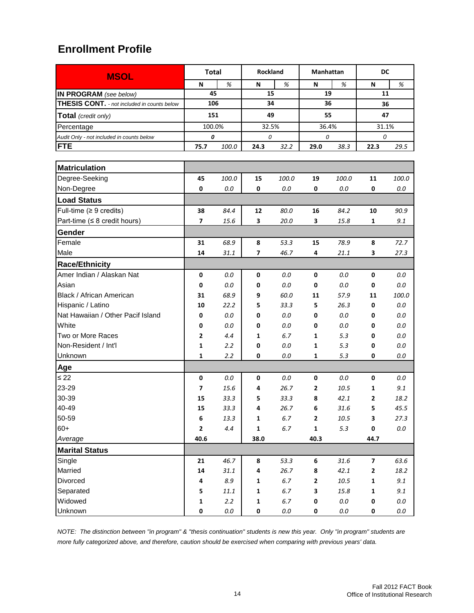| <b>MSOL</b>                                        | <b>Total</b>            |          | <b>Rockland</b> |         | <b>Manhattan</b> |          | DC                      |         |
|----------------------------------------------------|-------------------------|----------|-----------------|---------|------------------|----------|-------------------------|---------|
|                                                    | N                       | $\%$     | N               | %       | N                | %        | N                       | %       |
| IN PROGRAM (see below)                             | 45                      |          | 15              |         | 19               |          | 11                      |         |
| <b>THESIS CONT.</b> - not included in counts below | 106                     |          | 34              |         | 36               |          | 36                      |         |
| <b>Total</b> (credit only)                         | 151                     |          | 49              |         | 55               |          | 47                      |         |
| Percentage                                         | 100.0%                  |          | 32.5%           |         |                  | 36.4%    |                         | 31.1%   |
| Audit Only - not included in counts below          | 0                       |          | 0               |         | 0                |          | 0                       |         |
| <b>FTE</b>                                         | 75.7                    | 100.0    | 24.3            | 32.2    | 29.0             | 38.3     | 22.3                    | 29.5    |
|                                                    |                         |          |                 |         |                  |          |                         |         |
| <b>Matriculation</b>                               |                         |          |                 |         |                  |          |                         |         |
| Degree-Seeking                                     | 45                      | 100.0    | 15              | 100.0   | 19               | 100.0    | 11                      | 100.0   |
| Non-Degree                                         | 0                       | 0.0      | 0               | 0.0     | 0                | 0.0      | 0                       | 0.0     |
| <b>Load Status</b>                                 |                         |          |                 |         |                  |          |                         |         |
| Full-time $(≥ 9$ credits)                          | 38                      | 84.4     | 12              | 80.0    | 16               | 84.2     | 10                      | 90.9    |
| Part-time ( $\leq 8$ credit hours)                 | $\overline{\mathbf{z}}$ | 15.6     | 3               | 20.0    | 3                | 15.8     | 1                       | 9.1     |
| Gender                                             |                         |          |                 |         |                  |          |                         |         |
| Female                                             | 31                      | 68.9     | 8               | 53.3    | 15               | 78.9     | 8                       | 72.7    |
| Male                                               | 14                      | 31.1     | 7               | 46.7    | 4                | 21.1     | 3                       | 27.3    |
| <b>Race/Ethnicity</b>                              |                         |          |                 |         |                  |          |                         |         |
| Amer Indian / Alaskan Nat                          | 0                       | 0.0      | 0               | 0.0     | $\mathbf 0$      | 0.0      | 0                       | 0.0     |
| Asian                                              | 0                       | 0.0      | 0               | 0.0     | 0                | 0.0      | 0                       | 0.0     |
| Black / African American                           | 31                      | 68.9     | 9               | 60.0    | 11               | 57.9     | 11                      | 100.0   |
| Hispanic / Latino                                  | 10                      | 22.2     | 5               | 33.3    | 5                | 26.3     | 0                       | 0.0     |
| Nat Hawaiian / Other Pacif Island                  | 0                       | $0.0\,$  | 0               | $0.0\,$ | 0                | 0.0      | 0                       | 0.0     |
| White                                              | 0                       | $0.0\,$  | 0               | 0.0     | 0                | 0.0      | 0                       | 0.0     |
| Two or More Races                                  | 2                       | 4.4      | 1               | 6.7     | 1                | 5.3      | 0                       | 0.0     |
| Non-Resident / Int'l                               | 1                       | 2.2      | 0               | 0.0     | 1                | 5.3      | 0                       | 0.0     |
| Unknown                                            | 1                       | 2.2      | 0               | 0.0     | 1                | 5.3      | 0                       | 0.0     |
| Age                                                |                         |          |                 |         |                  |          |                         |         |
| $\leq 22$                                          | 0                       | 0.0      | 0               | 0.0     | 0                | 0.0      | 0                       | 0.0     |
| 23-29                                              | 7                       | 15.6     | 4               | 26.7    | $\mathbf{2}$     | 10.5     | 1                       | 9.1     |
| 30-39                                              | 15                      | 33.3     | 5               | 33.3    | 8                | 42.1     | 2                       | 18.2    |
| 40-49                                              | 15                      | 33.3     | 4               | 26.7    | 6                | 31.6     | 5                       | 45.5    |
| 50-59                                              | 6                       | 13.3     | $\mathbf 1$     | 6.7     | $\mathbf{2}$     | $10.5\,$ | 3                       | 27.3    |
| $60+$                                              | $\mathbf{2}$            | 4.4      | 1               | 6.7     | $\mathbf 1$      | 5.3      | 0                       | $0.0\,$ |
| Average                                            | 40.6                    |          | 38.0            |         | 40.3             |          | 44.7                    |         |
| <b>Marital Status</b>                              |                         |          |                 |         |                  |          |                         |         |
| Single                                             | 21                      | 46.7     | 8               | 53.3    | 6                | 31.6     | $\overline{\mathbf{z}}$ | 63.6    |
| Married                                            | 14                      | 31.1     | 4               | 26.7    | 8                | 42.1     | $\mathbf{2}$            | 18.2    |
| Divorced                                           | 4                       | 8.9      | $\mathbf 1$     | 6.7     | $\mathbf 2$      | 10.5     | $\mathbf 1$             | 9.1     |
| Separated                                          | 5                       | $11.1\,$ | $\mathbf 1$     | 6.7     | 3                | 15.8     | $\mathbf 1$             | 9.1     |
| Widowed                                            | $\mathbf 1$             | 2.2      | $\mathbf 1$     | 6.7     | 0                | $0.0\,$  | 0                       | $0.0\,$ |
| Unknown                                            | 0                       | $0.0\,$  | 0               | $0.0\,$ | 0                | $0.0\,$  | 0                       | $0.0\,$ |

*NOTE: The distinction between "in program" & "thesis continuation" students is new this year. Only "in program" students are more fully categorized above, and therefore, caution should be exercised when comparing with previous years' data.*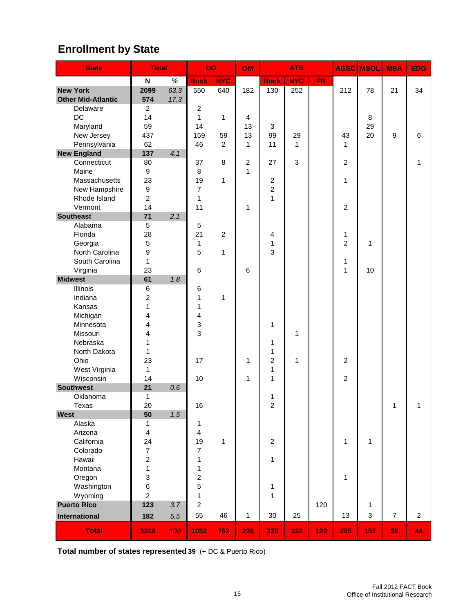# **Enrollment by State**

| <b>State</b>                 | <b>Total</b>              |      | <b>UG</b>               |                | OM           |                              | <b>ATS</b>                |           | AGSC           | <b>MSOL</b>  | <b>MBA</b>     | <b>EDG</b>     |
|------------------------------|---------------------------|------|-------------------------|----------------|--------------|------------------------------|---------------------------|-----------|----------------|--------------|----------------|----------------|
|                              | $\boldsymbol{\mathsf{N}}$ | $\%$ | <b>Rock</b>             | <b>NYC</b>     |              | <b>Rock</b>                  | <b>NYC</b>                | <b>PR</b> |                |              |                |                |
| <b>New York</b>              | 2099                      | 63.3 | 550                     | 640            | 182          | 130                          | 252                       |           | 212            | 78           | 21             | 34             |
| <b>Other Mid-Atlantic</b>    | 574                       | 17.3 |                         |                |              |                              |                           |           |                |              |                |                |
| Delaware                     | $\overline{2}$            |      | $\overline{c}$          |                |              |                              |                           |           |                |              |                |                |
| DC                           | 14                        |      | $\mathbf{1}$            | 1              | 4            |                              |                           |           |                | 8            |                |                |
| Maryland                     | 59                        |      | 14                      |                | 13           | 3                            |                           |           |                | 29           |                |                |
| New Jersey                   | 437                       |      | 159                     | 59             | 13           | 99                           | 29                        |           | 43             | 20           | 9              | 6              |
| Pennsylvania                 | 62                        |      | 46                      | $\overline{c}$ | 1            | 11                           | 1                         |           | 1              |              |                |                |
| <b>New England</b>           | 137                       | 4.1  |                         |                |              |                              |                           |           |                |              |                |                |
| Connecticut                  | 80                        |      | 37                      | 8              | 2            | 27                           | $\ensuremath{\mathsf{3}}$ |           | $\overline{c}$ |              |                | 1              |
| Maine                        | 9                         |      | 8                       |                | $\mathbf{1}$ |                              |                           |           |                |              |                |                |
| Massachusetts                | 23                        |      | 19                      | 1              |              | $\overline{c}$               |                           |           | 1              |              |                |                |
| New Hampshire                | $\boldsymbol{9}$          |      | 7                       |                |              | $\overline{c}$               |                           |           |                |              |                |                |
| Rhode Island                 | $\overline{c}$            |      | 1                       |                |              | $\mathbf{1}$                 |                           |           |                |              |                |                |
| Vermont                      | 14                        |      | 11                      |                | 1            |                              |                           |           | $\overline{2}$ |              |                |                |
| <b>Southeast</b>             | 71                        | 2.1  |                         |                |              |                              |                           |           |                |              |                |                |
| Alabama                      | 5                         |      | 5                       |                |              |                              |                           |           |                |              |                |                |
| Florida                      | 28                        |      | 21                      | $\overline{c}$ |              | 4                            |                           |           | 1              |              |                |                |
| Georgia                      | 5                         |      | 1                       |                |              | 1                            |                           |           | 2              | 1            |                |                |
| North Carolina               | 9                         |      | 5                       | 1              |              | 3                            |                           |           |                |              |                |                |
| South Carolina               | 1                         |      |                         |                |              |                              |                           |           | 1              |              |                |                |
| Virginia                     | 23                        |      | 6                       |                | 6            |                              |                           |           | 1              | 10           |                |                |
| <b>Midwest</b>               | 61                        | 1.8  |                         |                |              |                              |                           |           |                |              |                |                |
| Illinois                     | 6                         |      | 6                       |                |              |                              |                           |           |                |              |                |                |
| Indiana                      | $\overline{c}$            |      | 1                       | 1              |              |                              |                           |           |                |              |                |                |
| Kansas                       | $\mathbf{1}$              |      | 1                       |                |              |                              |                           |           |                |              |                |                |
| Michigan                     | 4                         |      | 4                       |                |              |                              |                           |           |                |              |                |                |
| Minnesota                    | 4                         |      | 3                       |                |              | 1                            |                           |           |                |              |                |                |
| Missouri                     | 4                         |      | 3                       |                |              |                              | 1                         |           |                |              |                |                |
| Nebraska                     | 1                         |      |                         |                |              | 1                            |                           |           |                |              |                |                |
| North Dakota                 | 1                         |      |                         |                |              | 1                            |                           |           |                |              |                |                |
| Ohio                         | 23                        |      | 17                      |                | 1            | $\overline{2}$               | 1                         |           | $\overline{2}$ |              |                |                |
| West Virginia<br>Wisconsin   | $\mathbf{1}$<br>14        |      | 10                      |                |              | $\mathbf{1}$<br>$\mathbf{1}$ |                           |           | $\overline{2}$ |              |                |                |
|                              |                           |      |                         |                | 1            |                              |                           |           |                |              |                |                |
| <b>Southwest</b><br>Oklahoma | 21<br>1                   | 0.6  |                         |                |              |                              |                           |           |                |              |                |                |
|                              | 20                        |      | 16                      |                |              | 1<br>$\mathfrak{p}$          |                           |           |                |              | $\mathbf{1}$   | 1              |
| Texas<br><b>West</b>         | 50                        | 1.5  |                         |                |              |                              |                           |           |                |              |                |                |
| Alaska                       | 1                         |      | 1                       |                |              |                              |                           |           |                |              |                |                |
| Arizona                      | 4                         |      | 4                       |                |              |                              |                           |           |                |              |                |                |
| California                   | 24                        |      | 19                      | $\mathbf{1}$   |              | $\overline{2}$               |                           |           | $\mathbf{1}$   | $\mathbf{1}$ |                |                |
| Colorado                     | $\boldsymbol{7}$          |      | 7                       |                |              |                              |                           |           |                |              |                |                |
| Hawaii                       | $\overline{c}$            |      | $\mathbf{1}$            |                |              | $\mathbf{1}$                 |                           |           |                |              |                |                |
| Montana                      | $\mathbf 1$               |      | 1                       |                |              |                              |                           |           |                |              |                |                |
| Oregon                       | 3                         |      | $\overline{\mathbf{c}}$ |                |              |                              |                           |           | $\mathbf{1}$   |              |                |                |
| Washington                   | 6                         |      | 5                       |                |              | 1                            |                           |           |                |              |                |                |
| Wyoming                      | $\overline{c}$            |      | $\mathbf 1$             |                |              | $\mathbf{1}$                 |                           |           |                |              |                |                |
| <b>Puerto Rico</b>           | 123                       | 3.7  | $\overline{2}$          |                |              |                              |                           | 120       |                | 1            |                |                |
| International                | 182                       | 5.5  | 55                      | 46             | 1            | 30                           | 25                        |           | 13             | 3            | $\overline{7}$ | $\overline{2}$ |
|                              |                           |      |                         |                |              |                              |                           |           |                |              |                |                |
| <b>Total</b>                 | 3318                      | 100  | 1052                    | 762            | 226          | 328                          | 312                       | 120       | 285            | 151          | 38             | 44             |

**Total number of states represented 39** (+ DC & Puerto Rico)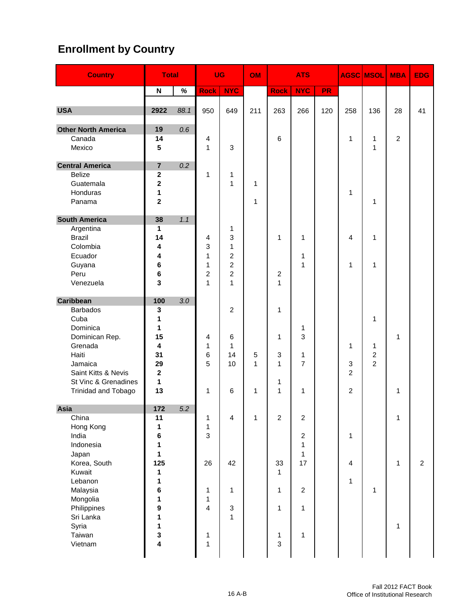# **Enrollment by Country**

| <b>Country</b>                                                                                                                                                                   | <b>Total</b>                                                                                                                |      | <b>UG</b>                                                          |                                                             | OM                     | <b>ATS</b>                                              |                                                                                                               |           | <b>AGSC MSOL</b>                    | <b>MBA</b>                                 | <b>EDG</b>                                   |                |
|----------------------------------------------------------------------------------------------------------------------------------------------------------------------------------|-----------------------------------------------------------------------------------------------------------------------------|------|--------------------------------------------------------------------|-------------------------------------------------------------|------------------------|---------------------------------------------------------|---------------------------------------------------------------------------------------------------------------|-----------|-------------------------------------|--------------------------------------------|----------------------------------------------|----------------|
|                                                                                                                                                                                  | $\boldsymbol{\mathsf{N}}$                                                                                                   | $\%$ | <b>Rock</b>                                                        | <b>NYC</b>                                                  |                        | <b>Rock</b>                                             | <b>NYC</b>                                                                                                    | <b>PR</b> |                                     |                                            |                                              |                |
| <b>USA</b>                                                                                                                                                                       | 2922                                                                                                                        | 88.1 | 950                                                                | 649                                                         | 211                    | 263                                                     | 266                                                                                                           | 120       | 258                                 | 136                                        | 28                                           | 41             |
| <b>Other North America</b><br>Canada<br>Mexico                                                                                                                                   | 19<br>14<br>$5\phantom{1}$                                                                                                  | 0.6  | 4<br>$\mathbf{1}$                                                  | 3                                                           |                        | 6                                                       |                                                                                                               |           | 1                                   | 1<br>1                                     | $\overline{c}$                               |                |
| <b>Central America</b><br><b>Belize</b><br>Guatemala<br>Honduras<br>Panama                                                                                                       | $\overline{7}$<br>$\mathbf{2}$<br>2<br>1<br>$\overline{\mathbf{2}}$                                                         | 0.2  | 1                                                                  | 1<br>1                                                      | 1<br>1                 |                                                         |                                                                                                               |           | 1                                   | 1                                          |                                              |                |
| <b>South America</b><br>Argentina<br><b>Brazil</b><br>Colombia<br>Ecuador<br>Guyana<br>Peru<br>Venezuela                                                                         | 38<br>1<br>14<br>4<br>4<br>6<br>6<br>3                                                                                      | 1.1  | 4<br>3<br>$\mathbf{1}$<br>1<br>$\overline{c}$<br>$\mathbf{1}$      | 1<br>3<br>1<br>2<br>2<br>$\overline{c}$<br>$\mathbf{1}$     |                        | 1<br>2<br>$\mathbf{1}$                                  | 1<br>1<br>$\mathbf{1}$                                                                                        |           | 4<br>1                              | 1<br>1                                     |                                              |                |
| <b>Caribbean</b><br><b>Barbados</b><br>Cuba<br>Dominica<br>Dominican Rep.<br>Grenada<br>Haiti<br>Jamaica<br>Saint Kitts & Nevis<br>St Vinc & Grenadines<br>Trinidad and Tobago   | 100<br>3<br>1<br>1<br>15<br>4<br>31<br>29<br>$\mathbf 2$<br>$\mathbf{1}$<br>13                                              | 3.0  | 4<br>$\mathbf{1}$<br>6<br>5<br>1                                   | $\overline{2}$<br>$\,6$<br>1<br>14<br>10<br>6               | 5<br>$\mathbf{1}$<br>1 | 1<br>1<br>3<br>1<br>1<br>1                              | 1<br>3<br>1<br>$\overline{7}$<br>1                                                                            |           | 1<br>3<br>2<br>2                    | 1<br>1<br>$\overline{c}$<br>$\overline{2}$ | 1<br>1                                       |                |
| Asia<br>China<br>Hong Kong<br>India<br>Indonesia<br>Japan<br>Korea, South<br>Kuwait<br>Lebanon<br>Malaysia<br>Mongolia<br>Philippines<br>Sri Lanka<br>Syria<br>Taiwan<br>Vietnam | 172<br>11<br>1<br>6<br>1<br>$\mathbf{1}$<br>125<br>$\mathbf 1$<br>1<br>$\bf 6$<br>1<br>$\boldsymbol{9}$<br>1<br>1<br>3<br>4 | 5.2  | 1<br>$\mathbf{1}$<br>3<br>26<br>1<br>1<br>$\overline{4}$<br>1<br>1 | $\overline{4}$<br>42<br>1<br>$\ensuremath{\mathsf{3}}$<br>1 | $\mathbf{1}$           | $\overline{2}$<br>33<br>1<br>1<br>1<br>1<br>$\mathbf 3$ | $\overline{c}$<br>$\overline{c}$<br>$\mathbf{1}$<br>$\mathbf{1}$<br>17<br>$\overline{2}$<br>$\mathbf{1}$<br>1 |           | 1<br>$\overline{4}$<br>$\mathbf{1}$ | $\mathbf{1}$                               | $\mathbf{1}$<br>$\mathbf{1}$<br>$\mathbf{1}$ | $\overline{2}$ |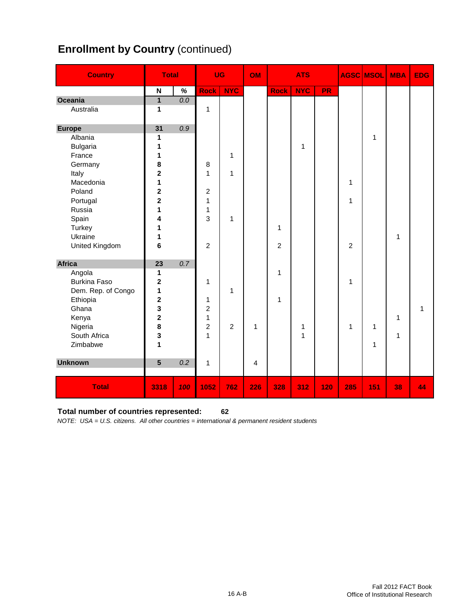# **Enrollment by Country (continued)**

| <b>Country</b>      | <b>Total</b>            |      |                         | <b>UG</b>      | <b>OM</b> |                | <b>ATS</b>   |           |                | <b>AGSC MSOL</b> | <b>MBA</b>   | <b>EDG</b>   |
|---------------------|-------------------------|------|-------------------------|----------------|-----------|----------------|--------------|-----------|----------------|------------------|--------------|--------------|
|                     | N                       | $\%$ | <b>Rock</b>             | <b>NYC</b>     |           | <b>Rock</b>    | <b>NYC</b>   | <b>PR</b> |                |                  |              |              |
| Oceania             | $\overline{\mathbf{1}}$ | 0.0  |                         |                |           |                |              |           |                |                  |              |              |
| Australia           | 1                       |      | $\mathbf{1}$            |                |           |                |              |           |                |                  |              |              |
| <b>Europe</b>       | 31                      | 0.9  |                         |                |           |                |              |           |                |                  |              |              |
| Albania             | 1                       |      |                         |                |           |                |              |           |                | 1                |              |              |
| <b>Bulgaria</b>     | 1                       |      |                         |                |           |                | 1            |           |                |                  |              |              |
| France              | 1                       |      |                         | 1              |           |                |              |           |                |                  |              |              |
| Germany             | 8                       |      | 8                       |                |           |                |              |           |                |                  |              |              |
| Italy               | $\overline{2}$          |      | 1                       | 1              |           |                |              |           |                |                  |              |              |
| Macedonia           | 1                       |      |                         |                |           |                |              |           | 1              |                  |              |              |
| Poland              | $\overline{\mathbf{2}}$ |      | $\boldsymbol{2}$        |                |           |                |              |           |                |                  |              |              |
| Portugal            | $\overline{2}$          |      | 1                       |                |           |                |              |           | 1              |                  |              |              |
| Russia              | 1                       |      | 1                       |                |           |                |              |           |                |                  |              |              |
| Spain               | 4                       |      | 3                       | 1              |           |                |              |           |                |                  |              |              |
| Turkey              | 1                       |      |                         |                |           | 1              |              |           |                |                  |              |              |
| Ukraine             | 1                       |      |                         |                |           |                |              |           |                |                  | 1            |              |
| United Kingdom      | 6                       |      | $\overline{c}$          |                |           | $\overline{c}$ |              |           | $\overline{c}$ |                  |              |              |
| <b>Africa</b>       | 23                      | 0.7  |                         |                |           |                |              |           |                |                  |              |              |
| Angola              | 1                       |      |                         |                |           | 1              |              |           |                |                  |              |              |
| <b>Burkina Faso</b> | 2                       |      | 1                       |                |           |                |              |           | 1              |                  |              |              |
| Dem. Rep. of Congo  | 1                       |      |                         | $\mathbf{1}$   |           |                |              |           |                |                  |              |              |
| Ethiopia            | $\mathbf 2$             |      | 1                       |                |           | 1              |              |           |                |                  |              |              |
| Ghana               | 3                       |      | $\overline{\mathbf{c}}$ |                |           |                |              |           |                |                  |              | $\mathbf{1}$ |
| Kenya               | $\overline{\mathbf{2}}$ |      | 1                       |                |           |                |              |           |                |                  | 1            |              |
| Nigeria             | 8                       |      | $\overline{c}$          | $\overline{2}$ | 1         |                | 1            |           | $\mathbf{1}$   | 1                |              |              |
| South Africa        | 3                       |      | 1                       |                |           |                | $\mathbf{1}$ |           |                |                  | $\mathbf{1}$ |              |
| Zimbabwe            | 1                       |      |                         |                |           |                |              |           |                | 1                |              |              |
| <b>Unknown</b>      | 5                       | 0.2  | $\mathbf{1}$            |                | 4         |                |              |           |                |                  |              |              |
|                     |                         |      |                         |                |           |                |              |           |                |                  |              |              |
| <b>Total</b>        | 3318                    | 100  | 1052                    | 762            | 226       | 328            | 312          | 120       | 285            | 151              | 38           | 44           |

#### **Total number of countries represented: 62**

*NOTE: USA = U.S. citizens. All other countries = international & permanent resident students*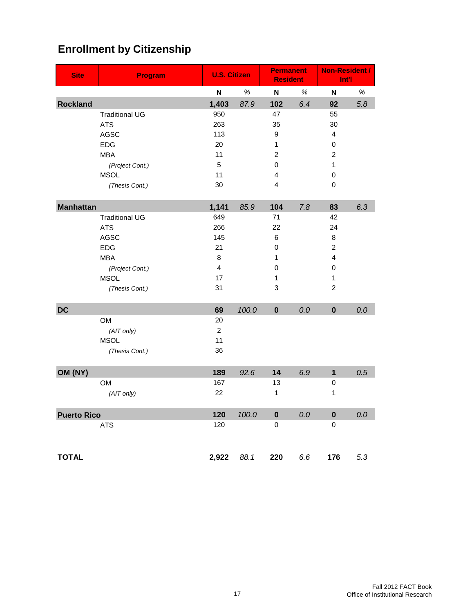| <b>Site</b>        | <b>Program</b>        | <b>U.S. Citizen</b> |       | <b>Permanent</b><br><b>Resident</b> |      | <b>Non-Resident /</b><br>Int'l |      |
|--------------------|-----------------------|---------------------|-------|-------------------------------------|------|--------------------------------|------|
|                    |                       | Ν                   | $\%$  | N                                   | $\%$ | $\boldsymbol{\mathsf{N}}$      | $\%$ |
| <b>Rockland</b>    |                       | 1,403               | 87.9  | 102                                 | 6.4  | 92                             | 5.8  |
|                    | <b>Traditional UG</b> | 950                 |       | 47                                  |      | 55                             |      |
|                    | <b>ATS</b>            | 263                 |       | 35                                  |      | 30                             |      |
|                    | <b>AGSC</b>           | 113                 |       | 9                                   |      | 4                              |      |
|                    | <b>EDG</b>            | 20                  |       | $\mathbf{1}$                        |      | 0                              |      |
|                    | <b>MBA</b>            | 11                  |       | $\overline{2}$                      |      | $\overline{c}$                 |      |
|                    | (Project Cont.)       | 5                   |       | 0                                   |      | 1                              |      |
|                    | <b>MSOL</b>           | 11                  |       | 4                                   |      | 0                              |      |
|                    | (Thesis Cont.)        | 30                  |       | 4                                   |      | 0                              |      |
| <b>Manhattan</b>   |                       | 1,141               | 85.9  | 104                                 | 7.8  | 83                             | 6.3  |
|                    | <b>Traditional UG</b> | 649                 |       | 71                                  |      | 42                             |      |
|                    | <b>ATS</b>            | 266                 |       | 22                                  |      | 24                             |      |
|                    | <b>AGSC</b>           | 145                 |       | 6                                   |      | 8                              |      |
|                    | <b>EDG</b>            | 21                  |       | 0                                   |      | $\overline{c}$                 |      |
|                    | <b>MBA</b>            | 8                   |       | 1                                   |      | 4                              |      |
|                    | (Project Cont.)       | 4                   |       | 0                                   |      | 0                              |      |
|                    | <b>MSOL</b>           | 17                  |       | 1                                   |      | 1                              |      |
|                    | (Thesis Cont.)        | 31                  |       | 3                                   |      | $\overline{2}$                 |      |
| <b>DC</b>          |                       | 69                  | 100.0 | $\mathbf 0$                         | 0.0  | $\mathbf 0$                    | 0.0  |
|                    | <b>OM</b>             | 20                  |       |                                     |      |                                |      |
|                    | (AIT only)            | $\overline{c}$      |       |                                     |      |                                |      |
|                    | <b>MSOL</b>           | 11                  |       |                                     |      |                                |      |
|                    | (Thesis Cont.)        | 36                  |       |                                     |      |                                |      |
| OM (NY)            |                       | 189                 | 92.6  | 14                                  | 6.9  | $\mathbf 1$                    | 0.5  |
|                    | <b>OM</b>             | 167                 |       | 13                                  |      | 0                              |      |
|                    | (AIT only)            | 22                  |       | 1                                   |      | 1                              |      |
| <b>Puerto Rico</b> |                       | 120                 | 100.0 | $\pmb{0}$                           | 0.0  | $\pmb{0}$                      | 0.0  |
|                    | ATS                   | 120                 |       | 0                                   |      | 0                              |      |
| <b>TOTAL</b>       |                       | 2,922               | 88.1  | 220                                 | 6.6  | 176                            | 5.3  |

# **Enrollment by Citizenship**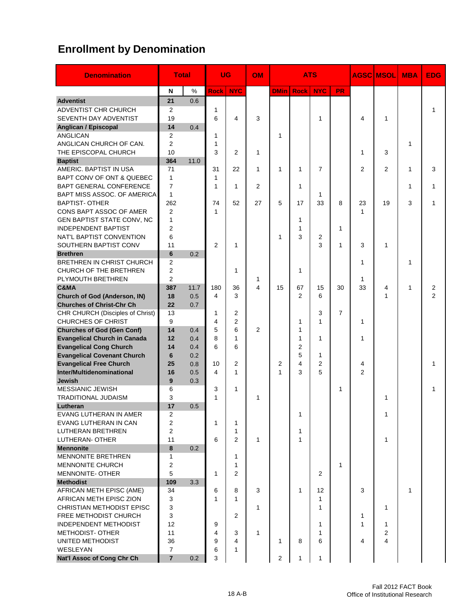# **Enrollment by Denomination**

| <b>Denomination</b>                                 |                | <b>Total</b> |                | UG             | <b>OM</b>               | <b>ATS</b>     |                |                |                |                | <b>AGSC MSOLI</b> | <b>MBA</b> | <b>EDG</b>     |
|-----------------------------------------------------|----------------|--------------|----------------|----------------|-------------------------|----------------|----------------|----------------|----------------|----------------|-------------------|------------|----------------|
|                                                     | N              | %            | <b>Rock</b>    | <b>NYC</b>     |                         | <b>DMin</b>    | <b>Rock</b>    | <b>NYC</b>     | <b>PR</b>      |                |                   |            |                |
| <b>Adventist</b>                                    | 21             | 0.6          |                |                |                         |                |                |                |                |                |                   |            |                |
| ADVENTIST CHR CHURCH                                | 2              |              | $\mathbf{1}$   |                |                         |                |                |                |                |                |                   |            | 1              |
| SEVENTH DAY ADVENTIST                               | 19             |              | 6              | 4              | 3                       |                |                | 1              |                | 4              | $\mathbf{1}$      |            |                |
| Anglican / Episcopal                                | 14             | 0.4          |                |                |                         |                |                |                |                |                |                   |            |                |
| <b>ANGLICAN</b>                                     | 2              |              | 1              |                |                         | 1              |                |                |                |                |                   |            |                |
| ANGLICAN CHURCH OF CAN.                             | $\overline{2}$ |              | 1              |                |                         |                |                |                |                |                |                   | 1          |                |
| THE EPISCOPAL CHURCH                                | 10             |              | 3              | $\overline{2}$ | 1                       |                |                |                |                | 1              | 3                 |            |                |
| <b>Baptist</b>                                      | 364            | 11.0         |                |                |                         |                |                |                |                |                |                   |            |                |
| AMERIC. BAPTIST IN USA                              | 71             |              | 31             | 22             | 1                       | 1              | 1              | $\overline{7}$ |                | $\overline{2}$ | $\overline{2}$    | 1          | 3              |
| BAPT CONV OF ONT & QUEBEC                           | $\mathbf{1}$   |              | 1              |                |                         |                |                |                |                |                |                   |            |                |
| BAPT GENERAL CONFERENCE                             | $\overline{7}$ |              | 1              | 1              | 2                       |                | 1              |                |                |                |                   | 1          | 1              |
| BAPT MISS ASSOC. OF AMERICA                         | 1              |              |                |                |                         |                |                | 1              |                |                |                   |            |                |
| <b>BAPTIST- OTHER</b>                               | 262            |              | 74             | 52             | 27                      | 5              | 17             | 33             | 8              | 23             | 19                | 3          | 1              |
| CONS BAPT ASSOC OF AMER                             | $\overline{2}$ |              | 1              |                |                         |                |                |                |                | 1              |                   |            |                |
| GEN BAPTIST STATE CONV, NC                          | 1              |              |                |                |                         |                | 1              |                |                |                |                   |            |                |
| <b>INDEPENDENT BAPTIST</b>                          | $\overline{2}$ |              |                |                |                         |                | 1              |                | 1              |                |                   |            |                |
| NAT'L BAPTIST CONVENTION                            | 6              |              |                |                |                         | 1              | 3              | 2              |                |                |                   |            |                |
| SOUTHERN BAPTIST CONV                               | 11             |              | $\overline{2}$ | 1              |                         |                |                | 3              | $\mathbf{1}$   | 3              | 1                 |            |                |
| <b>Brethren</b>                                     | 6              | 0.2          |                |                |                         |                |                |                |                |                |                   |            |                |
| BRETHREN IN CHRIST CHURCH                           | $\overline{2}$ |              |                |                |                         |                |                |                |                | 1              |                   | 1          |                |
| CHURCH OF THE BRETHREN                              | $\overline{2}$ |              |                | 1              |                         |                | 1              |                |                |                |                   |            |                |
| PLYMOUTH BRETHREN                                   | $\overline{2}$ |              |                |                | 1                       |                |                |                |                | 1              |                   |            |                |
| C&MA                                                | 387            | 11.7         | 180            | 36             | $\overline{\mathbf{4}}$ | 15             | 67             | 15             | 30             | 33             | 4                 | 1          | $\overline{c}$ |
| <b>Church of God (Anderson, IN)</b>                 | 18             | 0.5          | 4              | 3              |                         |                | $\overline{2}$ | 6              |                |                | $\mathbf{1}$      |            | $\overline{2}$ |
| <b>Churches of Christ-Chr Ch</b>                    | 22             | 0.7          |                |                |                         |                |                |                |                |                |                   |            |                |
| CHR CHURCH (Disciples of Christ)                    | 13             |              | 1              | $\overline{2}$ |                         |                |                | 3              | $\overline{7}$ |                |                   |            |                |
| <b>CHURCHES OF CHRIST</b>                           | 9              |              | $\overline{4}$ | $\overline{2}$ |                         |                | 1              | 1              |                | 1              |                   |            |                |
| <b>Churches of God (Gen Conf)</b>                   | 14             | 0.4          | 5              | 6              | $\overline{2}$          |                | 1              |                |                |                |                   |            |                |
| <b>Evangelical Church in Canada</b>                 | 12             | 0.4          | 8              | 1              |                         |                | 1              | 1              |                | 1              |                   |            |                |
| <b>Evangelical Cong Church</b>                      | 14             | 0.4          | 6              | 6              |                         |                | 2              |                |                |                |                   |            |                |
| <b>Evangelical Covenant Church</b>                  | 6              | 0.2          |                |                |                         |                | 5              | 1              |                |                |                   |            |                |
| <b>Evangelical Free Church</b>                      | 25             | 0.8          | 10             | $\overline{2}$ |                         | $\overline{2}$ | 4              | $\overline{2}$ |                | 4              |                   |            | 1              |
| Inter/Multidenominational                           | 16             | 0.5          | 4              | 1              |                         | 1              | 3              | 5              |                | $\overline{2}$ |                   |            |                |
| <b>Jewish</b>                                       | 9              | 0.3          |                |                |                         |                |                |                |                |                |                   |            |                |
| <b>MESSIANIC JEWISH</b>                             | 6              |              | 3              | 1              |                         |                |                |                | 1              |                |                   |            | 1              |
| <b>TRADITIONAL JUDAISM</b>                          | 3              |              | 1              |                | 1                       |                |                |                |                |                | 1                 |            |                |
| Lutheran                                            | 17             | 0.5          |                |                |                         |                |                |                |                |                |                   |            |                |
| EVANG LUTHERAN IN AMER                              | 2              |              |                |                |                         |                | 1              |                |                |                | 1                 |            |                |
| EVANG LUTHERAN IN CAN                               | $\overline{2}$ |              | 1              | 1              |                         |                |                |                |                |                |                   |            |                |
| LUTHERAN BRETHREN                                   | $\overline{c}$ |              |                | 1              |                         |                | 1              |                |                |                |                   |            |                |
| LUTHERAN- OTHER                                     | 11             |              | 6              | $\overline{2}$ | $\mathbf{1}$            |                | 1              |                |                |                | $\mathbf{1}$      |            |                |
| <b>Mennonite</b>                                    | 8              | 0.2          |                |                |                         |                |                |                |                |                |                   |            |                |
| <b>MENNONITE BRETHREN</b>                           | 1              |              |                | 1              |                         |                |                |                |                |                |                   |            |                |
| MENNONITE CHURCH                                    | 2              |              |                | 1              |                         |                |                |                | $\mathbf{1}$   |                |                   |            |                |
| <b>MENNONITE- OTHER</b>                             | 5              |              | 1              | $\overline{2}$ |                         |                |                | 2              |                |                |                   |            |                |
| <b>Methodist</b>                                    | 109            | 3.3          |                |                |                         |                |                |                |                |                |                   |            |                |
| AFRICAN METH EPISC (AME)<br>AFRICAN METH EPISC ZION | 34             |              | 6              | 8              | 3                       |                | 1              | 12             |                | 3              |                   | 1          |                |
|                                                     | 3              |              | 1              | $\mathbf{1}$   |                         |                |                | $\mathbf{1}$   |                |                |                   |            |                |
| <b>CHRISTIAN METHODIST EPISC</b>                    | 3              |              |                |                | 1                       |                |                | 1              |                |                | 1                 |            |                |
| FREE METHODIST CHURCH<br>INDEPENDENT METHODIST      | 3<br>12        |              |                | $\overline{2}$ |                         |                |                | $\mathbf{1}$   |                | 1<br>1         | $\mathbf{1}$      |            |                |
| <b>METHODIST-OTHER</b>                              | 11             |              | 9<br>4         | 3              | $\mathbf{1}$            |                |                | $\mathbf{1}$   |                |                | $\overline{2}$    |            |                |
| UNITED METHODIST                                    | 36             |              | 9              | 4              |                         | 1              | 8              | 6              |                | 4              | $\overline{4}$    |            |                |
| WESLEYAN                                            | 7              |              | 6              | 1              |                         |                |                |                |                |                |                   |            |                |
| Nat'l Assoc of Cong Chr Ch                          | $\overline{7}$ | 0.2          | 3              |                |                         | 2              | 1              | $\mathbf{1}$   |                |                |                   |            |                |
|                                                     |                |              |                |                |                         |                |                |                |                |                |                   |            |                |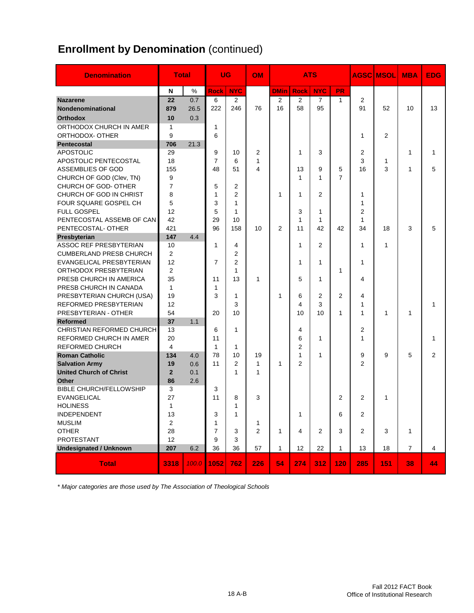# **Enrollment by Denomination** (continued)

| <b>Denomination</b>                     | <b>Total</b>   |       |                | <b>UG</b>      | <b>OM</b>      |                | ATS            |                |                |                | <b>AGSC MSOLI</b> | <b>MBA</b>     | <b>EDG</b>     |
|-----------------------------------------|----------------|-------|----------------|----------------|----------------|----------------|----------------|----------------|----------------|----------------|-------------------|----------------|----------------|
|                                         | N              | %     | <b>Rock</b>    | <b>NYC</b>     |                | <b>DMin</b>    | <b>Rock</b>    | <b>NYC</b>     | <b>PR</b>      |                |                   |                |                |
| <b>Nazarene</b>                         | 22             | 0.7   | 6              | $\overline{2}$ |                | $\overline{2}$ | 2              | $\overline{7}$ | $\mathbf{1}$   | 2              |                   |                |                |
| Nondenominational                       | 879            | 26.5  | 222            | 246            | 76             | 16             | 58             | 95             |                | 91             | 52                | 10             | 13             |
| <b>Orthodox</b>                         | 10             | 0.3   |                |                |                |                |                |                |                |                |                   |                |                |
| ORTHODOX CHURCH IN AMER                 | 1              |       | 1              |                |                |                |                |                |                |                |                   |                |                |
| ORTHODOX- OTHER                         | 9              |       | 6              |                |                |                |                |                |                | 1              | $\overline{2}$    |                |                |
| Pentecostal                             | 706            | 21.3  |                |                |                |                |                |                |                |                |                   |                |                |
| <b>APOSTOLIC</b>                        | 29             |       | 9              | 10             | 2              |                | 1              | 3              |                | 2              |                   | 1              | 1              |
| APOSTOLIC PENTECOSTAL                   | 18             |       | $\overline{7}$ | 6              | 1              |                |                |                |                | 3              | 1                 |                |                |
| ASSEMBLIES OF GOD                       | 155            |       | 48             | 51             | 4              |                | 13             | 9              | 5              | 16             | 3                 | 1              | 5              |
| CHURCH OF GOD (Clev, TN)                | 9              |       |                |                |                |                | 1              | 1              | $\overline{7}$ |                |                   |                |                |
| CHURCH OF GOD- OTHER                    | $\overline{7}$ |       | 5              | 2              |                |                |                |                |                |                |                   |                |                |
| CHURCH OF GOD IN CHRIST                 | 8              |       | 1              | $\overline{2}$ |                | 1              | 1              | 2              |                | 1              |                   |                |                |
| FOUR SQUARE GOSPEL CH                   | 5              |       | 3              | $\mathbf{1}$   |                |                |                |                |                | 1              |                   |                |                |
| <b>FULL GOSPEL</b>                      | 12             |       | 5              | $\mathbf{1}$   |                |                | 3              | 1              |                | 2              |                   |                |                |
| PENTECOSTAL ASSEMB OF CAN               | 42             |       | 29             | 10             |                |                | 1              | 1              |                | 1              |                   |                |                |
| PENTECOSTAL- OTHER                      | 421            |       | 96             | 158            | 10             | 2              | 11             | 42             | 42             | 34             | 18                | 3              | 5              |
| Presbyterian                            | 147            | 4.4   |                |                |                |                |                |                |                |                |                   |                |                |
| ASSOC REF PRESBYTERIAN                  | 10             |       | 1              | 4              |                |                | 1              | 2              |                | 1              | 1                 |                |                |
| <b>CUMBERLAND PRESB CHURCH</b>          | 2              |       |                | $\overline{2}$ |                |                |                |                |                |                |                   |                |                |
| EVANGELICAL PRESBYTERIAN                | 12             |       | 7              | $\overline{2}$ |                |                | 1              | 1              |                | 1              |                   |                |                |
| ORTHODOX PRESBYTERIAN                   | 2              |       |                | 1              |                |                |                |                | 1              |                |                   |                |                |
| PRESB CHURCH IN AMERICA                 | 35             |       | 11             | 13             | 1              |                | 5              | 1              |                | 4              |                   |                |                |
| PRESB CHURCH IN CANADA                  | $\mathbf{1}$   |       | 1              |                |                |                |                |                |                |                |                   |                |                |
| PRESBYTERIAN CHURCH (USA)               | 19             |       | 3              | 1              |                | 1              | 6              | 2<br>3         | $\overline{2}$ | 4              |                   |                |                |
| REFORMED PRESBYTERIAN                   | 12             |       |                | 3<br>10        |                |                | 4              |                |                | 1              |                   |                | 1              |
| PRESBYTERIAN - OTHER<br><b>Reformed</b> | 54<br>37       |       | 20             |                |                |                | 10             | 10             | 1              | 1              | $\mathbf{1}$      | 1              |                |
| CHRISTIAN REFORMED CHURCH               | 13             | 1.1   | 6              | 1              |                |                | 4              |                |                | 2              |                   |                |                |
| REFORMED CHURCH IN AMER                 | 20             |       | 11             |                |                |                | 6              | 1              |                | 1              |                   |                | 1              |
| <b>REFORMED CHURCH</b>                  | $\overline{4}$ |       | 1              | 1              |                |                | $\overline{2}$ |                |                |                |                   |                |                |
| <b>Roman Catholic</b>                   | 134            | 4.0   | 78             | 10             | 19             |                | 1              | 1              |                | 9              | 9                 | 5              | $\overline{2}$ |
| <b>Salvation Army</b>                   | 19             | 0.6   | 11             | $\overline{2}$ | 1              | 1              | 2              |                |                | 2              |                   |                |                |
| <b>United Church of Christ</b>          | $\overline{2}$ | 0.1   |                | 1              | 1              |                |                |                |                |                |                   |                |                |
| Other                                   | 86             | 2.6   |                |                |                |                |                |                |                |                |                   |                |                |
| <b>BIBLE CHURCH/FELLOWSHIP</b>          | 3              |       | 3              |                |                |                |                |                |                |                |                   |                |                |
| <b>EVANGELICAL</b>                      | 27             |       | 11             | 8              | 3              |                |                |                | 2              | 2              | 1                 |                |                |
| <b>HOLINESS</b>                         | $\mathbf{1}$   |       |                | 1              |                |                |                |                |                |                |                   |                |                |
| INDEPENDENT                             | 13             |       | 3              | $\mathbf{1}$   |                |                | 1              |                | 6              | 2              |                   |                |                |
| <b>MUSLIM</b>                           | $\overline{2}$ |       | 1              |                | 1              |                |                |                |                |                |                   |                |                |
| <b>OTHER</b>                            | 28             |       | $\overline{7}$ | 3              | $\overline{2}$ | $\mathbf{1}$   | 4              | $\overline{2}$ | 3              | $\overline{2}$ | 3                 | $\mathbf{1}$   |                |
| <b>PROTESTANT</b>                       | 12             |       | 9              | 3              |                |                |                |                |                |                |                   |                |                |
| <b>Undesignated / Unknown</b>           | 207            | 6.2   | 36             | 36             | 57             | $\mathbf{1}$   | 12             | 22             | $\mathbf{1}$   | 13             | 18                | $\overline{7}$ | $\overline{4}$ |
|                                         |                |       |                |                |                |                |                |                |                |                |                   |                |                |
| <b>Total</b>                            | 3318           | 100.0 | 1052           | 762            | 226            | 54             | 274            | 312            | 120            | 285            | 151               | 38             | 44             |

*\* Major categories are those used by The Association of Theological Schools*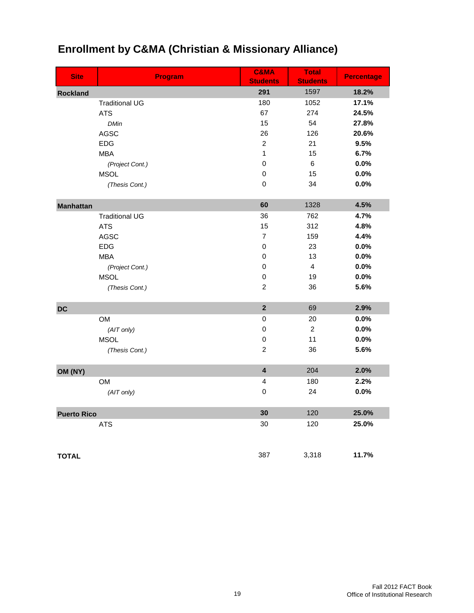| <b>Site</b>        |                                | <b>Program</b> | <b>C&amp;MA</b><br><b>Students</b> | <b>Total</b><br><b>Students</b> | <b>Percentage</b> |
|--------------------|--------------------------------|----------------|------------------------------------|---------------------------------|-------------------|
| <b>Rockland</b>    |                                |                | 291                                | 1597                            | 18.2%             |
|                    | <b>Traditional UG</b>          |                | 180                                | 1052                            | 17.1%             |
|                    | <b>ATS</b>                     |                | 67                                 | 274                             | 24.5%             |
|                    | <b>DMin</b>                    |                | 15                                 | 54                              | 27.8%             |
|                    | <b>AGSC</b>                    |                | 26                                 | 126                             | 20.6%             |
|                    | <b>EDG</b>                     |                | $\overline{c}$                     | 21                              | 9.5%              |
|                    | <b>MBA</b>                     |                | $\mathbf{1}$                       | 15                              | 6.7%              |
|                    | (Project Cont.)                |                | $\pmb{0}$                          | $\,6$                           | 0.0%              |
|                    | <b>MSOL</b>                    |                | $\pmb{0}$                          | 15                              | 0.0%              |
|                    | (Thesis Cont.)                 |                | 0                                  | 34                              | 0.0%              |
|                    |                                |                | 60                                 | 1328                            | 4.5%              |
| <b>Manhattan</b>   | <b>Traditional UG</b>          |                | 36                                 | 762                             | 4.7%              |
|                    | <b>ATS</b>                     |                | 15                                 | 312                             | 4.8%              |
|                    | <b>AGSC</b>                    |                | 7                                  | 159                             | 4.4%              |
|                    | <b>EDG</b>                     |                | 0                                  | 23                              | 0.0%              |
|                    | <b>MBA</b>                     |                | 0                                  | 13                              | 0.0%              |
|                    |                                |                | $\pmb{0}$                          | $\overline{4}$                  | 0.0%              |
|                    | (Project Cont.)<br><b>MSOL</b> |                | $\pmb{0}$                          | 19                              | 0.0%              |
|                    |                                |                | $\overline{c}$                     | 36                              | 5.6%              |
|                    | (Thesis Cont.)                 |                |                                    |                                 |                   |
| <b>DC</b>          |                                |                | $\overline{2}$                     | 69                              | 2.9%              |
|                    | OM                             |                | $\pmb{0}$                          | 20                              | $0.0\%$           |
|                    | (AIT only)                     |                | $\mathbf 0$                        | $\overline{c}$                  | 0.0%              |
|                    | <b>MSOL</b>                    |                | $\mathbf 0$                        | 11                              | 0.0%              |
|                    | (Thesis Cont.)                 |                | $\overline{c}$                     | 36                              | 5.6%              |
| OM (NY)            |                                |                | $\overline{\mathbf{4}}$            | 204                             | 2.0%              |
|                    | OM                             |                | 4                                  | 180                             | 2.2%              |
|                    | (AIT only)                     |                | $\mathbf 0$                        | 24                              | 0.0%              |
| <b>Puerto Rico</b> |                                |                | 30                                 | 120                             | 25.0%             |
|                    | <b>ATS</b>                     |                | 30                                 | 120                             | 25.0%             |
|                    |                                |                | 387                                | 3,318                           | 11.7%             |
| <b>TOTAL</b>       |                                |                |                                    |                                 |                   |

# **Enrollment by C&MA (Christian & Missionary Alliance)**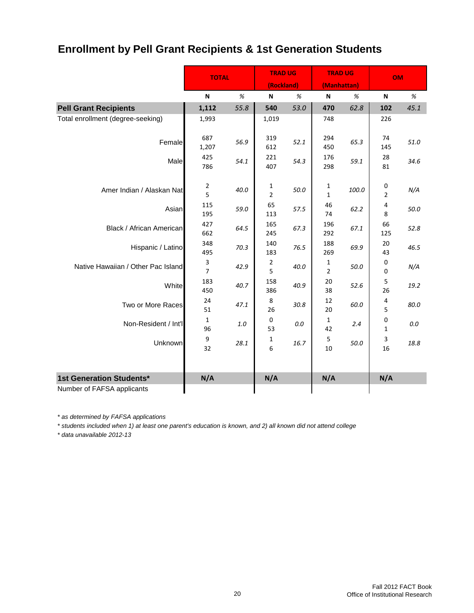# **Enrollment by Pell Grant Recipients & 1st Generation Students**

|                                    | <b>TOTAL</b>        |         | <b>TRAD UG</b><br>(Rockland) |         | <b>TRAD UG</b><br>(Manhattan) |       | <b>OM</b>           |      |
|------------------------------------|---------------------|---------|------------------------------|---------|-------------------------------|-------|---------------------|------|
|                                    | $\%$<br>N           |         | N                            | %       | N                             | %     | N                   | %    |
| <b>Pell Grant Recipients</b>       | 1,112               | 55.8    | 540                          | 53.0    | 470                           | 62.8  | 102                 | 45.1 |
| Total enrollment (degree-seeking)  | 1,993               |         | 1,019                        |         | 748                           |       | 226                 |      |
| Female                             | 687<br>1,207        | 56.9    | 319<br>612                   | 52.1    | 294<br>450                    | 65.3  | 74<br>145           | 51.0 |
| Male                               | 425<br>786          | 54.1    | 221<br>407                   | 54.3    | 176<br>298                    | 59.1  | 28<br>81            | 34.6 |
| Amer Indian / Alaskan Nat          | 2<br>5              | 40.0    | 1<br>$\overline{2}$          | 50.0    | 1<br>$\mathbf{1}$             | 100.0 | 0<br>$\overline{2}$ | N/A  |
| Asian                              | 115<br>195          | 59.0    | 65<br>113                    | 57.5    | 46<br>74                      | 62.2  | 4<br>8              | 50.0 |
| <b>Black / African American</b>    | 427<br>662          | 64.5    | 165<br>245                   | 67.3    | 196<br>292                    | 67.1  | 66<br>125           | 52.8 |
| Hispanic / Latino                  | 348<br>495          | 70.3    | 140<br>183                   | 76.5    | 188<br>269                    | 69.9  | 20<br>43            | 46.5 |
| Native Hawaiian / Other Pac Island | 3<br>$\overline{7}$ | 42.9    | $\overline{2}$<br>5          | 40.0    | $\mathbf 1$<br>$\overline{2}$ | 50.0  | 0<br>0              | N/A  |
| White                              | 183<br>450          | 40.7    | 158<br>386                   | 40.9    | 20<br>38                      | 52.6  | 5<br>26             | 19.2 |
| Two or More Races                  | 24<br>51            | 47.1    | 8<br>26                      | 30.8    | 12<br>20                      | 60.0  | 4<br>5              | 80.0 |
| Non-Resident / Int'l               | 1<br>96             | $1.0\,$ | $\pmb{0}$<br>53              | $0.0\,$ | $\mathbf{1}$<br>42            | 2.4   | 0<br>1              | 0.0  |
| <b>Unknown</b>                     | 9<br>32             | 28.1    | 1<br>6                       | 16.7    | 5<br>10                       | 50.0  | 3<br>16             | 18.8 |
| 1st Generation Students*           | N/A                 |         | N/A                          |         | N/A                           |       | N/A                 |      |
| Number of FAFSA applicants         |                     |         |                              |         |                               |       |                     |      |

*\* as determined by FAFSA applications*

*\* students included when 1) at least one parent's education is known, and 2) all known did not attend college*

*\* data unavailable 2012-13*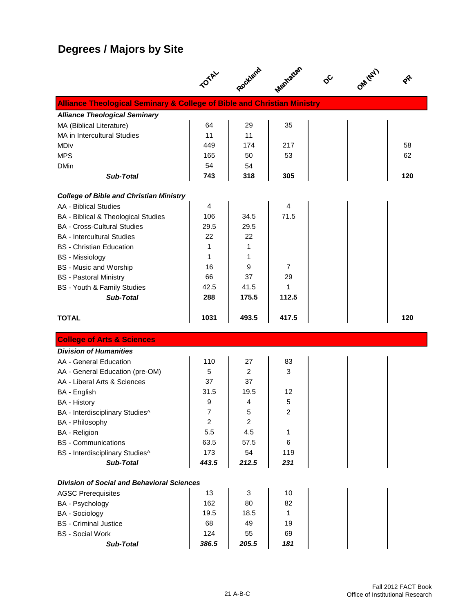# **Degrees / Majors by Site**

|                                                                                    | <b>TOTAL</b>   | Rockland         | Manhattan | ଚ | OMITEL |     |
|------------------------------------------------------------------------------------|----------------|------------------|-----------|---|--------|-----|
| <b>Alliance Theological Seminary &amp; College of Bible and Christian Ministry</b> |                |                  |           |   |        |     |
| <b>Alliance Theological Seminary</b>                                               |                |                  |           |   |        |     |
| MA (Biblical Literature)                                                           | 64             | 29               | 35        |   |        |     |
| MA in Intercultural Studies                                                        | 11             | 11               |           |   |        |     |
| MDiv                                                                               | 449            | 174              | 217       |   |        | 58  |
| <b>MPS</b>                                                                         | 165            | 50               | 53        |   |        | 62  |
| <b>DMin</b>                                                                        | 54             | 54               |           |   |        |     |
| <b>Sub-Total</b>                                                                   | 743            | 318              | 305       |   |        | 120 |
| <b>College of Bible and Christian Ministry</b>                                     |                |                  |           |   |        |     |
| <b>AA - Biblical Studies</b>                                                       | $\overline{4}$ |                  | 4         |   |        |     |
| BA - Biblical & Theological Studies                                                | 106            | 34.5             | 71.5      |   |        |     |
| <b>BA - Cross-Cultural Studies</b>                                                 | 29.5           | 29.5             |           |   |        |     |
| <b>BA</b> - Intercultural Studies                                                  | 22             | 22               |           |   |        |     |
| <b>BS</b> - Christian Education                                                    | 1              | 1                |           |   |        |     |
| <b>BS</b> - Missiology                                                             | 1              | 1                |           |   |        |     |
| <b>BS</b> - Music and Worship                                                      | 16             | 9                | 7         |   |        |     |
| <b>BS</b> - Pastoral Ministry                                                      | 66             | 37               | 29        |   |        |     |
| BS - Youth & Family Studies                                                        | 42.5           | 41.5             | 1         |   |        |     |
| <b>Sub-Total</b>                                                                   | 288            | 175.5            | 112.5     |   |        |     |
| <b>TOTAL</b>                                                                       | 1031           | 493.5            | 417.5     |   |        | 120 |
| <b>College of Arts &amp; Sciences</b>                                              |                |                  |           |   |        |     |
| <b>Division of Humanities</b>                                                      |                |                  |           |   |        |     |
| AA - General Education                                                             | 110            | 27               | 83        |   |        |     |
| AA - General Education (pre-OM)                                                    | 5              | 2                | 3         |   |        |     |
| AA - Liberal Arts & Sciences                                                       | 37             | 37               |           |   |        |     |
| BA - English                                                                       | 31.5           | 19.5             | 12        |   |        |     |
| <b>BA</b> - History                                                                | 9              | 4                | 5         |   |        |     |
| BA - Interdisciplinary Studies^                                                    | 7              | 5                | 2         |   |        |     |
| BA - Philosophy                                                                    | $\overline{c}$ | $\boldsymbol{2}$ |           |   |        |     |
| <b>BA</b> - Religion                                                               | 5.5            | 4.5              | 1         |   |        |     |
| <b>BS</b> - Communications                                                         | 63.5           | 57.5             | 6         |   |        |     |
| BS - Interdisciplinary Studies^                                                    | 173            | 54               | 119       |   |        |     |
| Sub-Total                                                                          | 443.5          | 212.5            | 231       |   |        |     |
| <b>Division of Social and Behavioral Sciences</b>                                  |                |                  |           |   |        |     |
| <b>AGSC Prerequisites</b>                                                          | 13             | 3                | 10        |   |        |     |
| BA - Psychology                                                                    |                |                  |           |   |        |     |
|                                                                                    | 162            | 80               | 82        |   |        |     |
| <b>BA</b> - Sociology                                                              | 19.5           | 18.5             | 1         |   |        |     |
| <b>BS</b> - Criminal Justice                                                       | 68             | 49               | 19        |   |        |     |
| <b>BS</b> - Social Work<br><b>Sub-Total</b>                                        | 124<br>386.5   | 55<br>205.5      | 69<br>181 |   |        |     |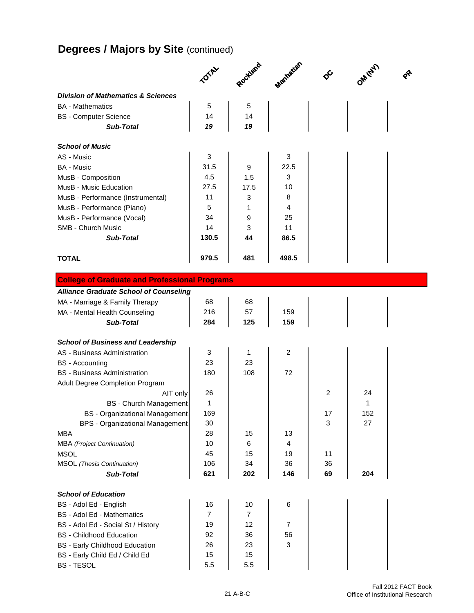# **Degrees / Majors by Site (continued)**

|                                               | TOTAL | Rockland | Manhatian      | $\delta^{\mathcal{C}}$ | OM (EY) | $\boldsymbol{\hat{\mathcal{S}}}$ |
|-----------------------------------------------|-------|----------|----------------|------------------------|---------|----------------------------------|
|                                               |       |          |                |                        |         |                                  |
| <b>Division of Mathematics &amp; Sciences</b> |       |          |                |                        |         |                                  |
| <b>BA</b> - Mathematics                       | 5     | 5        |                |                        |         |                                  |
| <b>BS</b> - Computer Science                  | 14    | 14       |                |                        |         |                                  |
| <b>Sub-Total</b>                              | 19    | 19       |                |                        |         |                                  |
| <b>School of Music</b>                        |       |          |                |                        |         |                                  |
| AS - Music                                    | 3     |          | 3              |                        |         |                                  |
| <b>BA - Music</b>                             | 31.5  | 9        | 22.5           |                        |         |                                  |
| MusB - Composition                            | 4.5   | 1.5      | 3              |                        |         |                                  |
| MusB - Music Education                        | 27.5  | 17.5     | 10             |                        |         |                                  |
| MusB - Performance (Instrumental)             | 11    | 3        | 8              |                        |         |                                  |
| MusB - Performance (Piano)                    | 5     | 1        | $\overline{4}$ |                        |         |                                  |
| MusB - Performance (Vocal)                    | 34    | 9        | 25             |                        |         |                                  |
| <b>SMB - Church Music</b>                     | 14    | 3        | 11             |                        |         |                                  |
| <b>Sub-Total</b>                              | 130.5 | 44       | 86.5           |                        |         |                                  |
| <b>TOTAL</b>                                  | 979.5 | 481      | 498.5          |                        |         |                                  |

| <b>College of Graduate and Professional Programs</b> |                |                |                |    |     |  |
|------------------------------------------------------|----------------|----------------|----------------|----|-----|--|
| <b>Alliance Graduate School of Counseling</b>        |                |                |                |    |     |  |
| MA - Marriage & Family Therapy                       | 68             | 68             |                |    |     |  |
| MA - Mental Health Counseling                        | 216            | 57             | 159            |    |     |  |
| Sub-Total                                            | 284            | 125            | 159            |    |     |  |
| <b>School of Business and Leadership</b>             |                |                |                |    |     |  |
| AS - Business Administration                         | 3              | 1              | $\overline{c}$ |    |     |  |
| <b>BS</b> - Accounting                               | 23             | 23             |                |    |     |  |
| <b>BS</b> - Business Administration                  | 180            | 108            | 72             |    |     |  |
| Adult Degree Completion Program                      |                |                |                |    |     |  |
| AIT only                                             | 26             |                |                | 2  | 24  |  |
| <b>BS</b> - Church Management                        | 1              |                |                |    | 1   |  |
| <b>BS</b> - Organizational Management                | 169            |                |                | 17 | 152 |  |
| <b>BPS - Organizational Management</b>               | 30             |                |                | 3  | 27  |  |
| <b>MBA</b>                                           | 28             | 15             | 13             |    |     |  |
| <b>MBA</b> (Project Continuation)                    | 10             | 6              | 4              |    |     |  |
| <b>MSOL</b>                                          | 45             | 15             | 19             | 11 |     |  |
| <b>MSOL</b> (Thesis Continuation)                    | 106            | 34             | 36             | 36 |     |  |
| <b>Sub-Total</b>                                     | 621            | 202            | 146            | 69 | 204 |  |
| <b>School of Education</b>                           |                |                |                |    |     |  |
| BS - Adol Ed - English                               | 16             | 10             | 6              |    |     |  |
| <b>BS</b> - Adol Ed - Mathematics                    | $\overline{7}$ | $\overline{7}$ |                |    |     |  |
| BS - Adol Ed - Social St / History                   | 19             | 12             | $\overline{7}$ |    |     |  |
| <b>BS</b> - Childhood Education                      | 92             | 36             | 56             |    |     |  |
| <b>BS</b> - Early Childhood Education                | 26             | 23             | 3              |    |     |  |
| BS - Early Child Ed / Child Ed                       | 15             | 15             |                |    |     |  |
| <b>BS-TESOL</b>                                      | 5.5            | 5.5            |                |    |     |  |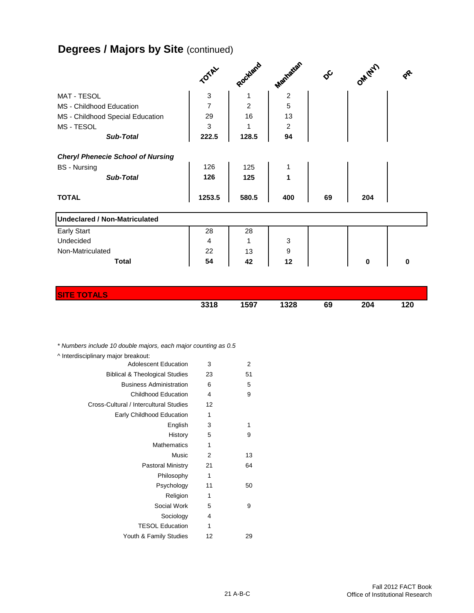# **Degrees / Majors by Site (continued)**

|                                                                                                     | TOTAL                | Rockland            | Manatan          | $\phi^{\mathcal{C}}$ | OM (EY) | $\bm{\hat{\mathbf{z}}}$ |
|-----------------------------------------------------------------------------------------------------|----------------------|---------------------|------------------|----------------------|---------|-------------------------|
| MAT - TESOL                                                                                         | $\sqrt{3}$           | 1                   | $\overline{2}$   |                      |         |                         |
| MS - Childhood Education                                                                            | $\overline{7}$       | $\overline{2}$      | 5                |                      |         |                         |
| MS - Childhood Special Education                                                                    | 29                   | 16                  | 13               |                      |         |                         |
| MS - TESOL                                                                                          | 3                    | 1                   | 2                |                      |         |                         |
| <b>Sub-Total</b>                                                                                    | 222.5                | 128.5               | 94               |                      |         |                         |
| <b>Cheryl Phenecie School of Nursing</b><br><b>BS</b> - Nursing<br><b>Sub-Total</b><br><b>TOTAL</b> | 126<br>126<br>1253.5 | 125<br>125<br>580.5 | 1<br>1<br>400    | 69                   | 204     |                         |
| <b>Undeclared / Non-Matriculated</b>                                                                |                      |                     |                  |                      |         |                         |
| <b>Early Start</b>                                                                                  | 28                   | 28                  |                  |                      |         |                         |
| Undecided                                                                                           | $\overline{4}$       | 1                   | 3                |                      |         |                         |
| Non-Matriculated                                                                                    | 22                   | 13                  | $\boldsymbol{9}$ |                      |         |                         |
| <b>Total</b>                                                                                        | 54                   | 42                  | 12               |                      | 0       | $\bf{0}$                |

| <b>SITE TOTALS</b> |      |      |      |    |     |     |
|--------------------|------|------|------|----|-----|-----|
|                    | 3318 | 1597 | 1328 | 69 | 204 | 120 |

*\* Numbers include 10 double majors, each major counting as 0.5*

| ^ Interdisciplinary major breakout:       |    |    |
|-------------------------------------------|----|----|
| <b>Adolescent Education</b>               | 3  | 2  |
| <b>Biblical &amp; Theological Studies</b> | 23 | 51 |
| <b>Business Administration</b>            | 6  | 5  |
| <b>Childhood Education</b>                | 4  | 9  |
| Cross-Cultural / Intercultural Studies    | 12 |    |
| Early Childhood Education                 | 1  |    |
| English                                   | 3  | 1  |
| History                                   | 5  | 9  |
| <b>Mathematics</b>                        | 1  |    |
| Music                                     | 2  | 13 |
| Pastoral Ministry                         | 21 | 64 |
| Philosophy                                | 1  |    |
| Psychology                                | 11 | 50 |
| Religion                                  | 1  |    |
| Social Work                               | 5  | 9  |
| Sociology                                 | 4  |    |
| <b>TESOL Education</b>                    | 1  |    |
| Youth & Family Studies                    | 12 | 29 |
|                                           |    |    |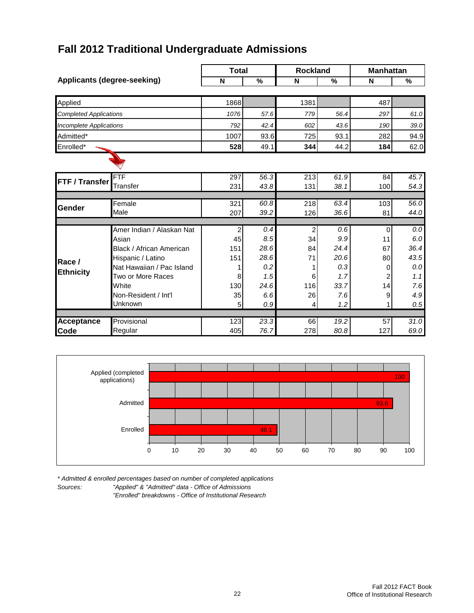# **Fall 2012 Traditional Undergraduate Admissions**

|                                    |                           | <b>Total</b> |              | <b>Rockland</b>  |              | <b>Manhattan</b> |      |  |
|------------------------------------|---------------------------|--------------|--------------|------------------|--------------|------------------|------|--|
| <b>Applicants (degree-seeking)</b> |                           | N            | %            | N                | %            | N                | %    |  |
|                                    |                           | 1868         |              | 1381             |              | 487              |      |  |
| Applied                            |                           |              |              |                  |              |                  |      |  |
| <b>Completed Applications</b>      |                           | 1076         | 57.6         | 779              | 56.4         | 297              | 61.0 |  |
| Incomplete Applications            |                           | 792          | 42.4         | 602              | 43.6         | 190              | 39.0 |  |
| Admitted*                          |                           | 1007         | 93.6         | 725              | 93.1         | 282              | 94.9 |  |
| Enrolled*                          |                           | 528          | 49.1         | 344              | 44.2         | 184              | 62.0 |  |
|                                    |                           |              |              |                  |              |                  |      |  |
|                                    |                           |              |              |                  |              |                  |      |  |
| FTF / Transfer                     | <b>FTF</b>                | 297          | 56.3         | $\overline{213}$ | 61.9         | 84               | 45.7 |  |
|                                    | <b>Transfer</b>           | 231          | 43.8         | 131              | 38.1         | 100              | 54.3 |  |
|                                    |                           |              |              |                  |              |                  |      |  |
| Gender                             | Female<br>Male            | 321<br>207   | 60.8<br>39.2 | 218<br>126       | 63.4<br>36.6 | 103<br>81        | 56.0 |  |
|                                    |                           |              |              |                  |              |                  | 44.0 |  |
|                                    | Amer Indian / Alaskan Nat | 2            | 0.4          | $\overline{2}$   | 0.6          | 0                | 0.0  |  |
|                                    | Asian                     | 45           | 8.5          | 34               | 9.9          | 11               | 6.0  |  |
|                                    | Black / African American  | 151          | 28.6         | 84               | 24.4         | 67               | 36.4 |  |
| Race /                             | Hispanic / Latino         | 151          | 28.6         | 71               | 20.6         | 80               | 43.5 |  |
|                                    | Nat Hawaiian / Pac Island | 1            | 0.2          | 1                | 0.3          | 0                | 0.0  |  |
| <b>Ethnicity</b>                   | Two or More Races         | 8            | 1.5          | 6                | 1.7          | 2                | 1.1  |  |
|                                    | White                     | 130          | 24.6         | 116              | 33.7         | 14               | 7.6  |  |
|                                    | Non-Resident / Int'l      | 35           | 6.6          | 26               | 7.6          | 9                | 4.9  |  |
|                                    | Unknown                   | 5            | 0.9          | 4                | 1.2          | 1                | 0.5  |  |
|                                    |                           |              |              |                  |              |                  |      |  |
| <b>Acceptance</b>                  | Provisional               | 123          | 23.3         | 66               | 19.2         | $\overline{57}$  | 31.0 |  |
| Code                               | Regular                   | 405          | 76.7         | 278              | 80.8         | 127              | 69.0 |  |



*\* Admitted & enrolled percentages based on number of completed applications* "Applied" & "Admitted" data - Office of Admissions

*"Enrolled" breakdowns - Office of Institutional Research*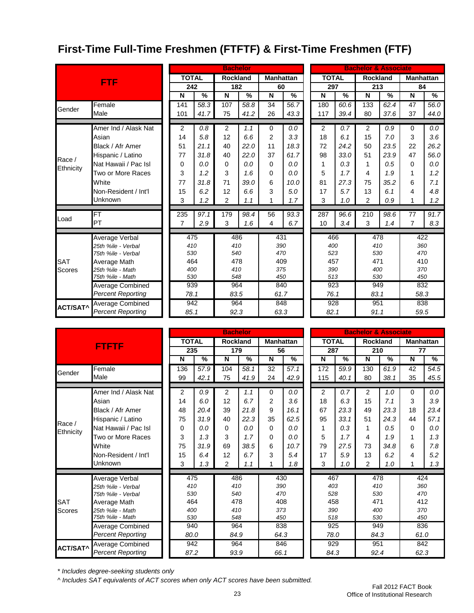# **First-Time Full-Time Freshmen (FTFTF) & First-Time Freshmen (FTF)**

|                 |                          |              |      | <b>Bachelor</b> |               |          |                  |              |      | <b>Bachelor &amp; Associate</b> |               |                  |               |
|-----------------|--------------------------|--------------|------|-----------------|---------------|----------|------------------|--------------|------|---------------------------------|---------------|------------------|---------------|
|                 | <b>FTF</b>               | <b>TOTAL</b> |      | <b>Rockland</b> |               |          | <b>Manhattan</b> | <b>TOTAL</b> |      | <b>Rockland</b>                 |               | <b>Manhattan</b> |               |
|                 |                          | 242          |      | 182             |               | 60       |                  | 297          |      | 213                             |               | 84               |               |
|                 |                          | N            | $\%$ | N               | $\frac{0}{0}$ | N        | $\frac{9}{6}$    | N            | %    | N                               | $\frac{0}{0}$ | N                | $\frac{0}{0}$ |
|                 | Female                   | 141          | 58.3 | 107             | 58.8          | 34       | 56.7             | 180          | 60.6 | 133                             | 62.4          | 47               | 56.0          |
| Gender          | Male                     | 101          | 41.7 | 75              | 41.2          | 26       | 43.3             | 117          | 39.4 | 80                              | 37.6          | 37               | 44.0          |
|                 |                          |              |      |                 |               |          |                  |              |      |                                 |               |                  |               |
|                 | Amer Ind / Alask Nat     | 2            | 0.8  | 2               | 1.1           | $\Omega$ | 0.0              | 2            | 0.7  | $\overline{2}$                  | 0.9           | 0                | 0.0           |
|                 | Asian                    | 14           | 5.8  | 12              | 6.6           | 2        | 3.3              | 18           | 6.1  | 15                              | 7.0           | 3                | 3.6           |
|                 | Black / Afr Amer         | 51           | 21.1 | 40              | 22.0          | 11       | 18.3             | 72           | 24.2 | 50                              | 23.5          | 22               | 26.2          |
| Race /          | Hispanic / Latino        | 77           | 31.8 | 40              | 22.0          | 37       | 61.7             | 98           | 33.0 | 51                              | 23.9          | 47               | 56.0          |
| Ethnicity       | Nat Hawaii / Pac Isl     | 0            | 0.0  | $\Omega$        | 0.0           | 0        | 0.0              | 1            | 0.3  | 1                               | 0.5           | $\Omega$         | 0.0           |
|                 | Two or More Races        | 3            | 1.2  | 3               | 1.6           | 0        | 0.0              | 5            | 1.7  | 4                               | 1.9           | 1                | 1.2           |
|                 | White                    | 77           | 31.8 | 71              | 39.0          | 6        | 10.0             | 81           | 27.3 | 75                              | 35.2          | 6                | 7.1           |
|                 | Non-Resident / Int'l     | 15           | 6.2  | 12              | 6.6           | 3        | 5.0              | 17           | 5.7  | 13                              | 6.1           | 4                | 4.8           |
|                 | Unknown                  | 3            | 1.2  | $\overline{2}$  | 1.1           |          | 1.7              | 3            | 1.0  | $\overline{2}$                  | 0.9           |                  | 1.2           |
|                 |                          |              |      |                 |               |          |                  |              |      |                                 |               |                  |               |
| Load            | <b>FT</b>                | 235          | 97.1 | 179             | 98.4          | 56       | 93.3             | 287          | 96.6 | 210                             | 98.6          | 77               | 91.7          |
|                 | PT                       | 7            | 2.9  | 3               | 1.6           | 4        | 6.7              | 10           | 3.4  | 3                               | 1.4           | $\overline{7}$   | 8.3           |
|                 | <b>Average Verbal</b>    | 475          |      | 486             |               |          | 431              | 466          |      | 478                             |               | 422              |               |
|                 | 25th %ile - Verbal       | 410          |      | 410             |               |          | 390              | 400          |      | 410                             |               | 360              |               |
|                 | 75th %ile - Verbal       | 530          |      | 540             |               | 470      |                  | 523          |      | 530                             |               | 470              |               |
| <b>SAT</b>      | Average Math             | 464          |      | 478             |               |          | 409              | 457          |      | 471                             |               | 410              |               |
| <b>Scores</b>   | 25th %ile - Math         | 400          |      | 410             |               |          | 375              | 390          |      | 400                             |               | 370              |               |
|                 | 75th %ile - Math         | 530          |      | 548             |               | 450      |                  | 513          |      | 530                             |               | 450              |               |
|                 | Average Combined         | 939          |      | 964             |               |          | 840              | 923          |      | 949                             |               | 832              |               |
|                 | <b>Percent Reporting</b> | 78.1         |      | 83.5            |               |          | 61.7             | 76.1         |      | 83.1                            |               | 58.3             |               |
|                 | Average Combined         | 942          |      | 964             |               |          | 848              | 928          |      | 951                             |               | 838              |               |
| <b>ACT/SAT^</b> | <b>Percent Reporting</b> | 85.1         |      | 92.3            |               |          | 63.3             | 82.1         |      | 91.1                            |               | 59.5             |               |

|                               |                                                                                                                                                                     |                            |                                                                                                                   | 179           |                                                                                                                                  |               |                                                                                                               |     |               |                                                                                                     |               | 77                                                                                                    |                                                                                                                       |
|-------------------------------|---------------------------------------------------------------------------------------------------------------------------------------------------------------------|----------------------------|-------------------------------------------------------------------------------------------------------------------|---------------|----------------------------------------------------------------------------------------------------------------------------------|---------------|---------------------------------------------------------------------------------------------------------------|-----|---------------|-----------------------------------------------------------------------------------------------------|---------------|-------------------------------------------------------------------------------------------------------|-----------------------------------------------------------------------------------------------------------------------|
|                               | $\overline{\mathsf{N}}$                                                                                                                                             | $\frac{9}{6}$              | $\overline{\mathsf{N}}$                                                                                           | $\frac{9}{6}$ | $\overline{\mathsf{N}}$                                                                                                          | $\frac{9}{6}$ |                                                                                                               | N   | $\frac{9}{6}$ | $\overline{\mathsf{N}}$                                                                             | $\frac{9}{6}$ | $\overline{\mathsf{N}}$                                                                               | $\overline{\frac{9}{6}}$                                                                                              |
| Female                        | 136                                                                                                                                                                 | 57.9                       | 104                                                                                                               | 58.1          | 32                                                                                                                               | 57.1          |                                                                                                               | 172 | 59.9          | 130                                                                                                 | 61.9          | 42                                                                                                    | 54.5                                                                                                                  |
| Male                          | 99                                                                                                                                                                  | 42.1                       | 75                                                                                                                | 41.9          | 24                                                                                                                               | 42.9          |                                                                                                               | 115 | 40.1          | 80                                                                                                  | 38.1          | 35                                                                                                    | 45.5                                                                                                                  |
|                               |                                                                                                                                                                     |                            |                                                                                                                   |               |                                                                                                                                  |               |                                                                                                               |     |               |                                                                                                     |               |                                                                                                       |                                                                                                                       |
|                               |                                                                                                                                                                     |                            |                                                                                                                   |               |                                                                                                                                  |               |                                                                                                               |     |               |                                                                                                     |               |                                                                                                       | 0.0                                                                                                                   |
|                               |                                                                                                                                                                     |                            |                                                                                                                   |               |                                                                                                                                  |               |                                                                                                               |     |               |                                                                                                     |               |                                                                                                       | 3.9                                                                                                                   |
|                               |                                                                                                                                                                     |                            |                                                                                                                   |               |                                                                                                                                  |               |                                                                                                               |     |               |                                                                                                     |               |                                                                                                       | 23.4                                                                                                                  |
| Hispanic / Latino             | 75                                                                                                                                                                  | 31.9                       | 40                                                                                                                | 22.3          | 35                                                                                                                               | 62.5          |                                                                                                               | 95  | 33.1          | 51                                                                                                  | 24.3          | 44                                                                                                    | 57.1                                                                                                                  |
| Nat Hawaii / Pac Isl          | 0                                                                                                                                                                   | 0.0                        | 0                                                                                                                 | 0.0           | $\Omega$                                                                                                                         | 0.0           |                                                                                                               | 1   | 0.3           | 1                                                                                                   | 0.5           | $\Omega$                                                                                              | 0.0                                                                                                                   |
| Two or More Races             | 3                                                                                                                                                                   | 1.3                        | 3                                                                                                                 | 1.7           | $\Omega$                                                                                                                         | 0.0           |                                                                                                               | 5   | 1.7           | 4                                                                                                   | 1.9           | 1                                                                                                     | 1.3                                                                                                                   |
| White<br>Non-Resident / Int'l | 75                                                                                                                                                                  | 31.9                       | 69                                                                                                                | 38.5          | 6                                                                                                                                | 10.7          |                                                                                                               | 79  | 27.5          | 73                                                                                                  | 34.8          | 6                                                                                                     | 7.8                                                                                                                   |
|                               | 15                                                                                                                                                                  | 6.4                        | 12                                                                                                                | 6.7           | 3                                                                                                                                | 5.4           |                                                                                                               | 17  | 5.9           | 13                                                                                                  | 6.2           | 4                                                                                                     | 5.2                                                                                                                   |
| Unknown                       | 3                                                                                                                                                                   | 1.3                        | $\overline{2}$                                                                                                    | 1.1           |                                                                                                                                  | 1.8           |                                                                                                               | 3   | 1.0           | $\overline{2}$                                                                                      | 1.0           | 1                                                                                                     | 1.3                                                                                                                   |
|                               |                                                                                                                                                                     |                            |                                                                                                                   |               |                                                                                                                                  |               |                                                                                                               |     |               |                                                                                                     |               |                                                                                                       |                                                                                                                       |
|                               |                                                                                                                                                                     |                            |                                                                                                                   |               |                                                                                                                                  |               |                                                                                                               |     |               |                                                                                                     |               |                                                                                                       |                                                                                                                       |
|                               |                                                                                                                                                                     |                            |                                                                                                                   |               |                                                                                                                                  |               |                                                                                                               |     |               |                                                                                                     |               |                                                                                                       |                                                                                                                       |
|                               |                                                                                                                                                                     |                            |                                                                                                                   |               |                                                                                                                                  |               |                                                                                                               |     |               |                                                                                                     |               |                                                                                                       |                                                                                                                       |
| 25th %ile - Math              |                                                                                                                                                                     |                            |                                                                                                                   |               |                                                                                                                                  |               |                                                                                                               | 390 |               |                                                                                                     |               | 370                                                                                                   |                                                                                                                       |
| 75th %ile - Math              |                                                                                                                                                                     |                            |                                                                                                                   |               |                                                                                                                                  |               |                                                                                                               |     |               |                                                                                                     |               | 450                                                                                                   |                                                                                                                       |
|                               |                                                                                                                                                                     |                            |                                                                                                                   |               |                                                                                                                                  |               |                                                                                                               |     |               |                                                                                                     |               |                                                                                                       |                                                                                                                       |
| <b>Percent Reporting</b>      |                                                                                                                                                                     |                            |                                                                                                                   |               |                                                                                                                                  |               |                                                                                                               |     |               |                                                                                                     |               |                                                                                                       |                                                                                                                       |
| Average Combined              |                                                                                                                                                                     |                            |                                                                                                                   |               | 846                                                                                                                              |               | 929                                                                                                           |     | 951           |                                                                                                     | 842           |                                                                                                       |                                                                                                                       |
| <b>Percent Reporting</b>      |                                                                                                                                                                     |                            |                                                                                                                   |               |                                                                                                                                  |               |                                                                                                               |     |               | 92.4                                                                                                |               | 62.3                                                                                                  |                                                                                                                       |
|                               | <b>FTFTF</b><br>Amer Ind / Alask Nat<br>Asian<br>Black / Afr Amer<br>Average Verbal<br>25th %ile - Verbal<br>75th %ile - Verbal<br>Average Math<br>Average Combined | $\overline{2}$<br>14<br>48 | <b>TOTAL</b><br>235<br>0.9<br>6.0<br>20.4<br>475<br>410<br>530<br>464<br>400<br>530<br>940<br>80.0<br>942<br>87.2 | 2<br>12<br>39 | <b>Bachelor</b><br><b>Rockland</b><br>1.1<br>6.7<br>21.8<br>486<br>410<br>540<br>478<br>410<br>548<br>964<br>84.9<br>964<br>93.9 | 0<br>2<br>9   | <b>Manhattan</b><br>56<br>0.0<br>3.6<br>16.1<br>430<br>390<br>470<br>408<br>373<br>450<br>838<br>64.3<br>66.1 |     | 2<br>18<br>67 | <b>TOTAL</b><br>287<br>0.7<br>6.3<br>23.3<br>467<br>403<br>528<br>458<br>518<br>925<br>78.0<br>84.3 | 2<br>15<br>49 | <b>Rockland</b><br>210<br>1.0<br>7.1<br>23.3<br>478<br>410<br>530<br>471<br>400<br>530<br>949<br>84.3 | <b>Bachelor &amp; Associate</b><br><b>Manhattan</b><br>$\Omega$<br>3<br>18<br>424<br>360<br>470<br>412<br>836<br>61.0 |

|      |               |  |              |      | <b>Bachelor &amp; Associate</b> |      |                  |                          |  |
|------|---------------|--|--------------|------|---------------------------------|------|------------------|--------------------------|--|
|      | nhattan       |  | <b>TOTAL</b> |      | <b>Rockland</b>                 |      | <b>Manhattan</b> |                          |  |
| 56   |               |  | 287          |      | 210                             |      | 77               |                          |  |
|      | $\frac{1}{2}$ |  | N            | %    | N                               | %    | N                | $\overline{\mathcal{C}}$ |  |
|      | 57.1          |  | 172          | 59.9 | 130                             | 61.9 | 42               | 54.5                     |  |
|      | 42.9          |  | 115          | 40.1 | 80                              | 38.1 | 35               | 45.5                     |  |
|      |               |  |              |      |                                 |      |                  |                          |  |
|      | 0.0           |  | 2            | 0.7  | $\overline{2}$                  | 1.0  | 0                | $0.0\,$                  |  |
|      | 3.6           |  | 18           | 6.3  | 15                              | 7.1  | 3                | 3.9                      |  |
|      | 16.1          |  | 67           | 23.3 | 49                              | 23.3 | 18               | 23.4                     |  |
|      | 62.5          |  | 95           | 33.1 | 51                              | 24.3 | 44               | 57.1                     |  |
|      | 0.0           |  | 1            | 0.3  | 1                               | 0.5  | 0                | 0.0                      |  |
|      | 0.0           |  | 5            | 1.7  | 4                               | 1.9  | 1                | 1.3                      |  |
|      | 10.7          |  | 79           | 27.5 | 73<br>34.8                      |      | 6                | 7.8                      |  |
|      | 5.4           |  | 17           | 5.9  | 13                              | 6.2  | 4                | 5.2                      |  |
|      | 1.8           |  | 3            | 1.0  | $\overline{2}$                  | 1.0  | 1                | 1.3                      |  |
| 430  |               |  |              | 467  |                                 | 478  | 424              |                          |  |
| 390  |               |  | 403          |      | 410                             |      | 360              |                          |  |
| 470  |               |  | 528          |      | 530                             |      | 470              |                          |  |
| 408  |               |  | 458          |      | 471                             |      | 412              |                          |  |
| 373  |               |  | 390          |      | 400                             |      | 370              |                          |  |
| 450  |               |  | 518          |      | 530                             |      | 450              |                          |  |
| 838  |               |  | 925          |      | 949                             |      | 836              |                          |  |
| 64.3 |               |  | 78.0         |      | 84.3                            |      | 61.0             |                          |  |
| 846  |               |  | 929          |      | 951                             |      | 842              |                          |  |
| 66.1 |               |  | 84.3         |      | 92.4                            |      | 62.3             |                          |  |

*\* Includes degree-seeking students only*

*^ Includes SAT equivalents of ACT scores when only ACT scores have been submitted.*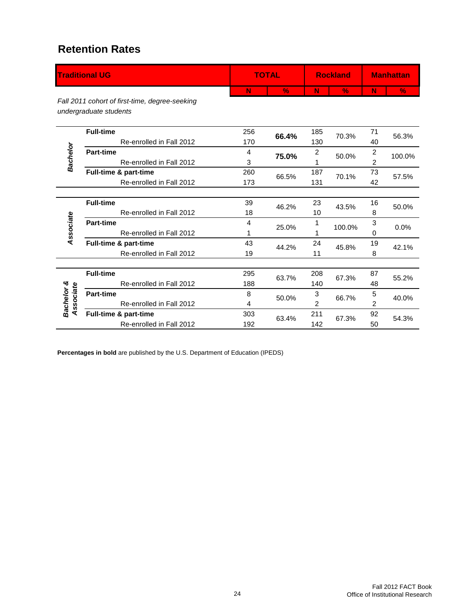#### **Retention Rates**

|                         | <b>Traditional UG</b>                                                    |     | <b>TOTAL</b>  |     | <b>Rockland</b> | <b>Manhattan</b> |        |
|-------------------------|--------------------------------------------------------------------------|-----|---------------|-----|-----------------|------------------|--------|
|                         |                                                                          | N   | $\frac{9}{6}$ | N   | $\%$            | N                | $\%$   |
|                         | Fall 2011 cohort of first-time, degree-seeking<br>undergraduate students |     |               |     |                 |                  |        |
|                         | <b>Full-time</b>                                                         | 256 | 66.4%         | 185 | 70.3%           | 71               | 56.3%  |
|                         | Re-enrolled in Fall 2012                                                 | 170 |               | 130 |                 | 40               |        |
|                         | <b>Part-time</b>                                                         | 4   | 75.0%         | 2   | 50.0%           | $\overline{c}$   | 100.0% |
| Bachelor                | Re-enrolled in Fall 2012                                                 | 3   |               |     |                 | 2                |        |
|                         | Full-time & part-time                                                    | 260 | 66.5%         | 187 | 70.1%           | 73               | 57.5%  |
|                         | Re-enrolled in Fall 2012                                                 | 173 |               | 131 |                 | 42               |        |
|                         |                                                                          |     |               |     |                 |                  |        |
|                         | <b>Full-time</b>                                                         | 39  | 46.2%         | 23  | 43.5%           | 16               | 50.0%  |
|                         | Re-enrolled in Fall 2012                                                 | 18  |               | 10  |                 | 8                |        |
| Associate               | <b>Part-time</b>                                                         | 4   | 25.0%         |     | 100.0%          | 3                | 0.0%   |
|                         | Re-enrolled in Fall 2012                                                 | 1   |               |     |                 | 0                |        |
|                         | Full-time & part-time                                                    | 43  | 44.2%         | 24  | 45.8%           | 19               | 42.1%  |
|                         | Re-enrolled in Fall 2012                                                 | 19  |               | 11  |                 | 8                |        |
|                         |                                                                          |     |               |     |                 |                  |        |
|                         | <b>Full-time</b>                                                         | 295 | 63.7%         | 208 | 67.3%           | 87               | 55.2%  |
|                         | Re-enrolled in Fall 2012                                                 | 188 |               | 140 |                 | 48               |        |
| Bachelor &<br>Associate | <b>Part-time</b>                                                         | 8   | 50.0%         | 3   | 66.7%           | 5                | 40.0%  |
|                         | Re-enrolled in Fall 2012                                                 | 4   |               | 2   |                 | 2                |        |
|                         | Full-time & part-time                                                    | 303 | 63.4%         | 211 | 67.3%           | 92               | 54.3%  |
|                         | Re-enrolled in Fall 2012                                                 | 192 |               | 142 |                 | 50               |        |

**Percentages in bold** are published by the U.S. Department of Education (IPEDS)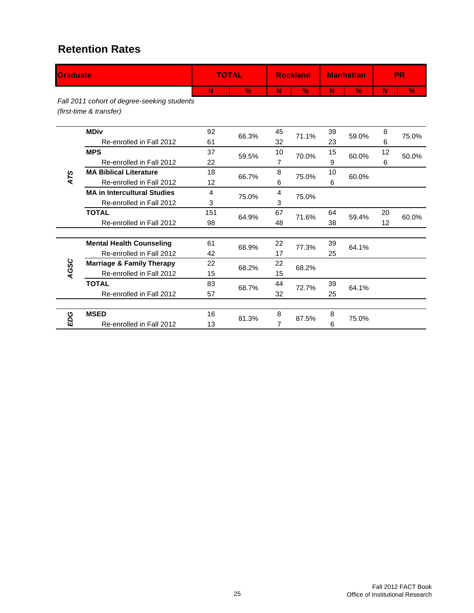#### **Retention Rates**

| Graduate |                                                                        |              | <b>TOTAL</b> |    | <b>Rockland</b> |    | <b>Manhattan</b> | <b>PR</b> |       |
|----------|------------------------------------------------------------------------|--------------|--------------|----|-----------------|----|------------------|-----------|-------|
|          |                                                                        | N            | $\%$         | N  | $\%$            | N  | $\%$             | N         | $\%$  |
|          | Fall 2011 cohort of degree-seeking students<br>(first-time & transfer) |              |              |    |                 |    |                  |           |       |
|          | <b>MDiv</b>                                                            | 92           | 66.3%        | 45 | 71.1%           | 39 | 59.0%            | 8         | 75.0% |
|          | Re-enrolled in Fall 2012                                               | 61           |              | 32 |                 | 23 |                  | 6         |       |
|          | <b>MPS</b>                                                             | 37           | 59.5%        | 10 | 70.0%           | 15 | 60.0%            | 12        | 50.0% |
|          | Re-enrolled in Fall 2012                                               | 22           |              |    |                 | 9  |                  | 6         |       |
| ATS      | <b>MA Biblical Literature</b>                                          | 18           | 66.7%        | 8  | 75.0%           | 10 | 60.0%            |           |       |
|          | Re-enrolled in Fall 2012                                               | 12           |              | 6  |                 | 6  |                  |           |       |
|          | <b>MA in Intercultural Studies</b>                                     | 4            | 75.0%        | 4  | 75.0%           |    |                  |           |       |
|          | Re-enrolled in Fall 2012                                               | 3            |              |    |                 |    |                  |           |       |
|          | <b>TOTAL</b>                                                           | 151<br>64.9% |              | 67 | 71.6%           | 64 | 59.4%            | 20        | 60.0% |
|          | Re-enrolled in Fall 2012                                               | 98           |              | 48 |                 | 38 |                  | 12        |       |
|          | <b>Mental Health Counseling</b>                                        | 61           |              | 22 |                 | 39 |                  |           |       |
|          | Re-enrolled in Fall 2012                                               | 42           | 68.9%        | 17 | 77.3%           | 25 | 64.1%            |           |       |
| AGSC     | <b>Marriage &amp; Family Therapy</b>                                   | 22           | 68.2%        | 22 | 68.2%           |    |                  |           |       |
|          | Re-enrolled in Fall 2012                                               | 15           |              | 15 |                 |    |                  |           |       |
|          | <b>TOTAL</b>                                                           | 83           | 68.7%        | 44 | 72.7%           | 39 | 64.1%            |           |       |
|          | Re-enrolled in Fall 2012                                               | 57           |              | 32 |                 | 25 |                  |           |       |
|          |                                                                        |              |              |    |                 |    |                  |           |       |
| EDG      | <b>MSED</b>                                                            | 16           | 81.3%        | 8  | 87.5%           | 8  | 75.0%            |           |       |
|          | Re-enrolled in Fall 2012                                               | 13           |              | 7  |                 | 6  |                  |           |       |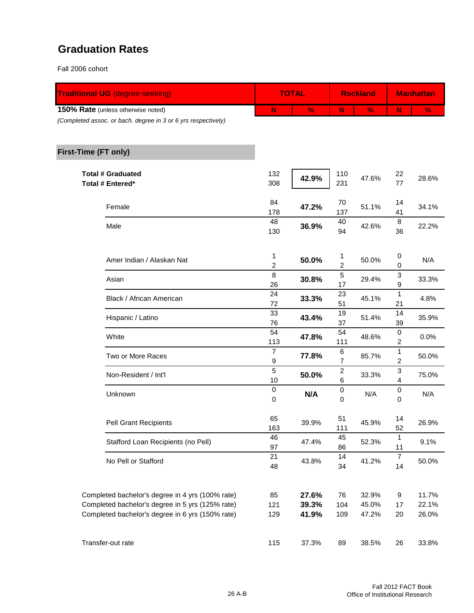#### **Graduation Rates**

Fall 2006 cohort

| <b>Traditional UG (degree-seeking)</b>                                                               |                     | <b>TOTAL</b>   |                       | <b>Rockland</b> | <b>Manhattan</b>       |                |  |
|------------------------------------------------------------------------------------------------------|---------------------|----------------|-----------------------|-----------------|------------------------|----------------|--|
| 150% Rate (unless otherwise noted)<br>(Completed assoc. or bach. degree in 3 or 6 yrs respectively)  | N                   | $\frac{9}{6}$  | N                     | $\frac{9}{6}$   | N                      | $\frac{9}{6}$  |  |
| First-Time (FT only)                                                                                 |                     |                |                       |                 |                        |                |  |
| <b>Total # Graduated</b><br>Total # Entered*                                                         | 132<br>308          | 42.9%          | 110<br>231            | 47.6%           | 22<br>77               | 28.6%          |  |
| Female                                                                                               | 84<br>178           | 47.2%          | 70<br>137             | 51.1%           | 14<br>41               | 34.1%          |  |
| Male                                                                                                 | 48<br>130           | 36.9%          | 40<br>94              | 42.6%           | $\bf 8$<br>36          | 22.2%          |  |
| Amer Indian / Alaskan Nat                                                                            | 1<br>$\overline{c}$ | 50.0%          | 1<br>2                | 50.0%           | $\overline{0}$<br>0    | N/A            |  |
| Asian                                                                                                | 8<br>26             | 30.8%          | 5<br>17               | 29.4%           | 3<br>9                 | 33.3%          |  |
| Black / African American                                                                             | 24<br>72            | 33.3%          | 23<br>51              | 45.1%           | 1<br>21                | 4.8%           |  |
| Hispanic / Latino                                                                                    | 33<br>76            | 43.4%          | 19<br>37              | 51.4%           | 14<br>39               | 35.9%          |  |
| White                                                                                                | 54<br>113           | 47.8%          | 54<br>111             | 48.6%           | 0<br>2                 | 0.0%           |  |
| Two or More Races                                                                                    | $\overline{7}$<br>9 | 77.8%          | 6<br>7                | 85.7%           | 1<br>2                 | 50.0%          |  |
| Non-Resident / Int'l                                                                                 | 5<br>10             | 50.0%          | $\boldsymbol{2}$<br>6 | 33.3%           | 3<br>4                 | 75.0%          |  |
| Unknown                                                                                              | $\pmb{0}$<br>0      | N/A            | $\boldsymbol{0}$<br>0 | N/A             | 0<br>0                 | N/A            |  |
| <b>Pell Grant Recipients</b>                                                                         | 65<br>163           | 39.9%          | 51<br>111             | 45.9%           | 14<br>52               | 26.9%          |  |
| Stafford Loan Recipients (no Pell)                                                                   | 46<br>97            | 47.4%          | 45<br>86              | 52.3%           | $\mathbf{1}$<br>11     | 9.1%           |  |
| No Pell or Stafford                                                                                  | 21<br>48            | 43.8%          | 14<br>34              | 41.2%           | $\boldsymbol{7}$<br>14 | 50.0%          |  |
| Completed bachelor's degree in 4 yrs (100% rate)                                                     | 85                  | 27.6%          | 76                    | 32.9%           | 9                      | 11.7%          |  |
| Completed bachelor's degree in 5 yrs (125% rate)<br>Completed bachelor's degree in 6 yrs (150% rate) | 121<br>129          | 39.3%<br>41.9% | 104<br>109            | 45.0%<br>47.2%  | 17<br>20               | 22.1%<br>26.0% |  |
| Transfer-out rate                                                                                    | 115                 | 37.3%          | 89                    | 38.5%           | 26                     | 33.8%          |  |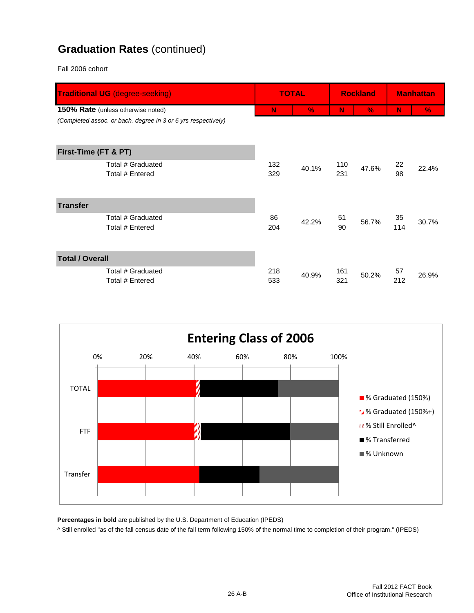#### **Graduation Rates** (continued)

Fall 2006 cohort

| <b>Traditional UG</b> (degree-seeking)                        |     | <b>TOTAL</b> |     | <b>Rockland</b> | <b>Manhattan</b> |               |
|---------------------------------------------------------------|-----|--------------|-----|-----------------|------------------|---------------|
| 150% Rate (unless otherwise noted)                            | N   | $\%$         | N   | $\%$            | N                | $\frac{9}{6}$ |
| (Completed assoc. or bach. degree in 3 or 6 yrs respectively) |     |              |     |                 |                  |               |
|                                                               |     |              |     |                 |                  |               |
| First-Time (FT & PT)                                          |     |              |     |                 |                  |               |
| Total # Graduated                                             | 132 | 40.1%        | 110 | 47.6%           | 22               | 22.4%         |
| Total # Entered                                               | 329 |              | 231 |                 | 98               |               |
|                                                               |     |              |     |                 |                  |               |
| <b>Transfer</b>                                               |     |              |     |                 |                  |               |
| Total # Graduated                                             | 86  | 42.2%        | 51  | 56.7%           | 35               | 30.7%         |
| Total # Entered                                               | 204 |              | 90  |                 | 114              |               |
|                                                               |     |              |     |                 |                  |               |
| <b>Total / Overall</b>                                        |     |              |     |                 |                  |               |
| Total # Graduated                                             | 218 | 40.9%        | 161 | 50.2%           | 57               | 26.9%         |
| Total # Entered                                               | 533 |              | 321 |                 | 212              |               |



**Percentages in bold** are published by the U.S. Department of Education (IPEDS)

^ Still enrolled "as of the fall census date of the fall term following 150% of the normal time to completion of their program." (IPEDS)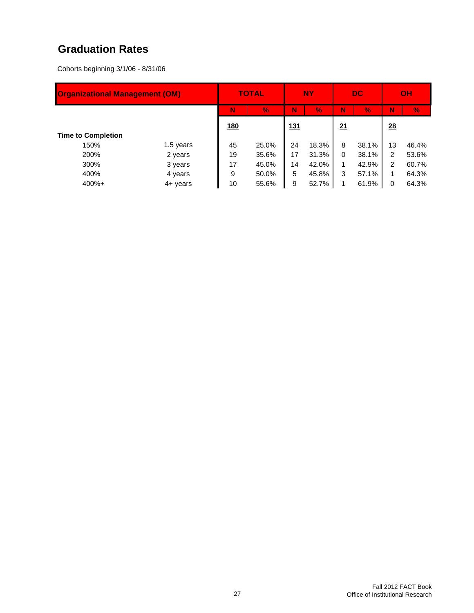#### **Graduation Rates**

Cohorts beginning 3/1/06 - 8/31/06

| <b>Organizational Management (OM)</b> |                   |            | <b>TOTAL</b> |            | <b>NY</b> |          | <b>DC</b> |    | OH    |
|---------------------------------------|-------------------|------------|--------------|------------|-----------|----------|-----------|----|-------|
|                                       |                   | N          | V.           | N          | V.        | N        | V.        | N  | V.    |
|                                       |                   | <u>180</u> |              | <u>131</u> |           | 21       |           | 28 |       |
| <b>Time to Completion</b>             |                   |            |              |            |           |          |           |    |       |
| 150%                                  | 1.5 years         | 45         | 25.0%        | 24         | 18.3%     | 8        | 38.1%     | 13 | 46.4% |
| 200%                                  | 2 years           | 19         | 35.6%        | 17         | 31.3%     | $\Omega$ | 38.1%     | 2  | 53.6% |
| 300%                                  | 3 years           | 17         | 45.0%        | 14         | 42.0%     |          | 42.9%     | 2  | 60.7% |
| 400%                                  | 4 years           | 9          | 50.0%        | 5          | 45.8%     | 3        | 57.1%     |    | 64.3% |
| $400%+$                               | $4 + \gamma$ ears | 10         | 55.6%        | 9          | 52.7%     |          | 61.9%     | 0  | 64.3% |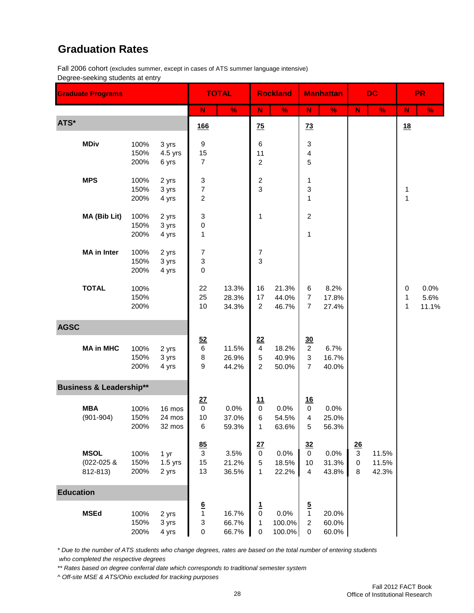#### **Graduation Rates**

Fall 2006 cohort (excludes summer, except in cases of ATS summer language intensive) Degree-seeking students at entry

|                  | <b>Graduate Programs</b>              |                      |                            |                                                           | <b>TOTAL</b>            |                                                      | <b>Rockland</b>          |                                                           | <b>Manhattan</b>        |                           | <b>DC</b>               |                                  | <b>PR</b>             |
|------------------|---------------------------------------|----------------------|----------------------------|-----------------------------------------------------------|-------------------------|------------------------------------------------------|--------------------------|-----------------------------------------------------------|-------------------------|---------------------------|-------------------------|----------------------------------|-----------------------|
|                  |                                       |                      |                            | N                                                         | $\%$                    | N                                                    | $\%$                     | ${\sf N}$                                                 | $\%$                    | ${\sf N}$                 | $\%$                    | ${\bf N}$                        | $\frac{9}{6}$         |
| ATS*             |                                       |                      |                            | <u>166</u>                                                |                         | $\overline{25}$                                      |                          | $\overline{13}$                                           |                         |                           |                         | 18                               |                       |
|                  | <b>MDiv</b>                           | 100%<br>150%<br>200% | 3 yrs<br>4.5 yrs<br>6 yrs  | 9<br>15<br>$\overline{7}$                                 |                         | 6<br>11<br>$\overline{c}$                            |                          | 3<br>4<br>5                                               |                         |                           |                         |                                  |                       |
|                  | <b>MPS</b>                            | 100%<br>150%<br>200% | 2 yrs<br>3 yrs<br>4 yrs    | 3<br>$\overline{\mathcal{I}}$<br>2                        |                         | $\overline{\mathbf{c}}$<br>3                         |                          | 1<br>3<br>1                                               |                         |                           |                         | 1<br>1                           |                       |
|                  | MA (Bib Lit)                          | 100%<br>150%<br>200% | 2 yrs<br>3 yrs<br>4 yrs    | 3<br>0<br>1                                               |                         | 1                                                    |                          | $\overline{\mathbf{c}}$<br>1                              |                         |                           |                         |                                  |                       |
|                  | <b>MA</b> in Inter                    | 100%<br>150%<br>200% | 2 yrs<br>3 yrs<br>4 yrs    | 7<br>3<br>0                                               |                         | $\overline{7}$<br>3                                  |                          |                                                           |                         |                           |                         |                                  |                       |
|                  | <b>TOTAL</b>                          | 100%<br>150%<br>200% |                            | 22<br>25<br>10                                            | 13.3%<br>28.3%<br>34.3% | 16<br>17<br>$\overline{a}$                           | 21.3%<br>44.0%<br>46.7%  | 6<br>7<br>$\overline{7}$                                  | 8.2%<br>17.8%<br>27.4%  |                           |                         | $\mathbf 0$<br>1<br>$\mathbf{1}$ | 0.0%<br>5.6%<br>11.1% |
| <b>AGSC</b>      |                                       |                      |                            |                                                           |                         |                                                      |                          |                                                           |                         |                           |                         |                                  |                       |
|                  | <b>MA in MHC</b>                      | 100%<br>150%<br>200% | 2 yrs<br>3 yrs<br>4 yrs    | 52<br>$\,6$<br>8<br>9                                     | 11.5%<br>26.9%<br>44.2% | 22<br>$\overline{\mathbf{4}}$<br>5<br>$\overline{a}$ | 18.2%<br>40.9%<br>50.0%  | $\underline{30}$<br>$\overline{2}$<br>3<br>$\overline{7}$ | 6.7%<br>16.7%<br>40.0%  |                           |                         |                                  |                       |
|                  | <b>Business &amp; Leadership**</b>    |                      |                            |                                                           |                         |                                                      |                          |                                                           |                         |                           |                         |                                  |                       |
|                  | <b>MBA</b><br>$(901 - 904)$           | 100%<br>150%<br>200% | 16 mos<br>24 mos<br>32 mos | 27<br>$\pmb{0}$<br>10<br>6                                | 0.0%<br>37.0%<br>59.3%  | <u>11</u><br>$\pmb{0}$<br>6<br>1                     | 0.0%<br>54.5%<br>63.6%   | 16<br>$\mathbf 0$<br>4<br>5                               | 0.0%<br>25.0%<br>56.3%  |                           |                         |                                  |                       |
|                  | <b>MSOL</b><br>(022-025 &<br>812-813) | 100%<br>150%<br>200% | 1 yr<br>$1.5$ yrs<br>2 yrs | 85<br>$\mathbf{3}$<br>15<br>13                            | 3.5%<br>21.2%<br>36.5%  | 27<br>$\pmb{0}$<br>5<br>1                            | 0.0%<br>18.5%<br>22.2%   | 32<br>$\mathbf 0$<br>10<br>4                              | 0.0%<br>31.3%<br>43.8%  | 26<br>3<br>$\pmb{0}$<br>8 | 11.5%<br>11.5%<br>42.3% |                                  |                       |
| <b>Education</b> |                                       |                      |                            |                                                           |                         |                                                      |                          |                                                           |                         |                           |                         |                                  |                       |
|                  | <b>MSEd</b>                           | 100%<br>150%<br>200% | 2 yrs<br>3 yrs<br>4 yrs    | $\frac{6}{1}$<br>$\ensuremath{\mathsf{3}}$<br>$\mathbf 0$ | 16.7%<br>66.7%<br>66.7% | $\frac{1}{0}$<br>1<br>0                              | 0.0%<br>100.0%<br>100.0% | $\frac{5}{1}$<br>$\overline{c}$<br>0                      | 20.0%<br>60.0%<br>60.0% |                           |                         |                                  |                       |

*\* Due to the number of ATS students who change degrees, rates are based on the total number of entering students who completed the respective degrees*

*\*\* Rates based on degree conferral date which corresponds to traditional semester system*

*^ Off-site MSE & ATS/Ohio excluded for tracking purposes*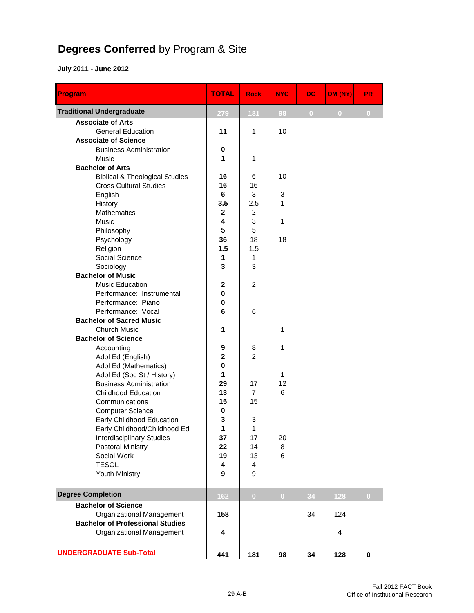# **Degrees Conferred** by Program & Site

| Program                                           | <b>TOTAL</b>     | <b>Rock</b>         | <b>NYC</b>     | <b>DC</b>      | OM (NY)        | <b>PR</b>   |
|---------------------------------------------------|------------------|---------------------|----------------|----------------|----------------|-------------|
| <b>Traditional Undergraduate</b>                  | 279              | 181                 | 98             | $\overline{0}$ | $\overline{0}$ | $\bf{0}$    |
| <b>Associate of Arts</b>                          |                  |                     |                |                |                |             |
| <b>General Education</b>                          | 11               | 1                   | 10             |                |                |             |
| <b>Associate of Science</b>                       |                  |                     |                |                |                |             |
| <b>Business Administration</b>                    | 0                |                     |                |                |                |             |
| Music                                             | 1                | 1                   |                |                |                |             |
| <b>Bachelor of Arts</b>                           |                  |                     |                |                |                |             |
| <b>Biblical &amp; Theological Studies</b>         | 16               | 6                   | 10             |                |                |             |
| <b>Cross Cultural Studies</b>                     | 16               | 16                  |                |                |                |             |
| English                                           | 6                | 3                   | 3              |                |                |             |
| History                                           | 3.5              | 2.5                 | 1              |                |                |             |
| <b>Mathematics</b>                                | $\mathbf{2}$     | 2                   |                |                |                |             |
| Music                                             | 4                | 3                   | 1              |                |                |             |
| Philosophy                                        | 5                | 5                   |                |                |                |             |
| Psychology                                        | 36               | 18                  | 18             |                |                |             |
| Religion                                          | 1.5              | 1.5                 |                |                |                |             |
| Social Science                                    | 1                | 1                   |                |                |                |             |
| Sociology                                         | 3                | 3                   |                |                |                |             |
| <b>Bachelor of Music</b>                          |                  |                     |                |                |                |             |
| <b>Music Education</b>                            | $\mathbf{2}$     | 2                   |                |                |                |             |
| Performance: Instrumental                         | 0                |                     |                |                |                |             |
| Performance: Piano                                | 0                |                     |                |                |                |             |
| Performance: Vocal                                | 6                | 6                   |                |                |                |             |
| <b>Bachelor of Sacred Music</b>                   |                  |                     |                |                |                |             |
| <b>Church Music</b><br><b>Bachelor of Science</b> | 1                |                     | 1              |                |                |             |
|                                                   |                  |                     | 1              |                |                |             |
| Accounting<br>Adol Ed (English)                   | 9<br>$\mathbf 2$ | 8<br>$\overline{2}$ |                |                |                |             |
| Adol Ed (Mathematics)                             | 0                |                     |                |                |                |             |
| Adol Ed (Soc St / History)                        | 1.               |                     | 1              |                |                |             |
| <b>Business Administration</b>                    | 29               | 17                  | 12             |                |                |             |
| <b>Childhood Education</b>                        | 13               | $\overline{7}$      | 6              |                |                |             |
| Communications                                    | 15               | 15                  |                |                |                |             |
| <b>Computer Science</b>                           | 0                |                     |                |                |                |             |
| Early Childhood Education                         | 3                | 3                   |                |                |                |             |
| Early Childhood/Childhood Ed                      | 1                | 1                   |                |                |                |             |
| <b>Interdisciplinary Studies</b>                  | 37               | 17                  | 20             |                |                |             |
| Pastoral Ministry                                 | 22               | 14                  | 8              |                |                |             |
| Social Work                                       | 19               | 13                  | 6              |                |                |             |
| <b>TESOL</b>                                      | 4                | $\overline{4}$      |                |                |                |             |
| Youth Ministry                                    | 9                | 9                   |                |                |                |             |
| <b>Degree Completion</b>                          | 162              | $\overline{0}$      | $\overline{0}$ | 34             | 128            | $\bf{0}$    |
| <b>Bachelor of Science</b>                        |                  |                     |                |                |                |             |
| Organizational Management                         | 158              |                     |                | 34             | 124            |             |
| <b>Bachelor of Professional Studies</b>           |                  |                     |                |                |                |             |
| Organizational Management                         | 4                |                     |                |                | 4              |             |
|                                                   |                  |                     |                |                |                |             |
| <b>UNDERGRADUATE Sub-Total</b>                    | 441              | 181                 | 98             | 34             | 128            | $\mathbf 0$ |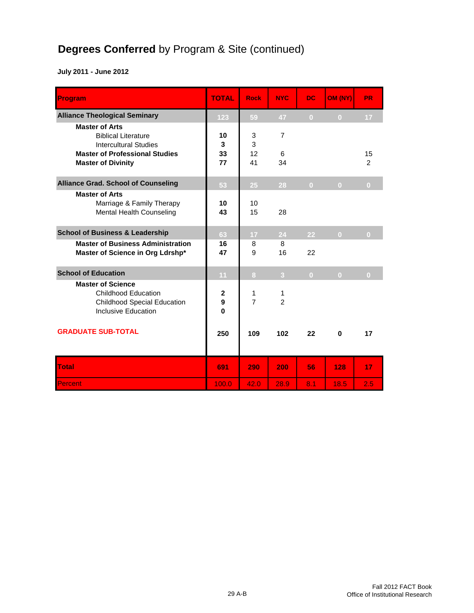# **Degrees Conferred** by Program & Site (continued)

| Program                                                                                                      | <b>TOTAL</b>                  | <b>Rock</b>         | <b>NYC</b>          | DC.            | OM (NY)        | PR.                  |
|--------------------------------------------------------------------------------------------------------------|-------------------------------|---------------------|---------------------|----------------|----------------|----------------------|
| <b>Alliance Theological Seminary</b>                                                                         | 123                           | 59                  | 47                  | $\overline{0}$ | $\overline{0}$ | 17 <sub>2</sub>      |
| <b>Master of Arts</b><br><b>Biblical Literature</b><br><b>Intercultural Studies</b>                          | 10<br>3                       | 3<br>3              | $\overline{7}$      |                |                |                      |
| <b>Master of Professional Studies</b><br><b>Master of Divinity</b>                                           | 33<br>77                      | 12<br>41            | 6<br>34             |                |                | 15<br>$\overline{2}$ |
| <b>Alliance Grad. School of Counseling</b>                                                                   | 53                            | 25                  | 28                  | $\overline{0}$ | $\overline{0}$ | $\overline{0}$       |
| <b>Master of Arts</b><br>Marriage & Family Therapy<br>Mental Health Counseling                               | 10<br>43                      | 10<br>15            | 28                  |                |                |                      |
| <b>School of Business &amp; Leadership</b>                                                                   | 63                            | 17                  | 24                  | 22             | $\overline{0}$ | $\overline{0}$       |
| <b>Master of Business Administration</b><br>Master of Science in Org Ldrshp*                                 | 16<br>47                      | 8<br>9              | 8<br>16             | 22             |                |                      |
| <b>School of Education</b>                                                                                   | 11                            | 8                   | $\overline{3}$      | $\overline{0}$ | $\overline{0}$ | $\overline{0}$       |
| <b>Master of Science</b><br>Childhood Education<br><b>Childhood Special Education</b><br>Inclusive Education | $\mathbf{2}$<br>9<br>$\bf{0}$ | 1<br>$\overline{7}$ | 1<br>$\overline{2}$ |                |                |                      |
| <b>GRADUATE SUB-TOTAL</b>                                                                                    | 250                           | 109                 | 102                 | 22             | 0              | 17                   |
| <b>Total</b>                                                                                                 | 691                           | 290                 | 200                 | 56             | 128            | 17                   |
| Percent                                                                                                      | 100.0                         | 42.0                | 28.9                | 8.1            | 18.5           | 2.5                  |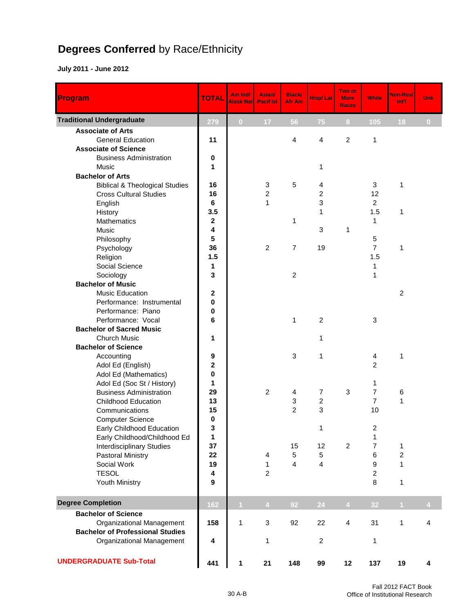# **Degrees Conferred** by Race/Ethnicity

| Program                                   | <b>TOTAL</b> | Am Ind/<br>Alask Nat | Asian/<br><b>Pacif Isl</b> | <b>Black/</b><br>Afr Am | <b>Hisp/Lat</b> | Two or<br><b>More</b><br><b>Races</b> | <b>White</b>            | Non-Res/<br>Int'l | Unk      |
|-------------------------------------------|--------------|----------------------|----------------------------|-------------------------|-----------------|---------------------------------------|-------------------------|-------------------|----------|
| <b>Traditional Undergraduate</b>          | 279          | $\overline{0}$       | 17                         | 56                      | 75              | 8                                     | 105                     | 18                | $\bf{0}$ |
| <b>Associate of Arts</b>                  |              |                      |                            |                         |                 |                                       |                         |                   |          |
| <b>General Education</b>                  | 11           |                      |                            | 4                       | $\overline{4}$  | $\overline{c}$                        | $\mathbf{1}$            |                   |          |
| <b>Associate of Science</b>               |              |                      |                            |                         |                 |                                       |                         |                   |          |
| <b>Business Administration</b>            | 0            |                      |                            |                         |                 |                                       |                         |                   |          |
| <b>Music</b>                              | 1            |                      |                            |                         | 1               |                                       |                         |                   |          |
| <b>Bachelor of Arts</b>                   |              |                      |                            |                         |                 |                                       |                         |                   |          |
| <b>Biblical &amp; Theological Studies</b> | 16           |                      | 3                          | 5                       | 4               |                                       | 3                       | 1                 |          |
| <b>Cross Cultural Studies</b>             | 16           |                      | $\overline{c}$             |                         | 2               |                                       | 12                      |                   |          |
| English                                   | 6            |                      | 1                          |                         | 3               |                                       | $\overline{2}$          |                   |          |
| History                                   | 3.5          |                      |                            |                         | 1               |                                       | 1.5                     | 1                 |          |
| <b>Mathematics</b>                        | $\mathbf 2$  |                      |                            | 1                       |                 |                                       | 1                       |                   |          |
| <b>Music</b>                              | 4            |                      |                            |                         | 3               | 1                                     |                         |                   |          |
| Philosophy                                | 5            |                      |                            |                         |                 |                                       | $\sqrt{5}$              |                   |          |
| Psychology                                | 36           |                      | $\overline{c}$             | $\overline{7}$          | 19              |                                       | $\overline{7}$          | 1                 |          |
| Religion                                  | 1.5          |                      |                            |                         |                 |                                       | 1.5                     |                   |          |
| Social Science                            | 1            |                      |                            |                         |                 |                                       | 1                       |                   |          |
| Sociology                                 | 3            |                      |                            | $\overline{c}$          |                 |                                       | 1                       |                   |          |
| <b>Bachelor of Music</b>                  |              |                      |                            |                         |                 |                                       |                         |                   |          |
| Music Education                           | $\mathbf 2$  |                      |                            |                         |                 |                                       |                         | $\overline{2}$    |          |
| Performance: Instrumental                 | 0            |                      |                            |                         |                 |                                       |                         |                   |          |
| Performance: Piano                        | 0            |                      |                            |                         |                 |                                       |                         |                   |          |
| Performance: Vocal                        | 6            |                      |                            | 1                       | $\overline{c}$  |                                       | $\mathbf{3}$            |                   |          |
| <b>Bachelor of Sacred Music</b>           |              |                      |                            |                         |                 |                                       |                         |                   |          |
| <b>Church Music</b>                       | 1            |                      |                            |                         | 1               |                                       |                         |                   |          |
| <b>Bachelor of Science</b>                |              |                      |                            |                         |                 |                                       |                         |                   |          |
| Accounting                                | 9            |                      |                            | 3                       | 1               |                                       | 4                       | 1                 |          |
| Adol Ed (English)                         | $\mathbf 2$  |                      |                            |                         |                 |                                       | $\overline{2}$          |                   |          |
| Adol Ed (Mathematics)                     | 0            |                      |                            |                         |                 |                                       |                         |                   |          |
| Adol Ed (Soc St / History)                | 1            |                      |                            |                         |                 |                                       | 1                       |                   |          |
| <b>Business Administration</b>            | 29           |                      | $\overline{c}$             | 4                       | 7               | $\ensuremath{\mathsf{3}}$             | 7                       | 6                 |          |
| <b>Childhood Education</b>                | 13           |                      |                            | 3                       | $\overline{c}$  |                                       | $\overline{7}$          | $\mathbf{1}$      |          |
| Communications                            | 15           |                      |                            | $\overline{c}$          | 3               |                                       | 10                      |                   |          |
| <b>Computer Science</b>                   | 0            |                      |                            |                         |                 |                                       |                         |                   |          |
| Early Childhood Education                 | З            |                      |                            |                         | 1               |                                       | $\overline{\mathbf{c}}$ |                   |          |
| Early Childhood/Childhood Ed              | 1            |                      |                            |                         |                 |                                       | 1                       |                   |          |
| <b>Interdisciplinary Studies</b>          | 37           |                      |                            | 15                      | 12              | $\overline{c}$                        | 7                       | 1                 |          |
| <b>Pastoral Ministry</b>                  | 22           |                      | 4                          | 5                       | 5               |                                       | 6                       | $\overline{c}$    |          |
| Social Work                               | 19           |                      | 1                          | 4                       | 4               |                                       | 9                       | 1                 |          |
| <b>TESOL</b>                              | 4            |                      | $\overline{c}$             |                         |                 |                                       | $\overline{c}$          |                   |          |
| Youth Ministry                            | 9            |                      |                            |                         |                 |                                       | 8                       | $\mathbf{1}$      |          |
| <b>Degree Completion</b>                  | 162          | $\mathbf{1}$         | 4 <sup>1</sup>             | 92                      | 24              | $\overline{4}$                        | 32                      | $\mathbf{1}$      | 4        |
| <b>Bachelor of Science</b>                |              |                      |                            |                         |                 |                                       |                         |                   |          |
| Organizational Management                 | 158          | $\mathbf{1}$         | 3                          | 92                      | 22              | $\overline{\mathbf{4}}$               | 31                      | $\mathbf{1}$      | 4        |
| <b>Bachelor of Professional Studies</b>   |              |                      |                            |                         |                 |                                       |                         |                   |          |
| Organizational Management                 | 4            |                      | 1                          |                         | $\overline{c}$  |                                       | 1                       |                   |          |
| <b>UNDERGRADUATE Sub-Total</b>            | 441          | 1                    | 21                         | 148                     | 99              | 12                                    | 137                     | 19                | 4        |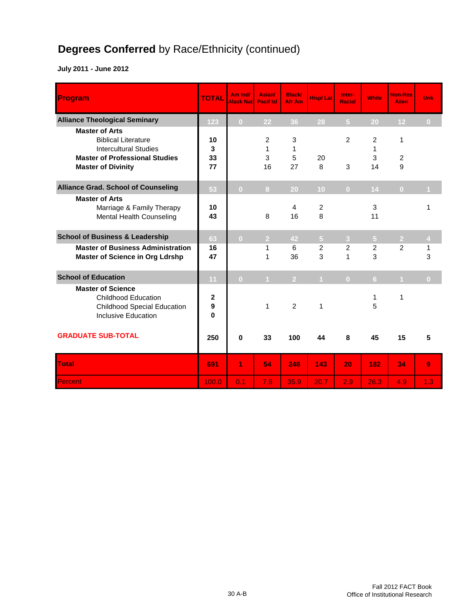# **Degrees Conferred** by Race/Ethnicity (continued)

| Program                                                                                                                      | <b>TOTAL</b>  | Am Ind/<br><b>Alask Nat</b> | Asian/<br><b>Pacif Isl</b> | <b>Black/</b><br>Afr Am | <b>Hisp/Lat</b>     | Inter-<br><b>Racial</b> | <b>White</b>   | <b>Non-Res</b><br><b>Alien</b> | Unk            |
|------------------------------------------------------------------------------------------------------------------------------|---------------|-----------------------------|----------------------------|-------------------------|---------------------|-------------------------|----------------|--------------------------------|----------------|
| <b>Alliance Theological Seminary</b>                                                                                         | 123           | $\overline{0}$              | 22                         | 36                      | 28                  | $\overline{5}$          | 20             | 12                             | $\overline{0}$ |
| <b>Master of Arts</b><br><b>Biblical Literature</b><br><b>Intercultural Studies</b><br><b>Master of Professional Studies</b> | 10<br>3<br>33 |                             | 2<br>1<br>3                | 3<br>1<br>5             | 20                  | 2                       | 2<br>1<br>3    | 1<br>$\boldsymbol{2}$          |                |
| <b>Master of Divinity</b>                                                                                                    | 77            |                             | 16                         | 27                      | 8                   | 3                       | 14             | 9                              |                |
| <b>Alliance Grad. School of Counseling</b>                                                                                   | 53            | $\overline{0}$              | 8 <sup>1</sup>             | 20                      | 10                  | $\overline{0}$          | 14             | $\overline{0}$                 | $\blacksquare$ |
| <b>Master of Arts</b><br>Marriage & Family Therapy<br>Mental Health Counseling                                               | 10<br>43      |                             | 8                          | 4<br>16                 | $\overline{c}$<br>8 |                         | 3<br>11        |                                | 1              |
| <b>School of Business &amp; Leadership</b>                                                                                   | 63            | $\overline{0}$              | 2 <sup>1</sup>             | 42                      | $\overline{5}$      | 3 <sup>2</sup>          | $\overline{5}$ | $\overline{2}$                 | $\overline{4}$ |
| <b>Master of Business Administration</b><br><b>Master of Science in Org Ldrshp</b>                                           | 16<br>47      |                             | 1<br>1                     | 6<br>36                 | 2<br>3              | $\overline{2}$<br>1     | 2<br>3         | 2                              | 1<br>3         |
| <b>School of Education</b>                                                                                                   | 11            | $\overline{0}$              | $\mathbf{1}$               | 2 <sup>1</sup>          | $\mathbf{1}$        | $\overline{0}$          | 6 <sup>1</sup> | $\blacktriangleleft$           | $\overline{0}$ |
| <b>Master of Science</b><br><b>Childhood Education</b><br><b>Childhood Special Education</b><br><b>Inclusive Education</b>   | 2<br>9<br>0   |                             | 1                          | $\overline{2}$          | $\mathbf{1}$        |                         | 1<br>5         | 1                              |                |
| <b>GRADUATE SUB-TOTAL</b>                                                                                                    | 250           | $\bf{0}$                    | 33                         | 100                     | 44                  | 8                       | 45             | 15                             | 5              |
| <b>Total</b>                                                                                                                 | 691           | 1                           | 54                         | 248                     | 143                 | 20                      | 182            | 34                             | 9              |
| Percent                                                                                                                      | 100.0         | 0.1                         | 7.8                        | 35.9                    | 20.7                | 2.9                     | 26.3           | 4.9                            | 1.3            |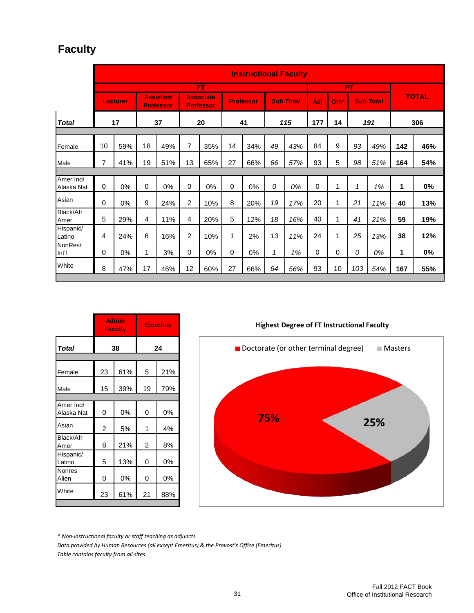# **Faculty**

|                         |             | <b>Instructional Faculty</b> |    |                                      |                |                                      |    |                  |              |                  |             |      |     |                  |     |              |
|-------------------------|-------------|------------------------------|----|--------------------------------------|----------------|--------------------------------------|----|------------------|--------------|------------------|-------------|------|-----|------------------|-----|--------------|
|                         |             |                              |    |                                      |                | FT                                   |    |                  |              |                  |             |      | PT  |                  |     |              |
|                         |             | <b>Lecturer</b>              |    | <b>Assistant</b><br><b>Professor</b> |                | <b>Associate</b><br><b>Professor</b> |    | <b>Professor</b> |              | <b>Sub Total</b> | Adj         | Oth* |     | <b>Sub Total</b> |     | <b>TOTAL</b> |
| <b>Total</b>            |             | 17                           |    | 37                                   |                | 20                                   |    | 41               |              | 115              | 177         | 14   |     | 191              |     | 306          |
|                         |             |                              |    |                                      |                |                                      |    |                  |              |                  |             |      |     |                  |     |              |
| Female                  | 10          | 59%                          | 18 | 49%                                  | 7              | 35%                                  | 14 | 34%              | 49           | 43%              | 84          | 9    | 93  | 49%              | 142 | 46%          |
| Male                    | 7           | 41%                          | 19 | 51%                                  | 13             | 65%                                  | 27 | 66%              | 66           | 57%              | 93          | 5    | 98  | 51%              | 164 | 54%          |
|                         |             |                              |    |                                      |                |                                      |    |                  |              |                  |             |      |     |                  |     |              |
| Amer Ind/<br>Alaska Nat | $\Omega$    | 0%                           | 0  | 0%                                   | 0              | 0%                                   | 0  | 0%               | 0            | 0%               | $\mathbf 0$ | 1    | 1   | 1%               | 1   | 0%           |
| Asian                   | $\mathbf 0$ | 0%                           | 9  | 24%                                  | 2              | 10%                                  | 8  | 20%              | 19           | 17%              | 20          | 1    | 21  | 11%              | 40  | 13%          |
| Black/Afr<br>Amer       | 5           | 29%                          | 4  | 11%                                  | 4              | 20%                                  | 5  | 12%              | 18           | 16%              | 40          | 1    | 41  | 21%              | 59  | 19%          |
| Hispanic/<br>Latino     | 4           | 24%                          | 6  | 16%                                  | $\overline{c}$ | 10%                                  | 1  | 2%               | 13           | 11%              | 24          | 1    | 25  | 13%              | 38  | 12%          |
| NonRes/<br>Int'l        | 0           | 0%                           | 1  | 3%                                   | $\mathbf 0$    | 0%                                   | 0  | 0%               | $\mathcal I$ | 1%               | $\mathbf 0$ | 0    | 0   | 0%               | 1   | $0\%$        |
| White                   | 8           | 47%                          | 17 | 46%                                  | 12             | 60%                                  | 27 | 66%              | 64           | 56%              | 93          | 10   | 103 | 54%              | 167 | 55%          |

|                         |                | <b>Admin</b><br><b>Faculty</b> |    | <b>Emeritus</b> |  |  |  |  |  |  |
|-------------------------|----------------|--------------------------------|----|-----------------|--|--|--|--|--|--|
| <b>Total</b>            |                | 38                             | 24 |                 |  |  |  |  |  |  |
|                         |                |                                |    |                 |  |  |  |  |  |  |
| Female                  | 23             | 61%                            | 5  | 21%             |  |  |  |  |  |  |
| Male                    | 15             | 39%                            | 19 | 79%             |  |  |  |  |  |  |
|                         |                |                                |    |                 |  |  |  |  |  |  |
| Amer Ind/<br>Alaska Nat | 0              | 0%                             | 0  | 0%              |  |  |  |  |  |  |
| Asian                   | $\overline{c}$ | 5%                             | 1  | 4%              |  |  |  |  |  |  |
| Black/Afr<br>Amer       | 8              | 21%                            | 2  | 8%              |  |  |  |  |  |  |
| Hispanic/<br>Latino     | 5              | 13%                            | 0  | 0%              |  |  |  |  |  |  |
| Nonres<br>Alien         | 0              | 0%                             | 0  | 0%              |  |  |  |  |  |  |
| White                   | 23             | 61%                            | 21 | 88%             |  |  |  |  |  |  |
|                         |                |                                |    |                 |  |  |  |  |  |  |

**Highest Degree of FT Instructional Faculty 75% 25%** Doctorate (or other terminal degree)  $\Box$  Masters

*\* Non-instructional faculty or staff teaching as adjuncts*

*Data provided by Human Resources (all except Emeritus) & the Provost's Office (Emeritus) Table contains faculty from all sites*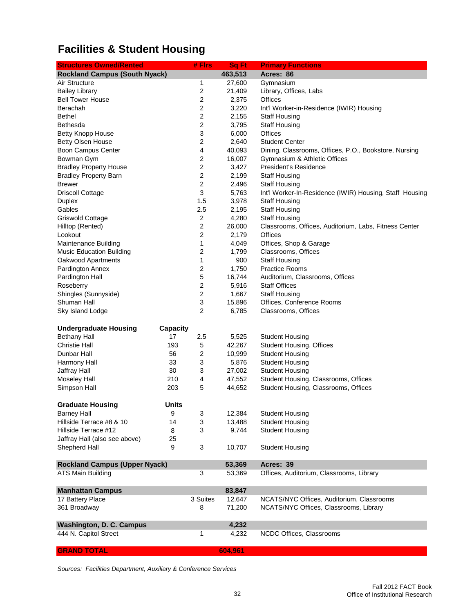# **Facilities & Student Housing**

| <b>Structures Owned/Rented</b>       |                 | # Firs                    | Sq Ft   | <b>Primary Functions</b>                                |
|--------------------------------------|-----------------|---------------------------|---------|---------------------------------------------------------|
| <b>Rockland Campus (South Nyack)</b> |                 |                           | 463,513 | Acres: 86                                               |
| Air Structure                        |                 | 1                         | 27,600  | Gymnasium                                               |
| <b>Bailey Library</b>                |                 | 2                         | 21,409  | Library, Offices, Labs                                  |
| <b>Bell Tower House</b>              |                 | $\boldsymbol{2}$          | 2,375   | Offices                                                 |
| Berachah                             |                 | $\overline{2}$            | 3,220   | Int'l Worker-in-Residence (IWIR) Housing                |
| <b>Bethel</b>                        |                 | $\overline{c}$            | 2,155   | <b>Staff Housing</b>                                    |
| Bethesda                             |                 | $\boldsymbol{2}$          | 3,795   | <b>Staff Housing</b>                                    |
| <b>Betty Knopp House</b>             |                 | 3                         | 6,000   | <b>Offices</b>                                          |
| <b>Betty Olsen House</b>             |                 | $\boldsymbol{2}$          | 2,640   | <b>Student Center</b>                                   |
| Boon Campus Center                   |                 | 4                         | 40,093  | Dining, Classrooms, Offices, P.O., Bookstore, Nursing   |
| Bowman Gym                           |                 | 2                         | 16,007  | Gymnasium & Athletic Offices                            |
| <b>Bradley Property House</b>        |                 | $\boldsymbol{2}$          | 3,427   | President's Residence                                   |
| <b>Bradley Property Barn</b>         |                 | $\overline{c}$            | 2,199   | <b>Staff Housing</b>                                    |
| <b>Brewer</b>                        |                 | 2                         | 2,496   | <b>Staff Housing</b>                                    |
| <b>Driscoll Cottage</b>              |                 | 3                         | 5,763   | Int'l Worker-In-Residence (IWIR) Housing, Staff Housing |
| Duplex                               |                 | 1.5                       | 3,978   | <b>Staff Housing</b>                                    |
| Gables                               |                 | 2.5                       | 2,195   | <b>Staff Housing</b>                                    |
| Griswold Cottage                     |                 | 2                         | 4,280   | <b>Staff Housing</b>                                    |
| Hilltop (Rented)                     |                 | $\boldsymbol{2}$          | 26,000  | Classrooms, Offices, Auditorium, Labs, Fitness Center   |
| Lookout                              |                 | 2                         | 2,179   | Offices                                                 |
| Maintenance Building                 |                 | 1                         | 4,049   | Offices, Shop & Garage                                  |
| <b>Music Education Building</b>      |                 | 2                         | 1,799   | Classrooms, Offices                                     |
| Oakwood Apartments                   |                 | $\mathbf{1}$              | 900     | <b>Staff Housing</b>                                    |
| Pardington Annex                     |                 | 2                         | 1,750   | <b>Practice Rooms</b>                                   |
| Pardington Hall                      |                 | 5                         | 16,744  | Auditorium, Classrooms, Offices                         |
| Roseberry                            |                 | $\boldsymbol{2}$          | 5,916   | <b>Staff Offices</b>                                    |
| Shingles (Sunnyside)                 |                 | $\boldsymbol{2}$          | 1,667   | <b>Staff Housing</b>                                    |
| Shuman Hall                          |                 | 3                         | 15,896  | Offices, Conference Rooms                               |
| Sky Island Lodge                     |                 | $\overline{2}$            | 6,785   | Classrooms, Offices                                     |
|                                      |                 |                           |         |                                                         |
| <b>Undergraduate Housing</b>         | <b>Capacity</b> |                           |         |                                                         |
| <b>Bethany Hall</b>                  | 17              | 2.5                       | 5,525   | <b>Student Housing</b>                                  |
| <b>Christie Hall</b>                 | 193             | 5                         | 42,267  | <b>Student Housing, Offices</b>                         |
| Dunbar Hall                          | 56              | $\overline{\mathbf{c}}$   | 10,999  | <b>Student Housing</b>                                  |
| Harmony Hall                         | 33              | $\ensuremath{\mathsf{3}}$ | 5,876   | <b>Student Housing</b>                                  |
| Jaffray Hall                         | 30              | 3                         | 27,002  | <b>Student Housing</b>                                  |
| <b>Moseley Hall</b>                  | 210             | 4                         | 47,552  | Student Housing, Classrooms, Offices                    |
| Simpson Hall                         | 203             | 5                         | 44,652  | Student Housing, Classrooms, Offices                    |
| <b>Graduate Housing</b>              | <b>Units</b>    |                           |         |                                                         |
| <b>Barney Hall</b>                   | 9               | 3                         | 12,384  | <b>Student Housing</b>                                  |
| Hillside Terrace #8 & 10             | 14              | 3                         | 13,488  | <b>Student Housing</b>                                  |
| Hillside Terrace #12                 | 8               | 3                         | 9,744   | <b>Student Housing</b>                                  |
| Jaffray Hall (also see above)        | 25              |                           |         |                                                         |
| Shepherd Hall                        | 9               | 3                         | 10,707  | <b>Student Housing</b>                                  |
|                                      |                 |                           |         |                                                         |
| <b>Rockland Campus (Upper Nyack)</b> |                 |                           | 53,369  | Acres: 39                                               |
| ATS Main Building                    |                 | 3                         | 53,369  | Offices, Auditorium, Classrooms, Library                |
|                                      |                 |                           |         |                                                         |
| <b>Manhattan Campus</b>              |                 |                           | 83,847  | NCATS/NYC Offices, Auditorium, Classrooms               |
| 17 Battery Place                     |                 | 3 Suites                  | 12,647  |                                                         |
| 361 Broadway                         |                 | 8                         | 71,200  | NCATS/NYC Offices, Classrooms, Library                  |
| Washington, D. C. Campus             |                 |                           | 4,232   |                                                         |
| 444 N. Capitol Street                |                 | 1                         | 4,232   | NCDC Offices, Classrooms                                |
|                                      |                 |                           |         |                                                         |
| <b>GRAND TOTAL</b>                   |                 |                           | 604,961 |                                                         |

*Sources: Facilities Department, Auxiliary & Conference Services*